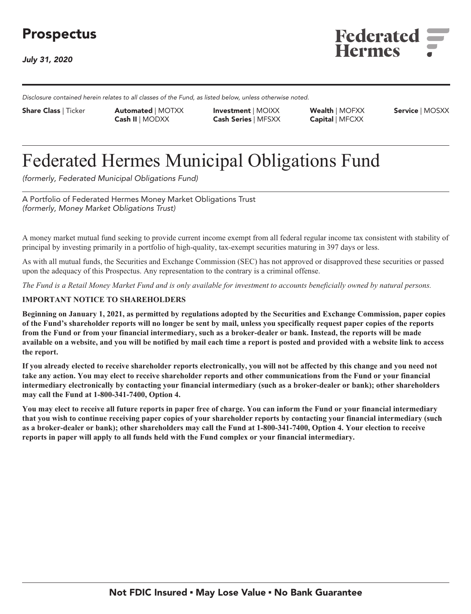## **Prospectus**

**July 31, 2020**



**Disclosure contained herein relates to all classes of the Fund, as listed below, unless otherwise noted.**

**Investment | MOIXX Share Class | Ticker Automated | MOTXX Wealth | MOFXX Service | MOSXX Cash II | MODXX Cash Series | MFSXX Capital | MFCXX**

# **Federated Hermes Municipal Obligations Fund**

**(formerly, Federated Municipal Obligations Fund)**

**A Portfolio of Federated Hermes Money Market Obligations Trust (formerly, Money Market Obligations Trust)**

**A money market mutual fund seeking to provide current income exempt from all federal regular income tax consistent with stability of principal by investing primarily in a portfolio of high-quality, tax-exempt securities maturing in 397 days or less.**

**As with all mutual funds, the Securities and Exchange Commission (SEC) has not approved or disapproved these securities or passed upon the adequacy of this Prospectus. Any representation to the contrary is a criminal offense.**

*The Fund is a Retail Money Market Fund and is only available for investment to accounts beneficially owned by natural persons.*

#### **IMPORTANT NOTICE TO SHAREHOLDERS**

**Beginning on January 1, 2021, as permitted by regulations adopted by the Securities and Exchange Commission, paper copies of the Fund's shareholder reports will no longer be sent by mail, unless you specifically request paper copies of the reports from the Fund or from your financial intermediary, such as a broker-dealer or bank. Instead, the reports will be made available on a website, and you will be notified by mail each time a report is posted and provided with a website link to access the report.**

**If you already elected to receive shareholder reports electronically, you will not be affected by this change and you need not take any action. You may elect to receive shareholder reports and other communications from the Fund or your financial intermediary electronically by contacting your financial intermediary (such as a broker-dealer or bank); other shareholders may call the Fund at 1-800-341-7400, Option 4.**

**You may elect to receive all future reports in paper free of charge. You can inform the Fund or your financial intermediary that you wish to continue receiving paper copies of your shareholder reports by contacting your financial intermediary (such as a broker-dealer or bank); other shareholders may call the Fund at 1-800-341-7400, Option 4. Your election to receive reports in paper will apply to all funds held with the Fund complex or your financial intermediary.**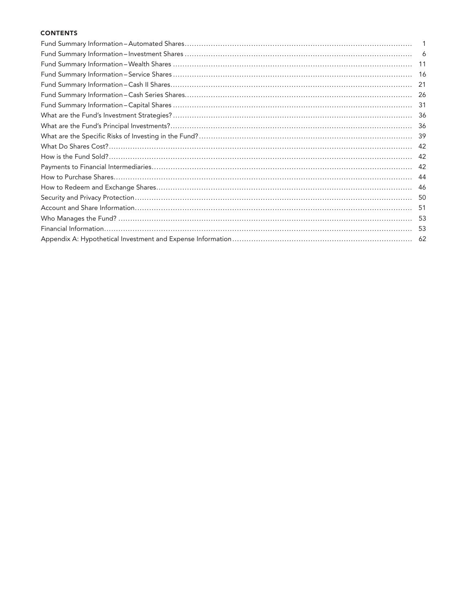#### **CONTENTS**

| 1   |
|-----|
|     |
|     |
|     |
|     |
|     |
|     |
|     |
|     |
|     |
|     |
|     |
| -42 |
|     |
|     |
|     |
|     |
|     |
| -53 |
| -62 |
|     |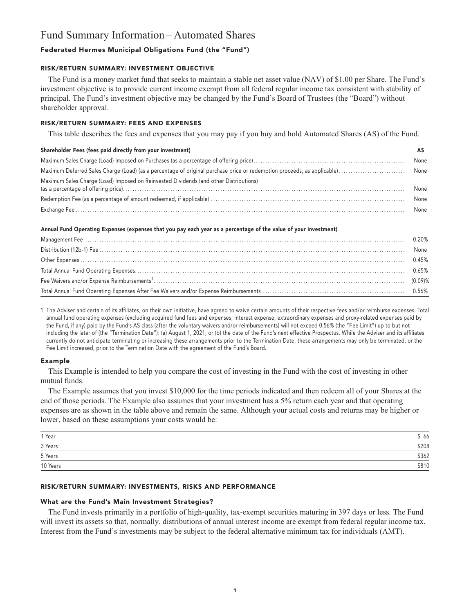### **Fund Summary Information – Automated Shares**

#### **Federated Hermes Municipal Obligations Fund (the "Fund")**

#### **RISK/RETURN SUMMARY: INVESTMENT OBJECTIVE**

**The Fund is a money market fund that seeks to maintain a stable net asset value (NAV) of \$1.00 per Share. The Fund's investment objective is to provide current income exempt from all federal regular income tax consistent with stability of principal. The Fund's investment objective may be changed by the Fund's Board of Trustees (the "Board") without shareholder approval.**

#### **RISK/RETURN SUMMARY: FEES AND EXPENSES**

**This table describes the fees and expenses that you may pay if you buy and hold Automated Shares (AS) of the Fund.**

#### **Shareholder Fees (fees paid directly from your investment) AS**

|  |  |                                                                                       | None |
|--|--|---------------------------------------------------------------------------------------|------|
|  |  |                                                                                       |      |
|  |  | Maximum Sales Charge (Load) Imposed on Reinvested Dividends (and other Distributions) | None |
|  |  |                                                                                       | None |
|  |  |                                                                                       |      |

#### **Annual Fund Operating Expenses (expenses that you pay each year as a percentage of the value of your investment)**

**1 The Adviser and certain of its affiliates, on their own initiative, have agreed to waive certain amounts of their respective fees and/or reimburse expenses. Total annual fund operating expenses (excluding acquired fund fees and expenses, interest expense, extraordinary expenses and proxy-related expenses paid by the Fund, if any) paid by the Fund's AS class (after the voluntary waivers and/or reimbursements) will not exceed 0.56% (the "Fee Limit") up to but not including the later of (the "Termination Date"): (a) August 1, 2021; or (b) the date of the Fund's next effective Prospectus. While the Adviser and its affiliates currently do not anticipate terminating or increasing these arrangements prior to the Termination Date, these arrangements may only be terminated, or the Fee Limit increased, prior to the Termination Date with the agreement of the Fund's Board.**

#### **Example**

**This Example is intended to help you compare the cost of investing in the Fund with the cost of investing in other mutual funds.**

**The Example assumes that you invest \$10,000 for the time periods indicated and then redeem all of your Shares at the end of those periods. The Example also assumes that your investment has a 5% return each year and that operating expenses are as shown in the table above and remain the same. Although your actual costs and returns may be higher or lower, based on these assumptions your costs would be:**

| 1 Year   | 66    |
|----------|-------|
| 3 Years  | \$208 |
| 5 Years  | \$362 |
| 10 Years | \$810 |

#### **RISK/RETURN SUMMARY: INVESTMENTS, RISKS AND PERFORMANCE**

#### **What are the Fund's Main Investment Strategies?**

**The Fund invests primarily in a portfolio of high-quality, tax-exempt securities maturing in 397 days or less. The Fund will invest its assets so that, normally, distributions of annual interest income are exempt from federal regular income tax. Interest from the Fund's investments may be subject to the federal alternative minimum tax for individuals (AMT).**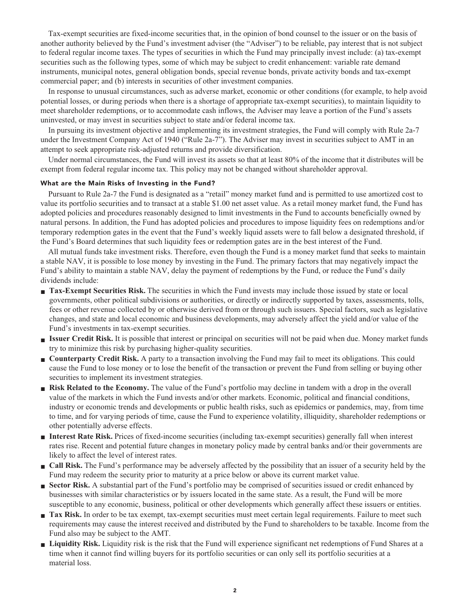**Tax-exempt securities are fixed-income securities that, in the opinion of bond counsel to the issuer or on the basis of another authority believed by the Fund's investment adviser (the "Adviser") to be reliable, pay interest that is not subject to federal regular income taxes. The types of securities in which the Fund may principally invest include: (a) tax-exempt securities such as the following types, some of which may be subject to credit enhancement: variable rate demand instruments, municipal notes, general obligation bonds, special revenue bonds, private activity bonds and tax-exempt commercial paper; and (b) interests in securities of other investment companies.**

**In response to unusual circumstances, such as adverse market, economic or other conditions (for example, to help avoid potential losses, or during periods when there is a shortage of appropriate tax-exempt securities), to maintain liquidity to meet shareholder redemptions, or to accommodate cash inflows, the Adviser may leave a portion of the Fund's assets uninvested, or may invest in securities subject to state and/or federal income tax.**

**In pursuing its investment objective and implementing its investment strategies, the Fund will comply with Rule 2a-7 under the Investment Company Act of 1940 ("Rule 2a-7"). The Adviser may invest in securities subject to AMT in an attempt to seek appropriate risk-adjusted returns and provide diversification.**

**Under normal circumstances, the Fund will invest its assets so that at least 80% of the income that it distributes will be exempt from federal regular income tax. This policy may not be changed without shareholder approval.**

#### **What are the Main Risks of Investing in the Fund?**

**Pursuant to Rule 2a-7 the Fund is designated as a "retail" money market fund and is permitted to use amortized cost to value its portfolio securities and to transact at a stable \$1.00 net asset value. As a retail money market fund, the Fund has adopted policies and procedures reasonably designed to limit investments in the Fund to accounts beneficially owned by natural persons. In addition, the Fund has adopted policies and procedures to impose liquidity fees on redemptions and/or temporary redemption gates in the event that the Fund's weekly liquid assets were to fall below a designated threshold, if the Fund's Board determines that such liquidity fees or redemption gates are in the best interest of the Fund.**

**All mutual funds take investment risks. Therefore, even though the Fund is a money market fund that seeks to maintain a stable NAV, it is possible to lose money by investing in the Fund. The primary factors that may negatively impact the Fund's ability to maintain a stable NAV, delay the payment of redemptions by the Fund, or reduce the Fund's daily dividends include:**

- **Tax-Exempt Securities Risk.** The securities in which the Fund invests may include those issued by state or local **governments, other political subdivisions or authorities, or directly or indirectly supported by taxes, assessments, tolls, fees or other revenue collected by or otherwise derived from or through such issuers. Special factors, such as legislative changes, and state and local economic and business developments, may adversely affect the yield and/or value of the Fund's investments in tax-exempt securities.**
- **■ Issuer Credit Risk. It is possible that interest or principal on securities will not be paid when due. Money market funds try to minimize this risk by purchasing higher-quality securities.**
- **Counterparty Credit Risk.** A party to a transaction involving the Fund may fail to meet its obligations. This could **cause the Fund to lose money or to lose the benefit of the transaction or prevent the Fund from selling or buying other securities to implement its investment strategies.**
- **Risk Related to the Economy.** The value of the Fund's portfolio may decline in tandem with a drop in the overall **value of the markets in which the Fund invests and/or other markets. Economic, political and financial conditions, industry or economic trends and developments or public health risks, such as epidemics or pandemics, may, from time to time, and for varying periods of time, cause the Fund to experience volatility, illiquidity, shareholder redemptions or other potentially adverse effects.**
- **■ Interest Rate Risk. Prices of fixed-income securities (including tax-exempt securities) generally fall when interest rates rise. Recent and potential future changes in monetary policy made by central banks and/or their governments are likely to affect the level of interest rates.**
- **■ Call Risk. The Fund's performance may be adversely affected by the possibility that an issuer of a security held by the Fund may redeem the security prior to maturity at a price below or above its current market value.**
- **Sector Risk.** A substantial part of the Fund's portfolio may be comprised of securities issued or credit enhanced by **businesses with similar characteristics or by issuers located in the same state. As a result, the Fund will be more susceptible to any economic, business, political or other developments which generally affect these issuers or entities.**
- **Tax Risk.** In order to be tax exempt, tax-exempt securities must meet certain legal requirements. Failure to meet such **requirements may cause the interest received and distributed by the Fund to shareholders to be taxable. Income from the Fund also may be subject to the AMT.**
- **■ Liquidity Risk. Liquidity risk is the risk that the Fund will experience significant net redemptions of Fund Shares at a time when it cannot find willing buyers for its portfolio securities or can only sell its portfolio securities at a material loss.**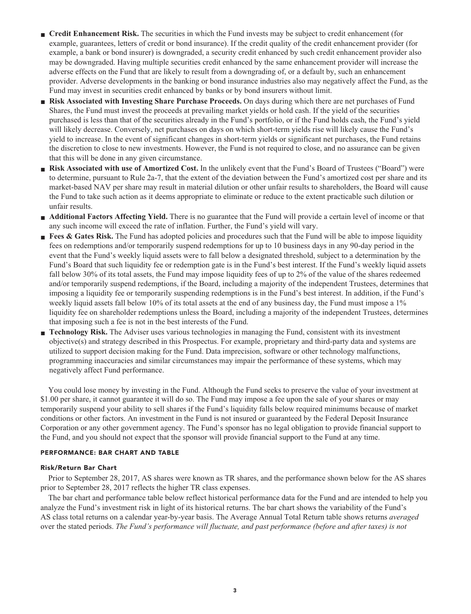- **Credit Enhancement Risk.** The securities in which the Fund invests may be subject to credit enhancement (for **example, guarantees, letters of credit or bond insurance). If the credit quality of the credit enhancement provider (for example, a bank or bond insurer) is downgraded, a security credit enhanced by such credit enhancement provider also may be downgraded. Having multiple securities credit enhanced by the same enhancement provider will increase the adverse effects on the Fund that are likely to result from a downgrading of, or a default by, such an enhancement provider. Adverse developments in the banking or bond insurance industries also may negatively affect the Fund, as the Fund may invest in securities credit enhanced by banks or by bond insurers without limit.**
- **■ Risk Associated with Investing Share Purchase Proceeds. On days during which there are net purchases of Fund Shares, the Fund must invest the proceeds at prevailing market yields or hold cash. If the yield of the securities purchased is less than that of the securities already in the Fund's portfolio, or if the Fund holds cash, the Fund's yield will likely decrease. Conversely, net purchases on days on which short-term yields rise will likely cause the Fund's yield to increase. In the event of significant changes in short-term yields or significant net purchases, the Fund retains the discretion to close to new investments. However, the Fund is not required to close, and no assurance can be given that this will be done in any given circumstance.**
- **Risk Associated with use of Amortized Cost.** In the unlikely event that the Fund's Board of Trustees ("Board") were **to determine, pursuant to Rule 2a-7, that the extent of the deviation between the Fund's amortized cost per share and its market-based NAV per share may result in material dilution or other unfair results to shareholders, the Board will cause the Fund to take such action as it deems appropriate to eliminate or reduce to the extent practicable such dilution or unfair results.**
- **Additional Factors Affecting Yield.** There is no guarantee that the Fund will provide a certain level of income or that **any such income will exceed the rate of inflation. Further, the Fund's yield will vary.**
- **Fees & Gates Risk.** The Fund has adopted policies and procedures such that the Fund will be able to impose liquidity **fees on redemptions and/or temporarily suspend redemptions for up to 10 business days in any 90-day period in the event that the Fund's weekly liquid assets were to fall below a designated threshold, subject to a determination by the Fund's Board that such liquidity fee or redemption gate is in the Fund's best interest. If the Fund's weekly liquid assets fall below 30% of its total assets, the Fund may impose liquidity fees of up to 2% of the value of the shares redeemed and/or temporarily suspend redemptions, if the Board, including a majority of the independent Trustees, determines that imposing a liquidity fee or temporarily suspending redemptions is in the Fund's best interest. In addition, if the Fund's weekly liquid assets fall below 10% of its total assets at the end of any business day, the Fund must impose a 1% liquidity fee on shareholder redemptions unless the Board, including a majority of the independent Trustees, determines that imposing such a fee is not in the best interests of the Fund.**
- **■ Technology Risk. The Adviser uses various technologies in managing the Fund, consistent with its investment objective(s) and strategy described in this Prospectus. For example, proprietary and third-party data and systems are utilized to support decision making for the Fund. Data imprecision, software or other technology malfunctions, programming inaccuracies and similar circumstances may impair the performance of these systems, which may negatively affect Fund performance.**

**You could lose money by investing in the Fund. Although the Fund seeks to preserve the value of your investment at \$1.00 per share, it cannot guarantee it will do so. The Fund may impose a fee upon the sale of your shares or may temporarily suspend your ability to sell shares if the Fund's liquidity falls below required minimums because of market conditions or other factors. An investment in the Fund is not insured or guaranteed by the Federal Deposit Insurance Corporation or any other government agency. The Fund's sponsor has no legal obligation to provide financial support to the Fund, and you should not expect that the sponsor will provide financial support to the Fund at any time.**

#### **PERFORMANCE: BAR CHART AND TABLE**

#### **Risk/Return Bar Chart**

**Prior to September 28, 2017, AS shares were known as TR shares, and the performance shown below for the AS shares prior to September 28, 2017 reflects the higher TR class expenses.**

**The bar chart and performance table below reflect historical performance data for the Fund and are intended to help you analyze the Fund's investment risk in light of its historical returns. The bar chart shows the variability of the Fund's AS class total returns on a calendar year-by-year basis. The Average Annual Total Return table shows returns** *averaged* **over the stated periods.** *The Fund's performance will fluctuate, and past performance (before and after taxes) is not*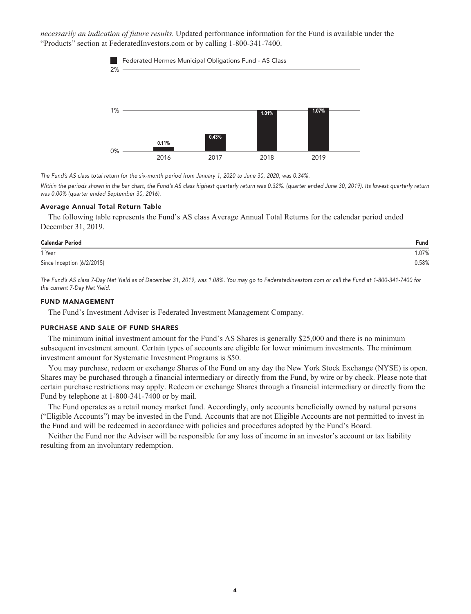*necessarily an indication of future results.* **Updated performance information for the Fund is available under the "Products" section a[t FederatedInvestors.com](https://www.federatedinvestors.com/home.do) or by calling 1-800-341-7400.**



**The Fund's AS class total return for the six-month period from January 1, 2020 to June 30, 2020, was 0.34%.**

Within the periods shown in the bar chart, the Fund's AS class highest quarterly return was 0.32%. (quarter ended June 30, 2019). Its lowest quarterly return **was 0.00% (quarter ended September 30, 2016).**

#### **Average Annual Total Return Table**

**The following table represents the Fund's AS class Average Annual Total Returns for the calendar period ended December 31, 2019.**

| <b>Calendar Period</b>     | Fund  |
|----------------------------|-------|
| 1 Year                     | .07%  |
| Since Inception (6/2/2015) | 0.58% |

**The Fund's AS class 7-Day Net Yield as of December 31, 2019, was 1.08%. You may go to [FederatedInvestors.com](https://www.federatedinvestors.com/home.do) or call the Fund at 1-800-341-7400 for the current 7-Day Net Yield.**

#### **FUND MANAGEMENT**

**The Fund's Investment Adviser is Federated Investment Management Company.**

#### **PURCHASE AND SALE OF FUND SHARES**

**The minimum initial investment amount for the Fund's AS Shares is generally \$25,000 and there is no minimum subsequent investment amount. Certain types of accounts are eligible for lower minimum investments. The minimum investment amount for Systematic Investment Programs is \$50.**

**You may purchase, redeem or exchange Shares of the Fund on any day the New York Stock Exchange (NYSE) is open. Shares may be purchased through a financial intermediary or directly from the Fund, by wire or by check. Please note that certain purchase restrictions may apply. Redeem or exchange Shares through a financial intermediary or directly from the Fund by telephone at 1-800-341-7400 or by mail.**

**The Fund operates as a retail money market fund. Accordingly, only accounts beneficially owned by natural persons ("Eligible Accounts") may be invested in the Fund. Accounts that are not Eligible Accounts are not permitted to invest in the Fund and will be redeemed in accordance with policies and procedures adopted by the Fund's Board.**

**Neither the Fund nor the Adviser will be responsible for any loss of income in an investor's account or tax liability resulting from an involuntary redemption.**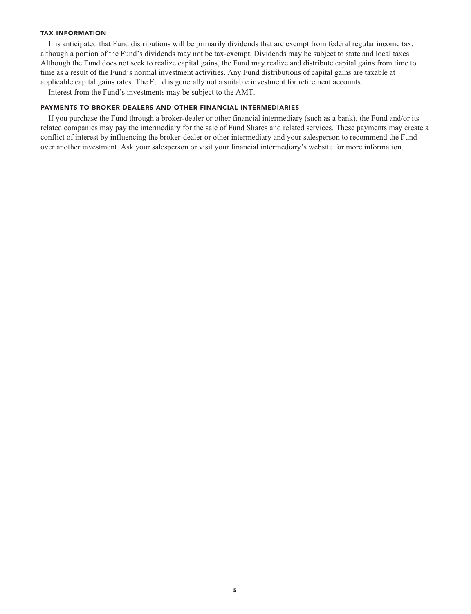#### **TAX INFORMATION**

**It is anticipated that Fund distributions will be primarily dividends that are exempt from federal regular income tax, although a portion of the Fund's dividends may not be tax-exempt. Dividends may be subject to state and local taxes. Although the Fund does not seek to realize capital gains, the Fund may realize and distribute capital gains from time to time as a result of the Fund's normal investment activities. Any Fund distributions of capital gains are taxable at applicable capital gains rates. The Fund is generally not a suitable investment for retirement accounts.**

**Interest from the Fund's investments may be subject to the AMT.**

#### **PAYMENTS TO BROKER-DEALERS AND OTHER FINANCIAL INTERMEDIARIES**

**If you purchase the Fund through a broker-dealer or other financial intermediary (such as a bank), the Fund and/or its related companies may pay the intermediary for the sale of Fund Shares and related services. These payments may create a conflict of interest by influencing the broker-dealer or other intermediary and your salesperson to recommend the Fund over another investment. Ask your salesperson or visit your financial intermediary's website for more information.**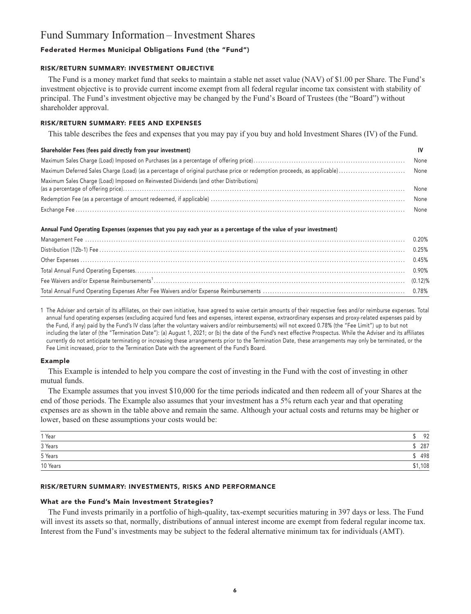### **Fund Summary Information – Investment Shares**

#### **Federated Hermes Municipal Obligations Fund (the "Fund")**

#### **RISK/RETURN SUMMARY: INVESTMENT OBJECTIVE**

**The Fund is a money market fund that seeks to maintain a stable net asset value (NAV) of \$1.00 per Share. The Fund's investment objective is to provide current income exempt from all federal regular income tax consistent with stability of principal. The Fund's investment objective may be changed by the Fund's Board of Trustees (the "Board") without shareholder approval.**

#### **RISK/RETURN SUMMARY: FEES AND EXPENSES**

**This table describes the fees and expenses that you may pay if you buy and hold Investment Shares (IV) of the Fund.**

#### **Shareholder Fees (fees paid directly from your investment) IV**

| Maximum Sales Charge (Load) Imposed on Reinvested Dividends (and other Distributions) | None |
|---------------------------------------------------------------------------------------|------|
|                                                                                       | None |
|                                                                                       |      |

#### **Annual Fund Operating Expenses (expenses that you pay each year as a percentage of the value of your investment)**

**1 The Adviser and certain of its affiliates, on their own initiative, have agreed to waive certain amounts of their respective fees and/or reimburse expenses. Total annual fund operating expenses (excluding acquired fund fees and expenses, interest expense, extraordinary expenses and proxy-related expenses paid by the Fund, if any) paid by the Fund's IV class (after the voluntary waivers and/or reimbursements) will not exceed 0.78% (the "Fee Limit") up to but not including the later of (the "Termination Date"): (a) August 1, 2021; or (b) the date of the Fund's next effective Prospectus. While the Adviser and its affiliates currently do not anticipate terminating or increasing these arrangements prior to the Termination Date, these arrangements may only be terminated, or the Fee Limit increased, prior to the Termination Date with the agreement of the Fund's Board.**

#### **Example**

**This Example is intended to help you compare the cost of investing in the Fund with the cost of investing in other mutual funds.**

**The Example assumes that you invest \$10,000 for the time periods indicated and then redeem all of your Shares at the end of those periods. The Example also assumes that your investment has a 5% return each year and that operating expenses are as shown in the table above and remain the same. Although your actual costs and returns may be higher or lower, based on these assumptions your costs would be:**

| $1$ Year | 92      |
|----------|---------|
| 3 Years  | 287     |
| 5 Years  | 498     |
| 10 Years | \$1,108 |

#### **RISK/RETURN SUMMARY: INVESTMENTS, RISKS AND PERFORMANCE**

#### **What are the Fund's Main Investment Strategies?**

**The Fund invests primarily in a portfolio of high-quality, tax-exempt securities maturing in 397 days or less. The Fund will invest its assets so that, normally, distributions of annual interest income are exempt from federal regular income tax. Interest from the Fund's investments may be subject to the federal alternative minimum tax for individuals (AMT).**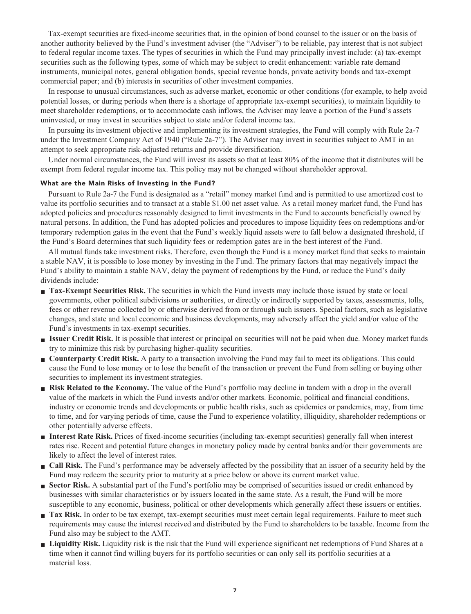**Tax-exempt securities are fixed-income securities that, in the opinion of bond counsel to the issuer or on the basis of another authority believed by the Fund's investment adviser (the "Adviser") to be reliable, pay interest that is not subject to federal regular income taxes. The types of securities in which the Fund may principally invest include: (a) tax-exempt securities such as the following types, some of which may be subject to credit enhancement: variable rate demand instruments, municipal notes, general obligation bonds, special revenue bonds, private activity bonds and tax-exempt commercial paper; and (b) interests in securities of other investment companies.**

**In response to unusual circumstances, such as adverse market, economic or other conditions (for example, to help avoid potential losses, or during periods when there is a shortage of appropriate tax-exempt securities), to maintain liquidity to meet shareholder redemptions, or to accommodate cash inflows, the Adviser may leave a portion of the Fund's assets uninvested, or may invest in securities subject to state and/or federal income tax.**

**In pursuing its investment objective and implementing its investment strategies, the Fund will comply with Rule 2a-7 under the Investment Company Act of 1940 ("Rule 2a-7"). The Adviser may invest in securities subject to AMT in an attempt to seek appropriate risk-adjusted returns and provide diversification.**

**Under normal circumstances, the Fund will invest its assets so that at least 80% of the income that it distributes will be exempt from federal regular income tax. This policy may not be changed without shareholder approval.**

#### **What are the Main Risks of Investing in the Fund?**

**Pursuant to Rule 2a-7 the Fund is designated as a "retail" money market fund and is permitted to use amortized cost to value its portfolio securities and to transact at a stable \$1.00 net asset value. As a retail money market fund, the Fund has adopted policies and procedures reasonably designed to limit investments in the Fund to accounts beneficially owned by natural persons. In addition, the Fund has adopted policies and procedures to impose liquidity fees on redemptions and/or temporary redemption gates in the event that the Fund's weekly liquid assets were to fall below a designated threshold, if the Fund's Board determines that such liquidity fees or redemption gates are in the best interest of the Fund.**

**All mutual funds take investment risks. Therefore, even though the Fund is a money market fund that seeks to maintain a stable NAV, it is possible to lose money by investing in the Fund. The primary factors that may negatively impact the Fund's ability to maintain a stable NAV, delay the payment of redemptions by the Fund, or reduce the Fund's daily dividends include:**

- **Tax-Exempt Securities Risk.** The securities in which the Fund invests may include those issued by state or local **governments, other political subdivisions or authorities, or directly or indirectly supported by taxes, assessments, tolls, fees or other revenue collected by or otherwise derived from or through such issuers. Special factors, such as legislative changes, and state and local economic and business developments, may adversely affect the yield and/or value of the Fund's investments in tax-exempt securities.**
- **■ Issuer Credit Risk. It is possible that interest or principal on securities will not be paid when due. Money market funds try to minimize this risk by purchasing higher-quality securities.**
- **Counterparty Credit Risk.** A party to a transaction involving the Fund may fail to meet its obligations. This could **cause the Fund to lose money or to lose the benefit of the transaction or prevent the Fund from selling or buying other securities to implement its investment strategies.**
- **Risk Related to the Economy.** The value of the Fund's portfolio may decline in tandem with a drop in the overall **value of the markets in which the Fund invests and/or other markets. Economic, political and financial conditions, industry or economic trends and developments or public health risks, such as epidemics or pandemics, may, from time to time, and for varying periods of time, cause the Fund to experience volatility, illiquidity, shareholder redemptions or other potentially adverse effects.**
- **■ Interest Rate Risk. Prices of fixed-income securities (including tax-exempt securities) generally fall when interest rates rise. Recent and potential future changes in monetary policy made by central banks and/or their governments are likely to affect the level of interest rates.**
- **■ Call Risk. The Fund's performance may be adversely affected by the possibility that an issuer of a security held by the Fund may redeem the security prior to maturity at a price below or above its current market value.**
- **Sector Risk.** A substantial part of the Fund's portfolio may be comprised of securities issued or credit enhanced by **businesses with similar characteristics or by issuers located in the same state. As a result, the Fund will be more susceptible to any economic, business, political or other developments which generally affect these issuers or entities.**
- **Tax Risk.** In order to be tax exempt, tax-exempt securities must meet certain legal requirements. Failure to meet such **requirements may cause the interest received and distributed by the Fund to shareholders to be taxable. Income from the Fund also may be subject to the AMT.**
- **■ Liquidity Risk. Liquidity risk is the risk that the Fund will experience significant net redemptions of Fund Shares at a time when it cannot find willing buyers for its portfolio securities or can only sell its portfolio securities at a material loss.**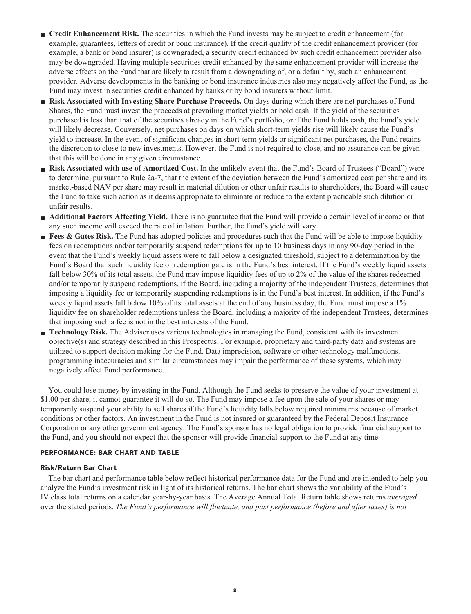- **Credit Enhancement Risk.** The securities in which the Fund invests may be subject to credit enhancement (for **example, guarantees, letters of credit or bond insurance). If the credit quality of the credit enhancement provider (for example, a bank or bond insurer) is downgraded, a security credit enhanced by such credit enhancement provider also may be downgraded. Having multiple securities credit enhanced by the same enhancement provider will increase the adverse effects on the Fund that are likely to result from a downgrading of, or a default by, such an enhancement provider. Adverse developments in the banking or bond insurance industries also may negatively affect the Fund, as the Fund may invest in securities credit enhanced by banks or by bond insurers without limit.**
- **■ Risk Associated with Investing Share Purchase Proceeds. On days during which there are net purchases of Fund Shares, the Fund must invest the proceeds at prevailing market yields or hold cash. If the yield of the securities purchased is less than that of the securities already in the Fund's portfolio, or if the Fund holds cash, the Fund's yield will likely decrease. Conversely, net purchases on days on which short-term yields rise will likely cause the Fund's yield to increase. In the event of significant changes in short-term yields or significant net purchases, the Fund retains the discretion to close to new investments. However, the Fund is not required to close, and no assurance can be given that this will be done in any given circumstance.**
- **Risk Associated with use of Amortized Cost.** In the unlikely event that the Fund's Board of Trustees ("Board") were **to determine, pursuant to Rule 2a-7, that the extent of the deviation between the Fund's amortized cost per share and its market-based NAV per share may result in material dilution or other unfair results to shareholders, the Board will cause the Fund to take such action as it deems appropriate to eliminate or reduce to the extent practicable such dilution or unfair results.**
- **Additional Factors Affecting Yield.** There is no guarantee that the Fund will provide a certain level of income or that **any such income will exceed the rate of inflation. Further, the Fund's yield will vary.**
- **Fees & Gates Risk.** The Fund has adopted policies and procedures such that the Fund will be able to impose liquidity **fees on redemptions and/or temporarily suspend redemptions for up to 10 business days in any 90-day period in the event that the Fund's weekly liquid assets were to fall below a designated threshold, subject to a determination by the Fund's Board that such liquidity fee or redemption gate is in the Fund's best interest. If the Fund's weekly liquid assets fall below 30% of its total assets, the Fund may impose liquidity fees of up to 2% of the value of the shares redeemed and/or temporarily suspend redemptions, if the Board, including a majority of the independent Trustees, determines that imposing a liquidity fee or temporarily suspending redemptions is in the Fund's best interest. In addition, if the Fund's weekly liquid assets fall below 10% of its total assets at the end of any business day, the Fund must impose a 1% liquidity fee on shareholder redemptions unless the Board, including a majority of the independent Trustees, determines that imposing such a fee is not in the best interests of the Fund.**
- **■ Technology Risk. The Adviser uses various technologies in managing the Fund, consistent with its investment objective(s) and strategy described in this Prospectus. For example, proprietary and third-party data and systems are utilized to support decision making for the Fund. Data imprecision, software or other technology malfunctions, programming inaccuracies and similar circumstances may impair the performance of these systems, which may negatively affect Fund performance.**

**You could lose money by investing in the Fund. Although the Fund seeks to preserve the value of your investment at \$1.00 per share, it cannot guarantee it will do so. The Fund may impose a fee upon the sale of your shares or may temporarily suspend your ability to sell shares if the Fund's liquidity falls below required minimums because of market conditions or other factors. An investment in the Fund is not insured or guaranteed by the Federal Deposit Insurance Corporation or any other government agency. The Fund's sponsor has no legal obligation to provide financial support to the Fund, and you should not expect that the sponsor will provide financial support to the Fund at any time.**

#### **PERFORMANCE: BAR CHART AND TABLE**

#### **Risk/Return Bar Chart**

**The bar chart and performance table below reflect historical performance data for the Fund and are intended to help you analyze the Fund's investment risk in light of its historical returns. The bar chart shows the variability of the Fund's IV class total returns on a calendar year-by-year basis. The Average Annual Total Return table shows returns** *averaged* **over the stated periods.** *The Fund's performance will fluctuate, and past performance (before and after taxes) is not*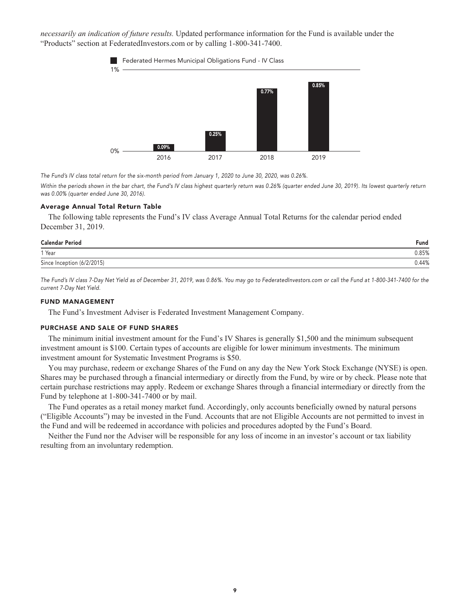*necessarily an indication of future results.* **Updated performance information for the Fund is available under the "Products" section a[t FederatedInvestors.com](https://www.federatedinvestors.com/home.do) or by calling 1-800-341-7400.**





**The Fund's IV class total return for the six-month period from January 1, 2020 to June 30, 2020, was 0.26%.**

Within the periods shown in the bar chart, the Fund's IV class highest quarterly return was 0.26% (quarter ended June 30, 2019). Its lowest quarterly return **was 0.00% (quarter ended June 30, 2016).**

#### **Average Annual Total Return Table**

**The following table represents the Fund's IV class Average Annual Total Returns for the calendar period ended December 31, 2019.**

| Fund  |
|-------|
| 0.85% |
| 0.44% |
|       |

**The Fund's IV class 7-Day Net Yield as of December 31, 2019, was 0.86%. You may go to [FederatedInvestors.com](https://www.federatedinvestors.com/home.do) or call the Fund at 1-800-341-7400 for the current 7-Day Net Yield.**

#### **FUND MANAGEMENT**

**The Fund's Investment Adviser is Federated Investment Management Company.**

#### **PURCHASE AND SALE OF FUND SHARES**

**The minimum initial investment amount for the Fund's IV Shares is generally \$1,500 and the minimum subsequent investment amount is \$100. Certain types of accounts are eligible for lower minimum investments. The minimum investment amount for Systematic Investment Programs is \$50.**

**You may purchase, redeem or exchange Shares of the Fund on any day the New York Stock Exchange (NYSE) is open. Shares may be purchased through a financial intermediary or directly from the Fund, by wire or by check. Please note that certain purchase restrictions may apply. Redeem or exchange Shares through a financial intermediary or directly from the Fund by telephone at 1-800-341-7400 or by mail.**

**The Fund operates as a retail money market fund. Accordingly, only accounts beneficially owned by natural persons ("Eligible Accounts") may be invested in the Fund. Accounts that are not Eligible Accounts are not permitted to invest in the Fund and will be redeemed in accordance with policies and procedures adopted by the Fund's Board.**

**Neither the Fund nor the Adviser will be responsible for any loss of income in an investor's account or tax liability resulting from an involuntary redemption.**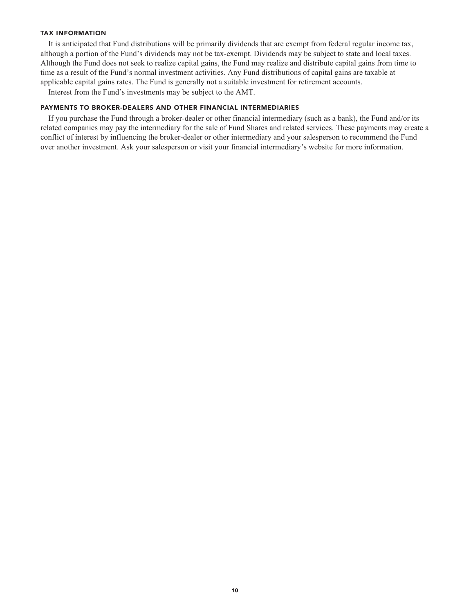#### **TAX INFORMATION**

**It is anticipated that Fund distributions will be primarily dividends that are exempt from federal regular income tax, although a portion of the Fund's dividends may not be tax-exempt. Dividends may be subject to state and local taxes. Although the Fund does not seek to realize capital gains, the Fund may realize and distribute capital gains from time to time as a result of the Fund's normal investment activities. Any Fund distributions of capital gains are taxable at applicable capital gains rates. The Fund is generally not a suitable investment for retirement accounts.**

**Interest from the Fund's investments may be subject to the AMT.**

#### **PAYMENTS TO BROKER-DEALERS AND OTHER FINANCIAL INTERMEDIARIES**

**If you purchase the Fund through a broker-dealer or other financial intermediary (such as a bank), the Fund and/or its related companies may pay the intermediary for the sale of Fund Shares and related services. These payments may create a conflict of interest by influencing the broker-dealer or other intermediary and your salesperson to recommend the Fund over another investment. Ask your salesperson or visit your financial intermediary's website for more information.**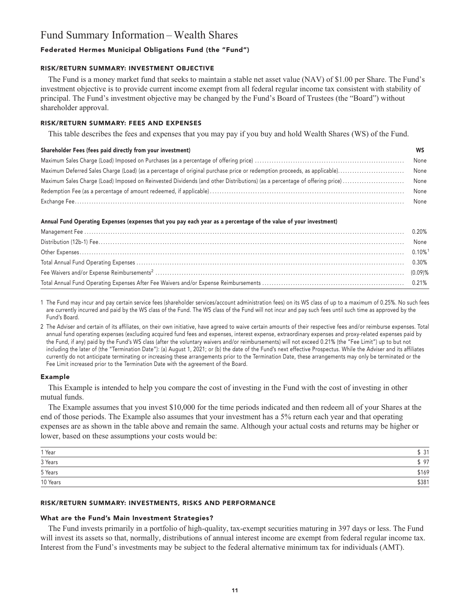### **Fund Summary Information – Wealth Shares**

#### **Federated Hermes Municipal Obligations Fund (the "Fund")**

#### **RISK/RETURN SUMMARY: INVESTMENT OBJECTIVE**

**The Fund is a money market fund that seeks to maintain a stable net asset value (NAV) of \$1.00 per Share. The Fund's investment objective is to provide current income exempt from all federal regular income tax consistent with stability of principal. The Fund's investment objective may be changed by the Fund's Board of Trustees (the "Board") without shareholder approval.**

#### **RISK/RETURN SUMMARY: FEES AND EXPENSES**

**This table describes the fees and expenses that you may pay if you buy and hold Wealth Shares (WS) of the Fund.**

#### **Shareholder Fees (fees paid directly from your investment) WS**

| None |
|------|
| None |
| None |
| None |
| None |

#### **Annual Fund Operating Expenses (expenses that you pay each year as a percentage of the value of your investment)**

| None |
|------|
|      |
|      |
|      |
|      |

**1 The Fund may incur and pay certain service fees (shareholder services/account administration fees) on its WS class of up to a maximum of 0.25%. No such fees are currently incurred and paid by the WS class of the Fund. The WS class of the Fund will not incur and pay such fees until such time as approved by the Fund's Board.**

**2 The Adviser and certain of its affiliates, on their own initiative, have agreed to waive certain amounts of their respective fees and/or reimburse expenses. Total annual fund operating expenses (excluding acquired fund fees and expenses, interest expense, extraordinary expenses and proxy-related expenses paid by the Fund, if any) paid by the Fund's WS class (after the voluntary waivers and/or reimbursements) will not exceed 0.21% (the "Fee Limit") up to but not including the later of (the "Termination Date"): (a) August 1, 2021; or (b) the date of the Fund's next effective Prospectus. While the Adviser and its affiliates currently do not anticipate terminating or increasing these arrangements prior to the Termination Date, these arrangements may only be terminated or the Fee Limit increased prior to the Termination Date with the agreement of the Board.**

#### **Example**

**This Example is intended to help you compare the cost of investing in the Fund with the cost of investing in other mutual funds.**

**The Example assumes that you invest \$10,000 for the time periods indicated and then redeem all of your Shares at the end of those periods. The Example also assumes that your investment has a 5% return each year and that operating expenses are as shown in the table above and remain the same. Although your actual costs and returns may be higher or lower, based on these assumptions your costs would be:**

| 3 Years<br>5 Years | 31    |
|--------------------|-------|
|                    | , 97  |
|                    | \$169 |
| 10 Years           | \$381 |

#### **RISK/RETURN SUMMARY: INVESTMENTS, RISKS AND PERFORMANCE**

#### **What are the Fund's Main Investment Strategies?**

**The Fund invests primarily in a portfolio of high-quality, tax-exempt securities maturing in 397 days or less. The Fund will invest its assets so that, normally, distributions of annual interest income are exempt from federal regular income tax. Interest from the Fund's investments may be subject to the federal alternative minimum tax for individuals (AMT).**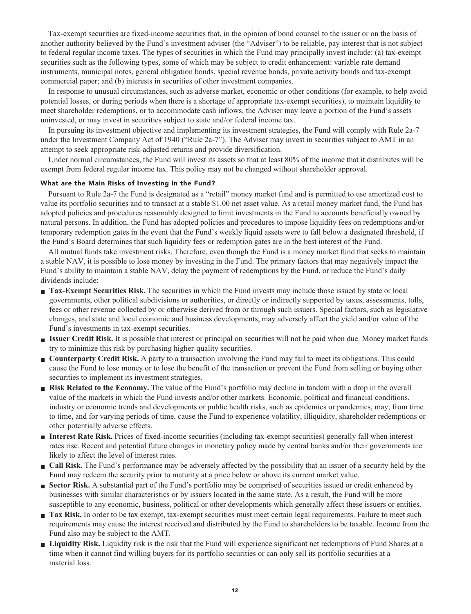**Tax-exempt securities are fixed-income securities that, in the opinion of bond counsel to the issuer or on the basis of another authority believed by the Fund's investment adviser (the "Adviser") to be reliable, pay interest that is not subject to federal regular income taxes. The types of securities in which the Fund may principally invest include: (a) tax-exempt securities such as the following types, some of which may be subject to credit enhancement: variable rate demand instruments, municipal notes, general obligation bonds, special revenue bonds, private activity bonds and tax-exempt commercial paper; and (b) interests in securities of other investment companies.**

**In response to unusual circumstances, such as adverse market, economic or other conditions (for example, to help avoid potential losses, or during periods when there is a shortage of appropriate tax-exempt securities), to maintain liquidity to meet shareholder redemptions, or to accommodate cash inflows, the Adviser may leave a portion of the Fund's assets uninvested, or may invest in securities subject to state and/or federal income tax.**

**In pursuing its investment objective and implementing its investment strategies, the Fund will comply with Rule 2a-7 under the Investment Company Act of 1940 ("Rule 2a-7"). The Adviser may invest in securities subject to AMT in an attempt to seek appropriate risk-adjusted returns and provide diversification.**

**Under normal circumstances, the Fund will invest its assets so that at least 80% of the income that it distributes will be exempt from federal regular income tax. This policy may not be changed without shareholder approval.**

#### **What are the Main Risks of Investing in the Fund?**

**Pursuant to Rule 2a-7 the Fund is designated as a "retail" money market fund and is permitted to use amortized cost to value its portfolio securities and to transact at a stable \$1.00 net asset value. As a retail money market fund, the Fund has adopted policies and procedures reasonably designed to limit investments in the Fund to accounts beneficially owned by natural persons. In addition, the Fund has adopted policies and procedures to impose liquidity fees on redemptions and/or temporary redemption gates in the event that the Fund's weekly liquid assets were to fall below a designated threshold, if the Fund's Board determines that such liquidity fees or redemption gates are in the best interest of the Fund.**

**All mutual funds take investment risks. Therefore, even though the Fund is a money market fund that seeks to maintain a stable NAV, it is possible to lose money by investing in the Fund. The primary factors that may negatively impact the Fund's ability to maintain a stable NAV, delay the payment of redemptions by the Fund, or reduce the Fund's daily dividends include:**

- **Tax-Exempt Securities Risk.** The securities in which the Fund invests may include those issued by state or local **governments, other political subdivisions or authorities, or directly or indirectly supported by taxes, assessments, tolls, fees or other revenue collected by or otherwise derived from or through such issuers. Special factors, such as legislative changes, and state and local economic and business developments, may adversely affect the yield and/or value of the Fund's investments in tax-exempt securities.**
- **■ Issuer Credit Risk. It is possible that interest or principal on securities will not be paid when due. Money market funds try to minimize this risk by purchasing higher-quality securities.**
- **Counterparty Credit Risk.** A party to a transaction involving the Fund may fail to meet its obligations. This could **cause the Fund to lose money or to lose the benefit of the transaction or prevent the Fund from selling or buying other securities to implement its investment strategies.**
- **Risk Related to the Economy.** The value of the Fund's portfolio may decline in tandem with a drop in the overall **value of the markets in which the Fund invests and/or other markets. Economic, political and financial conditions, industry or economic trends and developments or public health risks, such as epidemics or pandemics, may, from time to time, and for varying periods of time, cause the Fund to experience volatility, illiquidity, shareholder redemptions or other potentially adverse effects.**
- **■ Interest Rate Risk. Prices of fixed-income securities (including tax-exempt securities) generally fall when interest rates rise. Recent and potential future changes in monetary policy made by central banks and/or their governments are likely to affect the level of interest rates.**
- **■ Call Risk. The Fund's performance may be adversely affected by the possibility that an issuer of a security held by the Fund may redeem the security prior to maturity at a price below or above its current market value.**
- **Sector Risk.** A substantial part of the Fund's portfolio may be comprised of securities issued or credit enhanced by **businesses with similar characteristics or by issuers located in the same state. As a result, the Fund will be more susceptible to any economic, business, political or other developments which generally affect these issuers or entities.**
- **Tax Risk.** In order to be tax exempt, tax-exempt securities must meet certain legal requirements. Failure to meet such **requirements may cause the interest received and distributed by the Fund to shareholders to be taxable. Income from the Fund also may be subject to the AMT.**
- **■ Liquidity Risk. Liquidity risk is the risk that the Fund will experience significant net redemptions of Fund Shares at a time when it cannot find willing buyers for its portfolio securities or can only sell its portfolio securities at a material loss.**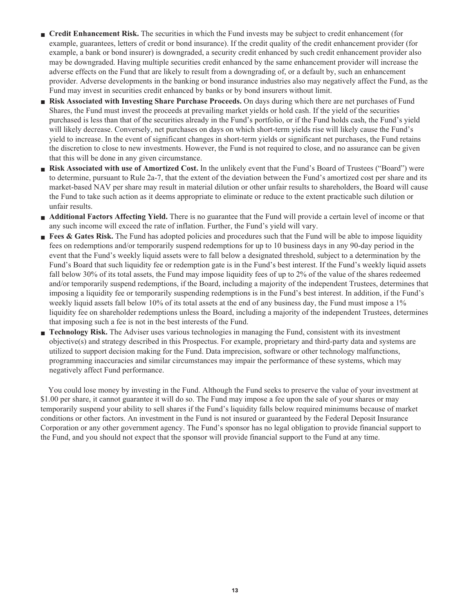- **Credit Enhancement Risk.** The securities in which the Fund invests may be subject to credit enhancement (for **example, guarantees, letters of credit or bond insurance). If the credit quality of the credit enhancement provider (for example, a bank or bond insurer) is downgraded, a security credit enhanced by such credit enhancement provider also may be downgraded. Having multiple securities credit enhanced by the same enhancement provider will increase the adverse effects on the Fund that are likely to result from a downgrading of, or a default by, such an enhancement provider. Adverse developments in the banking or bond insurance industries also may negatively affect the Fund, as the Fund may invest in securities credit enhanced by banks or by bond insurers without limit.**
- **■ Risk Associated with Investing Share Purchase Proceeds. On days during which there are net purchases of Fund Shares, the Fund must invest the proceeds at prevailing market yields or hold cash. If the yield of the securities purchased is less than that of the securities already in the Fund's portfolio, or if the Fund holds cash, the Fund's yield will likely decrease. Conversely, net purchases on days on which short-term yields rise will likely cause the Fund's yield to increase. In the event of significant changes in short-term yields or significant net purchases, the Fund retains the discretion to close to new investments. However, the Fund is not required to close, and no assurance can be given that this will be done in any given circumstance.**
- **Risk Associated with use of Amortized Cost.** In the unlikely event that the Fund's Board of Trustees ("Board") were **to determine, pursuant to Rule 2a-7, that the extent of the deviation between the Fund's amortized cost per share and its market-based NAV per share may result in material dilution or other unfair results to shareholders, the Board will cause the Fund to take such action as it deems appropriate to eliminate or reduce to the extent practicable such dilution or unfair results.**
- **Additional Factors Affecting Yield.** There is no guarantee that the Fund will provide a certain level of income or that **any such income will exceed the rate of inflation. Further, the Fund's yield will vary.**
- **Fees & Gates Risk.** The Fund has adopted policies and procedures such that the Fund will be able to impose liquidity **fees on redemptions and/or temporarily suspend redemptions for up to 10 business days in any 90-day period in the event that the Fund's weekly liquid assets were to fall below a designated threshold, subject to a determination by the Fund's Board that such liquidity fee or redemption gate is in the Fund's best interest. If the Fund's weekly liquid assets fall below 30% of its total assets, the Fund may impose liquidity fees of up to 2% of the value of the shares redeemed and/or temporarily suspend redemptions, if the Board, including a majority of the independent Trustees, determines that imposing a liquidity fee or temporarily suspending redemptions is in the Fund's best interest. In addition, if the Fund's weekly liquid assets fall below 10% of its total assets at the end of any business day, the Fund must impose a 1% liquidity fee on shareholder redemptions unless the Board, including a majority of the independent Trustees, determines that imposing such a fee is not in the best interests of the Fund.**
- **■ Technology Risk. The Adviser uses various technologies in managing the Fund, consistent with its investment objective(s) and strategy described in this Prospectus. For example, proprietary and third-party data and systems are utilized to support decision making for the Fund. Data imprecision, software or other technology malfunctions, programming inaccuracies and similar circumstances may impair the performance of these systems, which may negatively affect Fund performance.**

**You could lose money by investing in the Fund. Although the Fund seeks to preserve the value of your investment at \$1.00 per share, it cannot guarantee it will do so. The Fund may impose a fee upon the sale of your shares or may temporarily suspend your ability to sell shares if the Fund's liquidity falls below required minimums because of market conditions or other factors. An investment in the Fund is not insured or guaranteed by the Federal Deposit Insurance Corporation or any other government agency. The Fund's sponsor has no legal obligation to provide financial support to the Fund, and you should not expect that the sponsor will provide financial support to the Fund at any time.**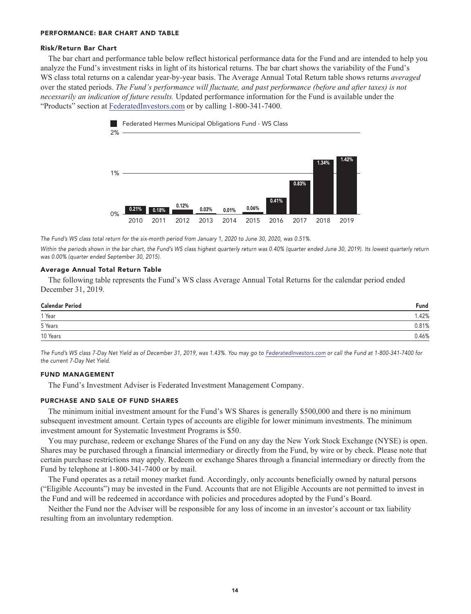#### **PERFORMANCE: BAR CHART AND TABLE**

#### **Risk/Return Bar Chart**

**The bar chart and performance table below reflect historical performance data for the Fund and are intended to help you analyze the Fund's investment risks in light of its historical returns. The bar chart shows the variability of the Fund's WS class total returns on a calendar year-by-year basis. The Average Annual Total Return table shows returns** *averaged* **over the stated periods.** *The Fund's performance will fluctuate, and past performance (before and after taxes) is not necessarily an indication of future results.* **Updated performance information for the Fund is available under the "Products" section at [FederatedInvestors.com](https://www.federatedinvestors.com/home.do) or by calling 1-800-341-7400.**



**The Fund's WS class total return for the six-month period from January 1, 2020 to June 30, 2020, was 0.51%.**

**Within the periods shown in the bar chart, the Fund's WS class highest quarterly return was 0.40% (quarter ended June 30, 2019). Its lowest quarterly return was 0.00% (quarter ended September 30, 2015).**

#### **Average Annual Total Return Table**

**The following table represents the Fund's WS class Average Annual Total Returns for the calendar period ended December 31, 2019.**

| <b>Calendar Period</b> | Fund  |
|------------------------|-------|
| 1 Year                 | .42%  |
| 5 Years                | 0.81% |
| 10 Years               | 0.46% |

**The Fund's WS class 7-Day Net Yield as of December 31, 2019, was 1.43%. You may go to [FederatedInvestors.com](https://www.federatedinvestors.com/home.do) or call the Fund at 1-800-341-7400 for the current 7-Day Net Yield.**

#### **FUND MANAGEMENT**

**The Fund's Investment Adviser is Federated Investment Management Company.**

#### **PURCHASE AND SALE OF FUND SHARES**

**The minimum initial investment amount for the Fund's WS Shares is generally \$500,000 and there is no minimum subsequent investment amount. Certain types of accounts are eligible for lower minimum investments. The minimum investment amount for Systematic Investment Programs is \$50.**

**You may purchase, redeem or exchange Shares of the Fund on any day the New York Stock Exchange (NYSE) is open. Shares may be purchased through a financial intermediary or directly from the Fund, by wire or by check. Please note that certain purchase restrictions may apply. Redeem or exchange Shares through a financial intermediary or directly from the Fund by telephone at 1-800-341-7400 or by mail.**

**The Fund operates as a retail money market fund. Accordingly, only accounts beneficially owned by natural persons ("Eligible Accounts") may be invested in the Fund. Accounts that are not Eligible Accounts are not permitted to invest in the Fund and will be redeemed in accordance with policies and procedures adopted by the Fund's Board.**

**Neither the Fund nor the Adviser will be responsible for any loss of income in an investor's account or tax liability resulting from an involuntary redemption.**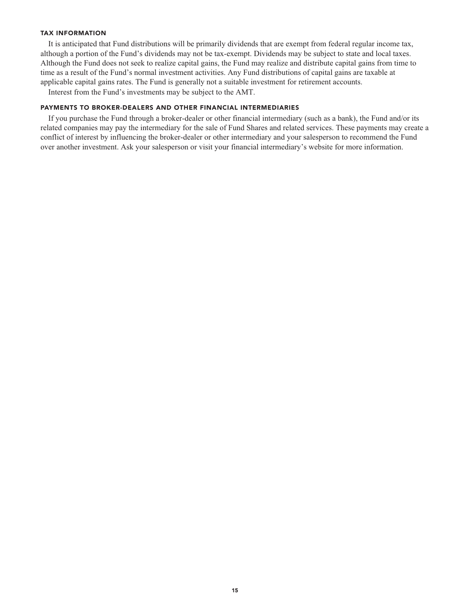#### **TAX INFORMATION**

**It is anticipated that Fund distributions will be primarily dividends that are exempt from federal regular income tax, although a portion of the Fund's dividends may not be tax-exempt. Dividends may be subject to state and local taxes. Although the Fund does not seek to realize capital gains, the Fund may realize and distribute capital gains from time to time as a result of the Fund's normal investment activities. Any Fund distributions of capital gains are taxable at applicable capital gains rates. The Fund is generally not a suitable investment for retirement accounts.**

**Interest from the Fund's investments may be subject to the AMT.**

#### **PAYMENTS TO BROKER-DEALERS AND OTHER FINANCIAL INTERMEDIARIES**

**If you purchase the Fund through a broker-dealer or other financial intermediary (such as a bank), the Fund and/or its related companies may pay the intermediary for the sale of Fund Shares and related services. These payments may create a conflict of interest by influencing the broker-dealer or other intermediary and your salesperson to recommend the Fund over another investment. Ask your salesperson or visit your financial intermediary's website for more information.**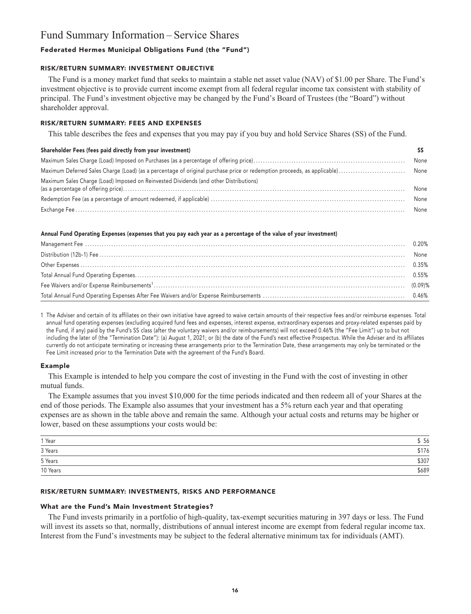### **Fund Summary Information – Service Shares**

#### **Federated Hermes Municipal Obligations Fund (the "Fund")**

#### **RISK/RETURN SUMMARY: INVESTMENT OBJECTIVE**

**The Fund is a money market fund that seeks to maintain a stable net asset value (NAV) of \$1.00 per Share. The Fund's investment objective is to provide current income exempt from all federal regular income tax consistent with stability of principal. The Fund's investment objective may be changed by the Fund's Board of Trustees (the "Board") without shareholder approval.**

#### **RISK/RETURN SUMMARY: FEES AND EXPENSES**

**This table describes the fees and expenses that you may pay if you buy and hold Service Shares (SS) of the Fund.**

#### **Shareholder Fees (fees paid directly from your investment) SS**

| Maximum Sales Charge (Load) Imposed on Reinvested Dividends (and other Distributions) | None |
|---------------------------------------------------------------------------------------|------|
|                                                                                       | None |
|                                                                                       |      |

#### **Annual Fund Operating Expenses (expenses that you pay each year as a percentage of the value of your investment)**

**1 The Adviser and certain of its affiliates on their own initiative have agreed to waive certain amounts of their respective fees and/or reimburse expenses. Total annual fund operating expenses (excluding acquired fund fees and expenses, interest expense, extraordinary expenses and proxy-related expenses paid by the Fund, if any) paid by the Fund's SS class (after the voluntary waivers and/or reimbursements) will not exceed 0.46% (the "Fee Limit") up to but not including the later of (the "Termination Date"): (a) August 1, 2021; or (b) the date of the Fund's next effective Prospectus. While the Adviser and its affiliates currently do not anticipate terminating or increasing these arrangements prior to the Termination Date, these arrangements may only be terminated or the Fee Limit increased prior to the Termination Date with the agreement of the Fund's Board.**

#### **Example**

**This Example is intended to help you compare the cost of investing in the Fund with the cost of investing in other mutual funds.**

**The Example assumes that you invest \$10,000 for the time periods indicated and then redeem all of your Shares at the end of those periods. The Example also assumes that your investment has a 5% return each year and that operating expenses are as shown in the table above and remain the same. Although your actual costs and returns may be higher or lower, based on these assumptions your costs would be:**

| 1 Year   | 56    |
|----------|-------|
| 3 Years  | \$176 |
| 5 Years  | \$307 |
| 10 Years | \$689 |

#### **RISK/RETURN SUMMARY: INVESTMENTS, RISKS AND PERFORMANCE**

#### **What are the Fund's Main Investment Strategies?**

**The Fund invests primarily in a portfolio of high-quality, tax-exempt securities maturing in 397 days or less. The Fund will invest its assets so that, normally, distributions of annual interest income are exempt from federal regular income tax. Interest from the Fund's investments may be subject to the federal alternative minimum tax for individuals (AMT).**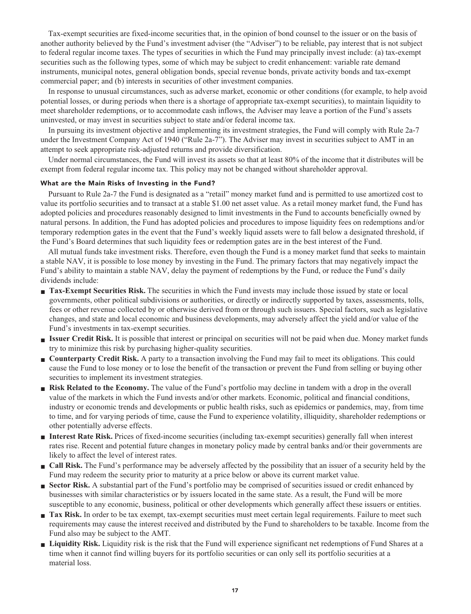**Tax-exempt securities are fixed-income securities that, in the opinion of bond counsel to the issuer or on the basis of another authority believed by the Fund's investment adviser (the "Adviser") to be reliable, pay interest that is not subject to federal regular income taxes. The types of securities in which the Fund may principally invest include: (a) tax-exempt securities such as the following types, some of which may be subject to credit enhancement: variable rate demand instruments, municipal notes, general obligation bonds, special revenue bonds, private activity bonds and tax-exempt commercial paper; and (b) interests in securities of other investment companies.**

**In response to unusual circumstances, such as adverse market, economic or other conditions (for example, to help avoid potential losses, or during periods when there is a shortage of appropriate tax-exempt securities), to maintain liquidity to meet shareholder redemptions, or to accommodate cash inflows, the Adviser may leave a portion of the Fund's assets uninvested, or may invest in securities subject to state and/or federal income tax.**

**In pursuing its investment objective and implementing its investment strategies, the Fund will comply with Rule 2a-7 under the Investment Company Act of 1940 ("Rule 2a-7"). The Adviser may invest in securities subject to AMT in an attempt to seek appropriate risk-adjusted returns and provide diversification.**

**Under normal circumstances, the Fund will invest its assets so that at least 80% of the income that it distributes will be exempt from federal regular income tax. This policy may not be changed without shareholder approval.**

#### **What are the Main Risks of Investing in the Fund?**

**Pursuant to Rule 2a-7 the Fund is designated as a "retail" money market fund and is permitted to use amortized cost to value its portfolio securities and to transact at a stable \$1.00 net asset value. As a retail money market fund, the Fund has adopted policies and procedures reasonably designed to limit investments in the Fund to accounts beneficially owned by natural persons. In addition, the Fund has adopted policies and procedures to impose liquidity fees on redemptions and/or temporary redemption gates in the event that the Fund's weekly liquid assets were to fall below a designated threshold, if the Fund's Board determines that such liquidity fees or redemption gates are in the best interest of the Fund.**

**All mutual funds take investment risks. Therefore, even though the Fund is a money market fund that seeks to maintain a stable NAV, it is possible to lose money by investing in the Fund. The primary factors that may negatively impact the Fund's ability to maintain a stable NAV, delay the payment of redemptions by the Fund, or reduce the Fund's daily dividends include:**

- **Tax-Exempt Securities Risk.** The securities in which the Fund invests may include those issued by state or local **governments, other political subdivisions or authorities, or directly or indirectly supported by taxes, assessments, tolls, fees or other revenue collected by or otherwise derived from or through such issuers. Special factors, such as legislative changes, and state and local economic and business developments, may adversely affect the yield and/or value of the Fund's investments in tax-exempt securities.**
- **■ Issuer Credit Risk. It is possible that interest or principal on securities will not be paid when due. Money market funds try to minimize this risk by purchasing higher-quality securities.**
- **Counterparty Credit Risk.** A party to a transaction involving the Fund may fail to meet its obligations. This could **cause the Fund to lose money or to lose the benefit of the transaction or prevent the Fund from selling or buying other securities to implement its investment strategies.**
- **Risk Related to the Economy.** The value of the Fund's portfolio may decline in tandem with a drop in the overall **value of the markets in which the Fund invests and/or other markets. Economic, political and financial conditions, industry or economic trends and developments or public health risks, such as epidemics or pandemics, may, from time to time, and for varying periods of time, cause the Fund to experience volatility, illiquidity, shareholder redemptions or other potentially adverse effects.**
- **■ Interest Rate Risk. Prices of fixed-income securities (including tax-exempt securities) generally fall when interest rates rise. Recent and potential future changes in monetary policy made by central banks and/or their governments are likely to affect the level of interest rates.**
- **■ Call Risk. The Fund's performance may be adversely affected by the possibility that an issuer of a security held by the Fund may redeem the security prior to maturity at a price below or above its current market value.**
- **Sector Risk.** A substantial part of the Fund's portfolio may be comprised of securities issued or credit enhanced by **businesses with similar characteristics or by issuers located in the same state. As a result, the Fund will be more susceptible to any economic, business, political or other developments which generally affect these issuers or entities.**
- **Tax Risk.** In order to be tax exempt, tax-exempt securities must meet certain legal requirements. Failure to meet such **requirements may cause the interest received and distributed by the Fund to shareholders to be taxable. Income from the Fund also may be subject to the AMT.**
- **■ Liquidity Risk. Liquidity risk is the risk that the Fund will experience significant net redemptions of Fund Shares at a time when it cannot find willing buyers for its portfolio securities or can only sell its portfolio securities at a material loss.**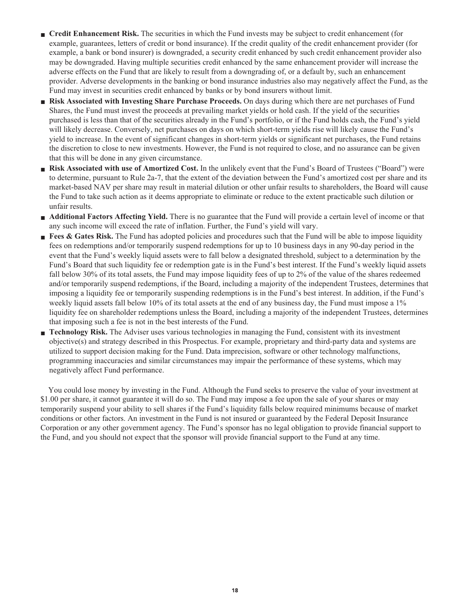- **Credit Enhancement Risk.** The securities in which the Fund invests may be subject to credit enhancement (for **example, guarantees, letters of credit or bond insurance). If the credit quality of the credit enhancement provider (for example, a bank or bond insurer) is downgraded, a security credit enhanced by such credit enhancement provider also may be downgraded. Having multiple securities credit enhanced by the same enhancement provider will increase the adverse effects on the Fund that are likely to result from a downgrading of, or a default by, such an enhancement provider. Adverse developments in the banking or bond insurance industries also may negatively affect the Fund, as the Fund may invest in securities credit enhanced by banks or by bond insurers without limit.**
- **■ Risk Associated with Investing Share Purchase Proceeds. On days during which there are net purchases of Fund Shares, the Fund must invest the proceeds at prevailing market yields or hold cash. If the yield of the securities purchased is less than that of the securities already in the Fund's portfolio, or if the Fund holds cash, the Fund's yield will likely decrease. Conversely, net purchases on days on which short-term yields rise will likely cause the Fund's yield to increase. In the event of significant changes in short-term yields or significant net purchases, the Fund retains the discretion to close to new investments. However, the Fund is not required to close, and no assurance can be given that this will be done in any given circumstance.**
- **Risk Associated with use of Amortized Cost.** In the unlikely event that the Fund's Board of Trustees ("Board") were **to determine, pursuant to Rule 2a-7, that the extent of the deviation between the Fund's amortized cost per share and its market-based NAV per share may result in material dilution or other unfair results to shareholders, the Board will cause the Fund to take such action as it deems appropriate to eliminate or reduce to the extent practicable such dilution or unfair results.**
- **Additional Factors Affecting Yield.** There is no guarantee that the Fund will provide a certain level of income or that **any such income will exceed the rate of inflation. Further, the Fund's yield will vary.**
- **Fees & Gates Risk.** The Fund has adopted policies and procedures such that the Fund will be able to impose liquidity **fees on redemptions and/or temporarily suspend redemptions for up to 10 business days in any 90-day period in the event that the Fund's weekly liquid assets were to fall below a designated threshold, subject to a determination by the Fund's Board that such liquidity fee or redemption gate is in the Fund's best interest. If the Fund's weekly liquid assets fall below 30% of its total assets, the Fund may impose liquidity fees of up to 2% of the value of the shares redeemed and/or temporarily suspend redemptions, if the Board, including a majority of the independent Trustees, determines that imposing a liquidity fee or temporarily suspending redemptions is in the Fund's best interest. In addition, if the Fund's weekly liquid assets fall below 10% of its total assets at the end of any business day, the Fund must impose a 1% liquidity fee on shareholder redemptions unless the Board, including a majority of the independent Trustees, determines that imposing such a fee is not in the best interests of the Fund.**
- **■ Technology Risk. The Adviser uses various technologies in managing the Fund, consistent with its investment objective(s) and strategy described in this Prospectus. For example, proprietary and third-party data and systems are utilized to support decision making for the Fund. Data imprecision, software or other technology malfunctions, programming inaccuracies and similar circumstances may impair the performance of these systems, which may negatively affect Fund performance.**

**You could lose money by investing in the Fund. Although the Fund seeks to preserve the value of your investment at \$1.00 per share, it cannot guarantee it will do so. The Fund may impose a fee upon the sale of your shares or may temporarily suspend your ability to sell shares if the Fund's liquidity falls below required minimums because of market conditions or other factors. An investment in the Fund is not insured or guaranteed by the Federal Deposit Insurance Corporation or any other government agency. The Fund's sponsor has no legal obligation to provide financial support to the Fund, and you should not expect that the sponsor will provide financial support to the Fund at any time.**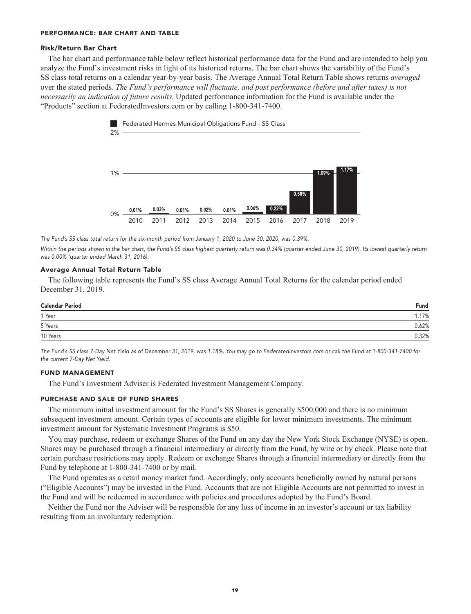#### **PERFORMANCE: BAR CHART AND TABLE**

#### **Risk/Return Bar Chart**

**The bar chart and performance table below reflect historical performance data for the Fund and are intended to help you analyze the Fund's investment risks in light of its historical returns. The bar chart shows the variability of the Fund's SS class total returns on a calendar year-by-year basis. The Average Annual Total Return Table shows returns** *averaged* **over the stated periods.** *The Fund's performance will fluctuate, and past performance (before and after taxes) is not necessarily an indication of future results.* **Updated performance information for the Fund is available under the "Products" section a[t FederatedInvestors.com](https://www.federatedinvestors.com/home.do) or by calling 1-800-341-7400.**



**The Fund's SS class total return for the six-month period from January 1, 2020 to June 30, 2020, was 0.39%.**

Within the periods shown in the bar chart, the Fund's SS class highest quarterly return was 0.34% (quarter ended June 30, 2019). Its lowest quarterly return **was 0.00% (quarter ended March 31, 2016).**

#### **Average Annual Total Return Table**

**The following table represents the Fund's SS class Average Annual Total Returns for the calendar period ended December 31, 2019.**

| <b>Calendar Period</b> | Fund  |
|------------------------|-------|
| 1 Year                 | .17%  |
| 5 Years                | 0.62% |
| 10 Years               | 0.32% |

**The Fund's SS class 7-Day Net Yield as of December 31, 2019, was 1.18%. You may go to [FederatedInvestors.com](https://www.federatedinvestors.com/home.do) or call the Fund at 1-800-341-7400 for the current 7-Day Net Yield.**

#### **FUND MANAGEMENT**

**The Fund's Investment Adviser is Federated Investment Management Company.**

#### **PURCHASE AND SALE OF FUND SHARES**

**The minimum initial investment amount for the Fund's SS Shares is generally \$500,000 and there is no minimum subsequent investment amount. Certain types of accounts are eligible for lower minimum investments. The minimum investment amount for Systematic Investment Programs is \$50.**

**You may purchase, redeem or exchange Shares of the Fund on any day the New York Stock Exchange (NYSE) is open. Shares may be purchased through a financial intermediary or directly from the Fund, by wire or by check. Please note that certain purchase restrictions may apply. Redeem or exchange Shares through a financial intermediary or directly from the Fund by telephone at 1-800-341-7400 or by mail.**

**The Fund operates as a retail money market fund. Accordingly, only accounts beneficially owned by natural persons ("Eligible Accounts") may be invested in the Fund. Accounts that are not Eligible Accounts are not permitted to invest in the Fund and will be redeemed in accordance with policies and procedures adopted by the Fund's Board.**

**Neither the Fund nor the Adviser will be responsible for any loss of income in an investor's account or tax liability resulting from an involuntary redemption.**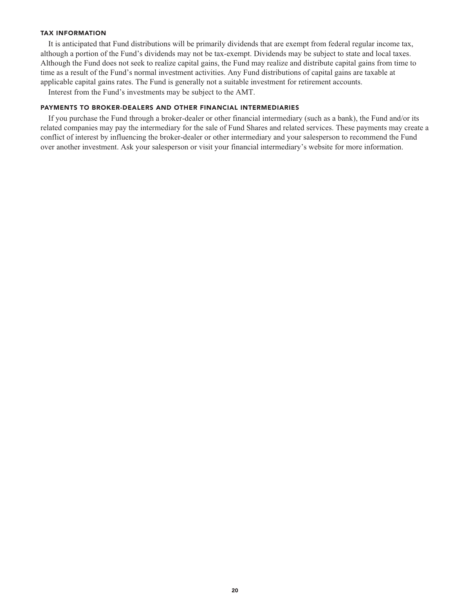#### **TAX INFORMATION**

**It is anticipated that Fund distributions will be primarily dividends that are exempt from federal regular income tax, although a portion of the Fund's dividends may not be tax-exempt. Dividends may be subject to state and local taxes. Although the Fund does not seek to realize capital gains, the Fund may realize and distribute capital gains from time to time as a result of the Fund's normal investment activities. Any Fund distributions of capital gains are taxable at applicable capital gains rates. The Fund is generally not a suitable investment for retirement accounts.**

**Interest from the Fund's investments may be subject to the AMT.**

#### **PAYMENTS TO BROKER-DEALERS AND OTHER FINANCIAL INTERMEDIARIES**

**If you purchase the Fund through a broker-dealer or other financial intermediary (such as a bank), the Fund and/or its related companies may pay the intermediary for the sale of Fund Shares and related services. These payments may create a conflict of interest by influencing the broker-dealer or other intermediary and your salesperson to recommend the Fund over another investment. Ask your salesperson or visit your financial intermediary's website for more information.**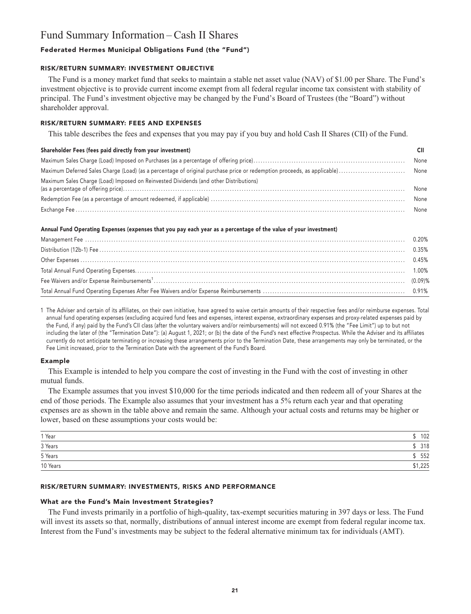### **Fund Summary Information – Cash II Shares**

#### **Federated Hermes Municipal Obligations Fund (the "Fund")**

#### **RISK/RETURN SUMMARY: INVESTMENT OBJECTIVE**

**The Fund is a money market fund that seeks to maintain a stable net asset value (NAV) of \$1.00 per Share. The Fund's investment objective is to provide current income exempt from all federal regular income tax consistent with stability of principal. The Fund's investment objective may be changed by the Fund's Board of Trustees (the "Board") without shareholder approval.**

#### **RISK/RETURN SUMMARY: FEES AND EXPENSES**

**This table describes the fees and expenses that you may pay if you buy and hold Cash II Shares (CII) of the Fund.**

#### **Shareholder Fees (fees paid directly from your investment) CII**

| Maximum Sales Charge (Load) Imposed on Reinvested Dividends (and other Distributions) | None |
|---------------------------------------------------------------------------------------|------|
|                                                                                       | None |
|                                                                                       |      |

#### **Annual Fund Operating Expenses (expenses that you pay each year as a percentage of the value of your investment)**

**1 The Adviser and certain of its affiliates, on their own initiative, have agreed to waive certain amounts of their respective fees and/or reimburse expenses. Total annual fund operating expenses (excluding acquired fund fees and expenses, interest expense, extraordinary expenses and proxy-related expenses paid by the Fund, if any) paid by the Fund's CII class (after the voluntary waivers and/or reimbursements) will not exceed 0.91% (the "Fee Limit") up to but not including the later of (the "Termination Date"): (a) August 1, 2021; or (b) the date of the Fund's next effective Prospectus. While the Adviser and its affiliates currently do not anticipate terminating or increasing these arrangements prior to the Termination Date, these arrangements may only be terminated, or the Fee Limit increased, prior to the Termination Date with the agreement of the Fund's Board.**

#### **Example**

**This Example is intended to help you compare the cost of investing in the Fund with the cost of investing in other mutual funds.**

**The Example assumes that you invest \$10,000 for the time periods indicated and then redeem all of your Shares at the end of those periods. The Example also assumes that your investment has a 5% return each year and that operating expenses are as shown in the table above and remain the same. Although your actual costs and returns may be higher or lower, based on these assumptions your costs would be:**

| 1 Year   | 102     |
|----------|---------|
| 3 Years  | 318     |
| 5 Years  | 552     |
| 10 Years | \$1,225 |

#### **RISK/RETURN SUMMARY: INVESTMENTS, RISKS AND PERFORMANCE**

#### **What are the Fund's Main Investment Strategies?**

**The Fund invests primarily in a portfolio of high-quality, tax-exempt securities maturing in 397 days or less. The Fund will invest its assets so that, normally, distributions of annual interest income are exempt from federal regular income tax. Interest from the Fund's investments may be subject to the federal alternative minimum tax for individuals (AMT).**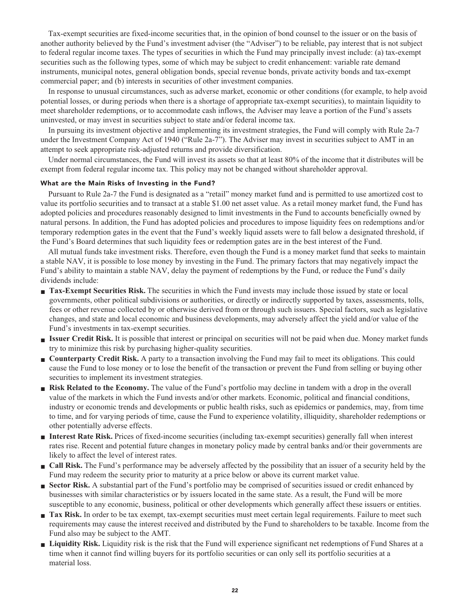**Tax-exempt securities are fixed-income securities that, in the opinion of bond counsel to the issuer or on the basis of another authority believed by the Fund's investment adviser (the "Adviser") to be reliable, pay interest that is not subject to federal regular income taxes. The types of securities in which the Fund may principally invest include: (a) tax-exempt securities such as the following types, some of which may be subject to credit enhancement: variable rate demand instruments, municipal notes, general obligation bonds, special revenue bonds, private activity bonds and tax-exempt commercial paper; and (b) interests in securities of other investment companies.**

**In response to unusual circumstances, such as adverse market, economic or other conditions (for example, to help avoid potential losses, or during periods when there is a shortage of appropriate tax-exempt securities), to maintain liquidity to meet shareholder redemptions, or to accommodate cash inflows, the Adviser may leave a portion of the Fund's assets uninvested, or may invest in securities subject to state and/or federal income tax.**

**In pursuing its investment objective and implementing its investment strategies, the Fund will comply with Rule 2a-7 under the Investment Company Act of 1940 ("Rule 2a-7"). The Adviser may invest in securities subject to AMT in an attempt to seek appropriate risk-adjusted returns and provide diversification.**

**Under normal circumstances, the Fund will invest its assets so that at least 80% of the income that it distributes will be exempt from federal regular income tax. This policy may not be changed without shareholder approval.**

#### **What are the Main Risks of Investing in the Fund?**

**Pursuant to Rule 2a-7 the Fund is designated as a "retail" money market fund and is permitted to use amortized cost to value its portfolio securities and to transact at a stable \$1.00 net asset value. As a retail money market fund, the Fund has adopted policies and procedures reasonably designed to limit investments in the Fund to accounts beneficially owned by natural persons. In addition, the Fund has adopted policies and procedures to impose liquidity fees on redemptions and/or temporary redemption gates in the event that the Fund's weekly liquid assets were to fall below a designated threshold, if the Fund's Board determines that such liquidity fees or redemption gates are in the best interest of the Fund.**

**All mutual funds take investment risks. Therefore, even though the Fund is a money market fund that seeks to maintain a stable NAV, it is possible to lose money by investing in the Fund. The primary factors that may negatively impact the Fund's ability to maintain a stable NAV, delay the payment of redemptions by the Fund, or reduce the Fund's daily dividends include:**

- **Tax-Exempt Securities Risk.** The securities in which the Fund invests may include those issued by state or local **governments, other political subdivisions or authorities, or directly or indirectly supported by taxes, assessments, tolls, fees or other revenue collected by or otherwise derived from or through such issuers. Special factors, such as legislative changes, and state and local economic and business developments, may adversely affect the yield and/or value of the Fund's investments in tax-exempt securities.**
- **■ Issuer Credit Risk. It is possible that interest or principal on securities will not be paid when due. Money market funds try to minimize this risk by purchasing higher-quality securities.**
- **Counterparty Credit Risk.** A party to a transaction involving the Fund may fail to meet its obligations. This could **cause the Fund to lose money or to lose the benefit of the transaction or prevent the Fund from selling or buying other securities to implement its investment strategies.**
- **Risk Related to the Economy.** The value of the Fund's portfolio may decline in tandem with a drop in the overall **value of the markets in which the Fund invests and/or other markets. Economic, political and financial conditions, industry or economic trends and developments or public health risks, such as epidemics or pandemics, may, from time to time, and for varying periods of time, cause the Fund to experience volatility, illiquidity, shareholder redemptions or other potentially adverse effects.**
- **■ Interest Rate Risk. Prices of fixed-income securities (including tax-exempt securities) generally fall when interest rates rise. Recent and potential future changes in monetary policy made by central banks and/or their governments are likely to affect the level of interest rates.**
- **■ Call Risk. The Fund's performance may be adversely affected by the possibility that an issuer of a security held by the Fund may redeem the security prior to maturity at a price below or above its current market value.**
- **Sector Risk.** A substantial part of the Fund's portfolio may be comprised of securities issued or credit enhanced by **businesses with similar characteristics or by issuers located in the same state. As a result, the Fund will be more susceptible to any economic, business, political or other developments which generally affect these issuers or entities.**
- **Tax Risk.** In order to be tax exempt, tax-exempt securities must meet certain legal requirements. Failure to meet such **requirements may cause the interest received and distributed by the Fund to shareholders to be taxable. Income from the Fund also may be subject to the AMT.**
- **■ Liquidity Risk. Liquidity risk is the risk that the Fund will experience significant net redemptions of Fund Shares at a time when it cannot find willing buyers for its portfolio securities or can only sell its portfolio securities at a material loss.**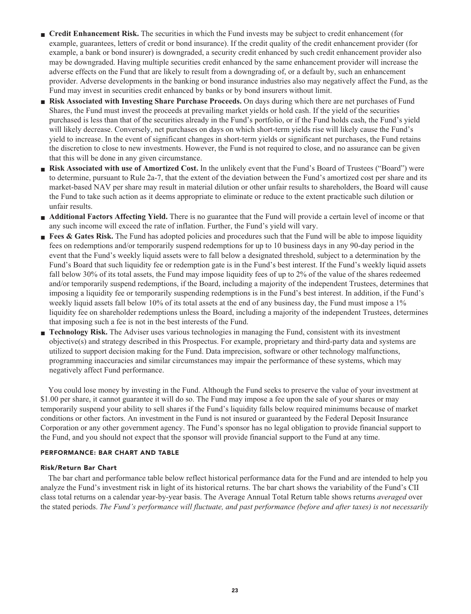- **Credit Enhancement Risk.** The securities in which the Fund invests may be subject to credit enhancement (for **example, guarantees, letters of credit or bond insurance). If the credit quality of the credit enhancement provider (for example, a bank or bond insurer) is downgraded, a security credit enhanced by such credit enhancement provider also may be downgraded. Having multiple securities credit enhanced by the same enhancement provider will increase the adverse effects on the Fund that are likely to result from a downgrading of, or a default by, such an enhancement provider. Adverse developments in the banking or bond insurance industries also may negatively affect the Fund, as the Fund may invest in securities credit enhanced by banks or by bond insurers without limit.**
- **■ Risk Associated with Investing Share Purchase Proceeds. On days during which there are net purchases of Fund Shares, the Fund must invest the proceeds at prevailing market yields or hold cash. If the yield of the securities purchased is less than that of the securities already in the Fund's portfolio, or if the Fund holds cash, the Fund's yield will likely decrease. Conversely, net purchases on days on which short-term yields rise will likely cause the Fund's yield to increase. In the event of significant changes in short-term yields or significant net purchases, the Fund retains the discretion to close to new investments. However, the Fund is not required to close, and no assurance can be given that this will be done in any given circumstance.**
- **Risk Associated with use of Amortized Cost.** In the unlikely event that the Fund's Board of Trustees ("Board") were **to determine, pursuant to Rule 2a-7, that the extent of the deviation between the Fund's amortized cost per share and its market-based NAV per share may result in material dilution or other unfair results to shareholders, the Board will cause the Fund to take such action as it deems appropriate to eliminate or reduce to the extent practicable such dilution or unfair results.**
- **Additional Factors Affecting Yield.** There is no guarantee that the Fund will provide a certain level of income or that **any such income will exceed the rate of inflation. Further, the Fund's yield will vary.**
- **Fees & Gates Risk.** The Fund has adopted policies and procedures such that the Fund will be able to impose liquidity **fees on redemptions and/or temporarily suspend redemptions for up to 10 business days in any 90-day period in the event that the Fund's weekly liquid assets were to fall below a designated threshold, subject to a determination by the Fund's Board that such liquidity fee or redemption gate is in the Fund's best interest. If the Fund's weekly liquid assets fall below 30% of its total assets, the Fund may impose liquidity fees of up to 2% of the value of the shares redeemed and/or temporarily suspend redemptions, if the Board, including a majority of the independent Trustees, determines that imposing a liquidity fee or temporarily suspending redemptions is in the Fund's best interest. In addition, if the Fund's weekly liquid assets fall below 10% of its total assets at the end of any business day, the Fund must impose a 1% liquidity fee on shareholder redemptions unless the Board, including a majority of the independent Trustees, determines that imposing such a fee is not in the best interests of the Fund.**
- **■ Technology Risk. The Adviser uses various technologies in managing the Fund, consistent with its investment objective(s) and strategy described in this Prospectus. For example, proprietary and third-party data and systems are utilized to support decision making for the Fund. Data imprecision, software or other technology malfunctions, programming inaccuracies and similar circumstances may impair the performance of these systems, which may negatively affect Fund performance.**

**You could lose money by investing in the Fund. Although the Fund seeks to preserve the value of your investment at \$1.00 per share, it cannot guarantee it will do so. The Fund may impose a fee upon the sale of your shares or may temporarily suspend your ability to sell shares if the Fund's liquidity falls below required minimums because of market conditions or other factors. An investment in the Fund is not insured or guaranteed by the Federal Deposit Insurance Corporation or any other government agency. The Fund's sponsor has no legal obligation to provide financial support to the Fund, and you should not expect that the sponsor will provide financial support to the Fund at any time.**

#### **PERFORMANCE: BAR CHART AND TABLE**

#### **Risk/Return Bar Chart**

**The bar chart and performance table below reflect historical performance data for the Fund and are intended to help you analyze the Fund's investment risk in light of its historical returns. The bar chart shows the variability of the Fund's CII class total returns on a calendar year-by-year basis. The Average Annual Total Return table shows returns** *averaged* **over the stated periods.** *The Fund's performance will fluctuate, and past performance (before and after taxes) is not necessarily*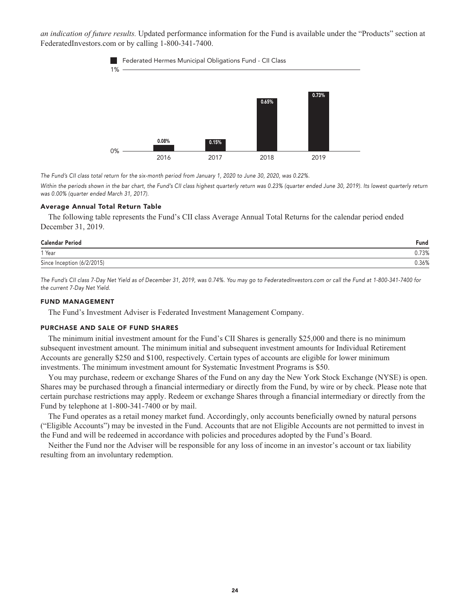*an indication of future results.* **Updated performance information for the Fund is available under the "Products" section at [FederatedInvestors.com](https://www.federatedinvestors.com/home.do) or by calling 1-800-341-7400.**





**The Fund's CII class total return for the six-month period from January 1, 2020 to June 30, 2020, was 0.22%.**

Within the periods shown in the bar chart, the Fund's CII class highest quarterly return was 0.23% (quarter ended June 30, 2019). Its lowest quarterly return **was 0.00% (quarter ended March 31, 2017).**

#### **Average Annual Total Return Table**

**The following table represents the Fund's CII class Average Annual Total Returns for the calendar period ended December 31, 2019.**

| <b>Calendar Period</b>     | Fund  |
|----------------------------|-------|
| 1 Year                     | 0.73% |
| Since Inception (6/2/2015) | 0.36% |

**The Fund's CII class 7-Day Net Yield as of December 31, 2019, was 0.74%. You may go to [FederatedInvestors.com](https://www.federatedinvestors.com/home.do) or call the Fund at 1-800-341-7400 for the current 7-Day Net Yield.**

#### **FUND MANAGEMENT**

**The Fund's Investment Adviser is Federated Investment Management Company.**

#### **PURCHASE AND SALE OF FUND SHARES**

**The minimum initial investment amount for the Fund's CII Shares is generally \$25,000 and there is no minimum subsequent investment amount. The minimum initial and subsequent investment amounts for Individual Retirement Accounts are generally \$250 and \$100, respectively. Certain types of accounts are eligible for lower minimum investments. The minimum investment amount for Systematic Investment Programs is \$50.**

**You may purchase, redeem or exchange Shares of the Fund on any day the New York Stock Exchange (NYSE) is open. Shares may be purchased through a financial intermediary or directly from the Fund, by wire or by check. Please note that certain purchase restrictions may apply. Redeem or exchange Shares through a financial intermediary or directly from the Fund by telephone at 1-800-341-7400 or by mail.**

**The Fund operates as a retail money market fund. Accordingly, only accounts beneficially owned by natural persons ("Eligible Accounts") may be invested in the Fund. Accounts that are not Eligible Accounts are not permitted to invest in the Fund and will be redeemed in accordance with policies and procedures adopted by the Fund's Board.**

**Neither the Fund nor the Adviser will be responsible for any loss of income in an investor's account or tax liability resulting from an involuntary redemption.**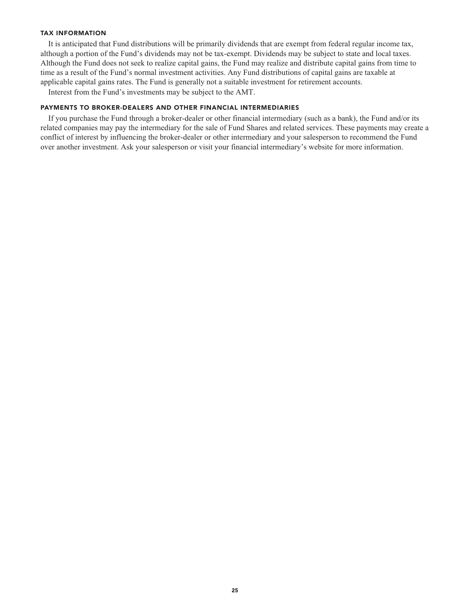#### **TAX INFORMATION**

**It is anticipated that Fund distributions will be primarily dividends that are exempt from federal regular income tax, although a portion of the Fund's dividends may not be tax-exempt. Dividends may be subject to state and local taxes. Although the Fund does not seek to realize capital gains, the Fund may realize and distribute capital gains from time to time as a result of the Fund's normal investment activities. Any Fund distributions of capital gains are taxable at applicable capital gains rates. The Fund is generally not a suitable investment for retirement accounts.**

**Interest from the Fund's investments may be subject to the AMT.**

#### **PAYMENTS TO BROKER-DEALERS AND OTHER FINANCIAL INTERMEDIARIES**

**If you purchase the Fund through a broker-dealer or other financial intermediary (such as a bank), the Fund and/or its related companies may pay the intermediary for the sale of Fund Shares and related services. These payments may create a conflict of interest by influencing the broker-dealer or other intermediary and your salesperson to recommend the Fund over another investment. Ask your salesperson or visit your financial intermediary's website for more information.**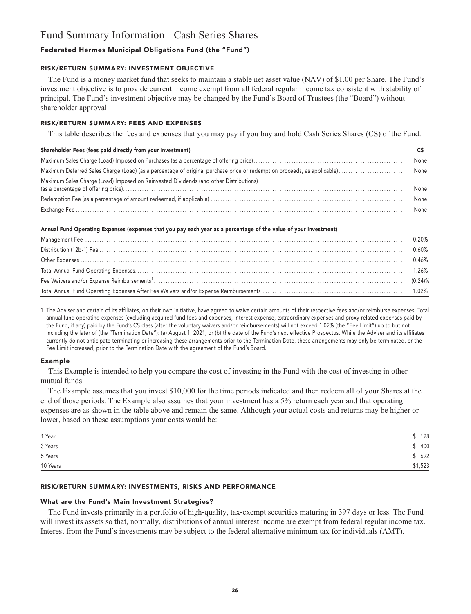### **Fund Summary Information – Cash Series Shares**

#### **Federated Hermes Municipal Obligations Fund (the "Fund")**

#### **RISK/RETURN SUMMARY: INVESTMENT OBJECTIVE**

**The Fund is a money market fund that seeks to maintain a stable net asset value (NAV) of \$1.00 per Share. The Fund's investment objective is to provide current income exempt from all federal regular income tax consistent with stability of principal. The Fund's investment objective may be changed by the Fund's Board of Trustees (the "Board") without shareholder approval.**

#### **RISK/RETURN SUMMARY: FEES AND EXPENSES**

**This table describes the fees and expenses that you may pay if you buy and hold Cash Series Shares (CS) of the Fund.**

#### **Shareholder Fees (fees paid directly from your investment) CS**

|  |  |                                                                                       | None |
|--|--|---------------------------------------------------------------------------------------|------|
|  |  |                                                                                       |      |
|  |  | Maximum Sales Charge (Load) Imposed on Reinvested Dividends (and other Distributions) | None |
|  |  |                                                                                       | None |
|  |  |                                                                                       |      |

#### **Annual Fund Operating Expenses (expenses that you pay each year as a percentage of the value of your investment)**

**1 The Adviser and certain of its affiliates, on their own initiative, have agreed to waive certain amounts of their respective fees and/or reimburse expenses. Total annual fund operating expenses (excluding acquired fund fees and expenses, interest expense, extraordinary expenses and proxy-related expenses paid by the Fund, if any) paid by the Fund's CS class (after the voluntary waivers and/or reimbursements) will not exceed 1.02% (the "Fee Limit") up to but not including the later of (the "Termination Date"): (a) August 1, 2021; or (b) the date of the Fund's next effective Prospectus. While the Adviser and its affiliates currently do not anticipate terminating or increasing these arrangements prior to the Termination Date, these arrangements may only be terminated, or the Fee Limit increased, prior to the Termination Date with the agreement of the Fund's Board.**

#### **Example**

**This Example is intended to help you compare the cost of investing in the Fund with the cost of investing in other mutual funds.**

**The Example assumes that you invest \$10,000 for the time periods indicated and then redeem all of your Shares at the end of those periods. The Example also assumes that your investment has a 5% return each year and that operating expenses are as shown in the table above and remain the same. Although your actual costs and returns may be higher or lower, based on these assumptions your costs would be:**

| 1 Year   | 128     |
|----------|---------|
| 3 Years  | 400     |
| 5 Years  | 692     |
| 10 Years | \$1,523 |

#### **RISK/RETURN SUMMARY: INVESTMENTS, RISKS AND PERFORMANCE**

#### **What are the Fund's Main Investment Strategies?**

**The Fund invests primarily in a portfolio of high-quality, tax-exempt securities maturing in 397 days or less. The Fund will invest its assets so that, normally, distributions of annual interest income are exempt from federal regular income tax. Interest from the Fund's investments may be subject to the federal alternative minimum tax for individuals (AMT).**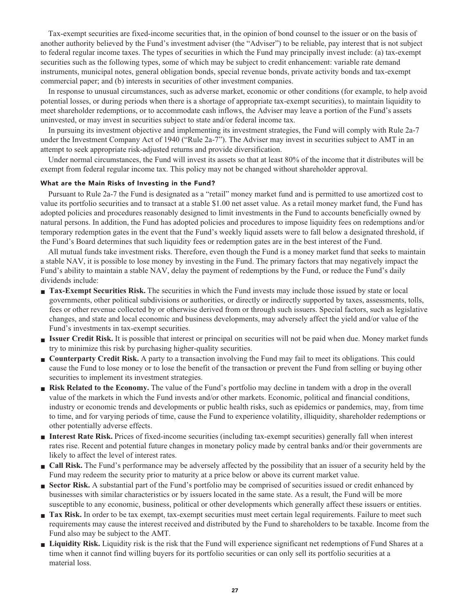**Tax-exempt securities are fixed-income securities that, in the opinion of bond counsel to the issuer or on the basis of another authority believed by the Fund's investment adviser (the "Adviser") to be reliable, pay interest that is not subject to federal regular income taxes. The types of securities in which the Fund may principally invest include: (a) tax-exempt securities such as the following types, some of which may be subject to credit enhancement: variable rate demand instruments, municipal notes, general obligation bonds, special revenue bonds, private activity bonds and tax-exempt commercial paper; and (b) interests in securities of other investment companies.**

**In response to unusual circumstances, such as adverse market, economic or other conditions (for example, to help avoid potential losses, or during periods when there is a shortage of appropriate tax-exempt securities), to maintain liquidity to meet shareholder redemptions, or to accommodate cash inflows, the Adviser may leave a portion of the Fund's assets uninvested, or may invest in securities subject to state and/or federal income tax.**

**In pursuing its investment objective and implementing its investment strategies, the Fund will comply with Rule 2a-7 under the Investment Company Act of 1940 ("Rule 2a-7"). The Adviser may invest in securities subject to AMT in an attempt to seek appropriate risk-adjusted returns and provide diversification.**

**Under normal circumstances, the Fund will invest its assets so that at least 80% of the income that it distributes will be exempt from federal regular income tax. This policy may not be changed without shareholder approval.**

#### **What are the Main Risks of Investing in the Fund?**

**Pursuant to Rule 2a-7 the Fund is designated as a "retail" money market fund and is permitted to use amortized cost to value its portfolio securities and to transact at a stable \$1.00 net asset value. As a retail money market fund, the Fund has adopted policies and procedures reasonably designed to limit investments in the Fund to accounts beneficially owned by natural persons. In addition, the Fund has adopted policies and procedures to impose liquidity fees on redemptions and/or temporary redemption gates in the event that the Fund's weekly liquid assets were to fall below a designated threshold, if the Fund's Board determines that such liquidity fees or redemption gates are in the best interest of the Fund.**

**All mutual funds take investment risks. Therefore, even though the Fund is a money market fund that seeks to maintain a stable NAV, it is possible to lose money by investing in the Fund. The primary factors that may negatively impact the Fund's ability to maintain a stable NAV, delay the payment of redemptions by the Fund, or reduce the Fund's daily dividends include:**

- **Tax-Exempt Securities Risk.** The securities in which the Fund invests may include those issued by state or local **governments, other political subdivisions or authorities, or directly or indirectly supported by taxes, assessments, tolls, fees or other revenue collected by or otherwise derived from or through such issuers. Special factors, such as legislative changes, and state and local economic and business developments, may adversely affect the yield and/or value of the Fund's investments in tax-exempt securities.**
- **■ Issuer Credit Risk. It is possible that interest or principal on securities will not be paid when due. Money market funds try to minimize this risk by purchasing higher-quality securities.**
- **Counterparty Credit Risk.** A party to a transaction involving the Fund may fail to meet its obligations. This could **cause the Fund to lose money or to lose the benefit of the transaction or prevent the Fund from selling or buying other securities to implement its investment strategies.**
- **Risk Related to the Economy.** The value of the Fund's portfolio may decline in tandem with a drop in the overall **value of the markets in which the Fund invests and/or other markets. Economic, political and financial conditions, industry or economic trends and developments or public health risks, such as epidemics or pandemics, may, from time to time, and for varying periods of time, cause the Fund to experience volatility, illiquidity, shareholder redemptions or other potentially adverse effects.**
- **■ Interest Rate Risk. Prices of fixed-income securities (including tax-exempt securities) generally fall when interest rates rise. Recent and potential future changes in monetary policy made by central banks and/or their governments are likely to affect the level of interest rates.**
- **■ Call Risk. The Fund's performance may be adversely affected by the possibility that an issuer of a security held by the Fund may redeem the security prior to maturity at a price below or above its current market value.**
- **Sector Risk.** A substantial part of the Fund's portfolio may be comprised of securities issued or credit enhanced by **businesses with similar characteristics or by issuers located in the same state. As a result, the Fund will be more susceptible to any economic, business, political or other developments which generally affect these issuers or entities.**
- **Tax Risk.** In order to be tax exempt, tax-exempt securities must meet certain legal requirements. Failure to meet such **requirements may cause the interest received and distributed by the Fund to shareholders to be taxable. Income from the Fund also may be subject to the AMT.**
- **■ Liquidity Risk. Liquidity risk is the risk that the Fund will experience significant net redemptions of Fund Shares at a time when it cannot find willing buyers for its portfolio securities or can only sell its portfolio securities at a material loss.**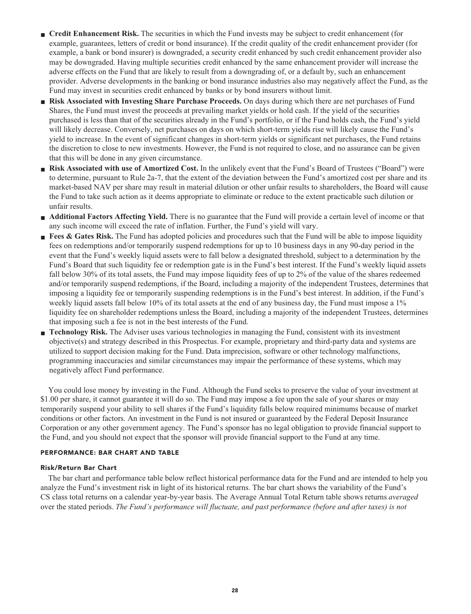- **Credit Enhancement Risk.** The securities in which the Fund invests may be subject to credit enhancement (for **example, guarantees, letters of credit or bond insurance). If the credit quality of the credit enhancement provider (for example, a bank or bond insurer) is downgraded, a security credit enhanced by such credit enhancement provider also may be downgraded. Having multiple securities credit enhanced by the same enhancement provider will increase the adverse effects on the Fund that are likely to result from a downgrading of, or a default by, such an enhancement provider. Adverse developments in the banking or bond insurance industries also may negatively affect the Fund, as the Fund may invest in securities credit enhanced by banks or by bond insurers without limit.**
- **■ Risk Associated with Investing Share Purchase Proceeds. On days during which there are net purchases of Fund Shares, the Fund must invest the proceeds at prevailing market yields or hold cash. If the yield of the securities purchased is less than that of the securities already in the Fund's portfolio, or if the Fund holds cash, the Fund's yield will likely decrease. Conversely, net purchases on days on which short-term yields rise will likely cause the Fund's yield to increase. In the event of significant changes in short-term yields or significant net purchases, the Fund retains the discretion to close to new investments. However, the Fund is not required to close, and no assurance can be given that this will be done in any given circumstance.**
- **Risk Associated with use of Amortized Cost.** In the unlikely event that the Fund's Board of Trustees ("Board") were **to determine, pursuant to Rule 2a-7, that the extent of the deviation between the Fund's amortized cost per share and its market-based NAV per share may result in material dilution or other unfair results to shareholders, the Board will cause the Fund to take such action as it deems appropriate to eliminate or reduce to the extent practicable such dilution or unfair results.**
- **Additional Factors Affecting Yield.** There is no guarantee that the Fund will provide a certain level of income or that **any such income will exceed the rate of inflation. Further, the Fund's yield will vary.**
- **Fees & Gates Risk.** The Fund has adopted policies and procedures such that the Fund will be able to impose liquidity **fees on redemptions and/or temporarily suspend redemptions for up to 10 business days in any 90-day period in the event that the Fund's weekly liquid assets were to fall below a designated threshold, subject to a determination by the Fund's Board that such liquidity fee or redemption gate is in the Fund's best interest. If the Fund's weekly liquid assets fall below 30% of its total assets, the Fund may impose liquidity fees of up to 2% of the value of the shares redeemed and/or temporarily suspend redemptions, if the Board, including a majority of the independent Trustees, determines that imposing a liquidity fee or temporarily suspending redemptions is in the Fund's best interest. In addition, if the Fund's weekly liquid assets fall below 10% of its total assets at the end of any business day, the Fund must impose a 1% liquidity fee on shareholder redemptions unless the Board, including a majority of the independent Trustees, determines that imposing such a fee is not in the best interests of the Fund.**
- **■ Technology Risk. The Adviser uses various technologies in managing the Fund, consistent with its investment objective(s) and strategy described in this Prospectus. For example, proprietary and third-party data and systems are utilized to support decision making for the Fund. Data imprecision, software or other technology malfunctions, programming inaccuracies and similar circumstances may impair the performance of these systems, which may negatively affect Fund performance.**

**You could lose money by investing in the Fund. Although the Fund seeks to preserve the value of your investment at \$1.00 per share, it cannot guarantee it will do so. The Fund may impose a fee upon the sale of your shares or may temporarily suspend your ability to sell shares if the Fund's liquidity falls below required minimums because of market conditions or other factors. An investment in the Fund is not insured or guaranteed by the Federal Deposit Insurance Corporation or any other government agency. The Fund's sponsor has no legal obligation to provide financial support to the Fund, and you should not expect that the sponsor will provide financial support to the Fund at any time.**

#### **PERFORMANCE: BAR CHART AND TABLE**

#### **Risk/Return Bar Chart**

**The bar chart and performance table below reflect historical performance data for the Fund and are intended to help you analyze the Fund's investment risk in light of its historical returns. The bar chart shows the variability of the Fund's CS class total returns on a calendar year-by-year basis. The Average Annual Total Return table shows returns** *averaged* **over the stated periods.** *The Fund's performance will fluctuate, and past performance (before and after taxes) is not*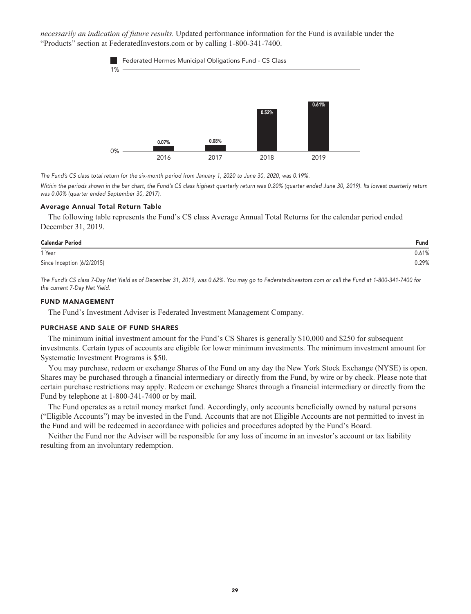*necessarily an indication of future results.* **Updated performance information for the Fund is available under the "Products" section a[t FederatedInvestors.com](https://www.federatedinvestors.com/home.do) or by calling 1-800-341-7400.**



**The Fund's CS class total return for the six-month period from January 1, 2020 to June 30, 2020, was 0.19%.**

Within the periods shown in the bar chart, the Fund's CS class highest quarterly return was 0.20% (quarter ended June 30, 2019). Its lowest quarterly return **was 0.00% (quarter ended September 30, 2017).**

#### **Average Annual Total Return Table**

**The following table represents the Fund's CS class Average Annual Total Returns for the calendar period ended December 31, 2019.**

| <b>Calendar Period</b>     | Fund  |
|----------------------------|-------|
| 1 Year                     | 0.61% |
| Since Inception (6/2/2015) | 0.29% |

**The Fund's CS class 7-Day Net Yield as of December 31, 2019, was 0.62%. You may go to [FederatedInvestors.com](https://www.federatedinvestors.com/home.do) or call the Fund at 1-800-341-7400 for the current 7-Day Net Yield.**

#### **FUND MANAGEMENT**

**The Fund's Investment Adviser is Federated Investment Management Company.**

#### **PURCHASE AND SALE OF FUND SHARES**

**The minimum initial investment amount for the Fund's CS Shares is generally \$10,000 and \$250 for subsequent investments. Certain types of accounts are eligible for lower minimum investments. The minimum investment amount for Systematic Investment Programs is \$50.**

**You may purchase, redeem or exchange Shares of the Fund on any day the New York Stock Exchange (NYSE) is open. Shares may be purchased through a financial intermediary or directly from the Fund, by wire or by check. Please note that certain purchase restrictions may apply. Redeem or exchange Shares through a financial intermediary or directly from the Fund by telephone at 1-800-341-7400 or by mail.**

**The Fund operates as a retail money market fund. Accordingly, only accounts beneficially owned by natural persons ("Eligible Accounts") may be invested in the Fund. Accounts that are not Eligible Accounts are not permitted to invest in the Fund and will be redeemed in accordance with policies and procedures adopted by the Fund's Board.**

**Neither the Fund nor the Adviser will be responsible for any loss of income in an investor's account or tax liability resulting from an involuntary redemption.**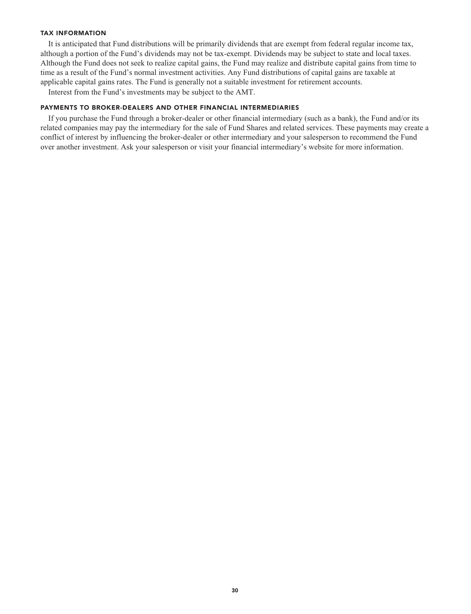#### **TAX INFORMATION**

**It is anticipated that Fund distributions will be primarily dividends that are exempt from federal regular income tax, although a portion of the Fund's dividends may not be tax-exempt. Dividends may be subject to state and local taxes. Although the Fund does not seek to realize capital gains, the Fund may realize and distribute capital gains from time to time as a result of the Fund's normal investment activities. Any Fund distributions of capital gains are taxable at applicable capital gains rates. The Fund is generally not a suitable investment for retirement accounts.**

**Interest from the Fund's investments may be subject to the AMT.**

#### **PAYMENTS TO BROKER-DEALERS AND OTHER FINANCIAL INTERMEDIARIES**

**If you purchase the Fund through a broker-dealer or other financial intermediary (such as a bank), the Fund and/or its related companies may pay the intermediary for the sale of Fund Shares and related services. These payments may create a conflict of interest by influencing the broker-dealer or other intermediary and your salesperson to recommend the Fund over another investment. Ask your salesperson or visit your financial intermediary's website for more information.**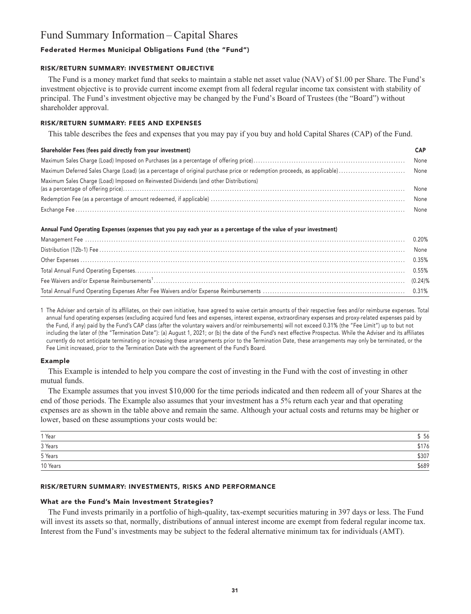### **Fund Summary Information – Capital Shares**

#### **Federated Hermes Municipal Obligations Fund (the "Fund")**

#### **RISK/RETURN SUMMARY: INVESTMENT OBJECTIVE**

**The Fund is a money market fund that seeks to maintain a stable net asset value (NAV) of \$1.00 per Share. The Fund's investment objective is to provide current income exempt from all federal regular income tax consistent with stability of principal. The Fund's investment objective may be changed by the Fund's Board of Trustees (the "Board") without shareholder approval.**

#### **RISK/RETURN SUMMARY: FEES AND EXPENSES**

**This table describes the fees and expenses that you may pay if you buy and hold Capital Shares (CAP) of the Fund.**

#### **Shareholder Fees (fees paid directly from your investment) CAP**

|                                                                                       | None |
|---------------------------------------------------------------------------------------|------|
|                                                                                       |      |
| Maximum Sales Charge (Load) Imposed on Reinvested Dividends (and other Distributions) | None |
|                                                                                       | None |
|                                                                                       |      |

#### **Annual Fund Operating Expenses (expenses that you pay each year as a percentage of the value of your investment)**

**1 The Adviser and certain of its affiliates, on their own initiative, have agreed to waive certain amounts of their respective fees and/or reimburse expenses. Total annual fund operating expenses (excluding acquired fund fees and expenses, interest expense, extraordinary expenses and proxy-related expenses paid by the Fund, if any) paid by the Fund's CAP class (after the voluntary waivers and/or reimbursements) will not exceed 0.31% (the "Fee Limit") up to but not including the later of (the "Termination Date"): (a) August 1, 2021; or (b) the date of the Fund's next effective Prospectus. While the Adviser and its affiliates currently do not anticipate terminating or increasing these arrangements prior to the Termination Date, these arrangements may only be terminated, or the Fee Limit increased, prior to the Termination Date with the agreement of the Fund's Board.**

#### **Example**

**This Example is intended to help you compare the cost of investing in the Fund with the cost of investing in other mutual funds.**

**The Example assumes that you invest \$10,000 for the time periods indicated and then redeem all of your Shares at the end of those periods. The Example also assumes that your investment has a 5% return each year and that operating expenses are as shown in the table above and remain the same. Although your actual costs and returns may be higher or lower, based on these assumptions your costs would be:**

| $1$ Year | 56    |
|----------|-------|
| 3 Years  | \$176 |
| 5 Years  | \$307 |
| 10 Years | \$689 |

#### **RISK/RETURN SUMMARY: INVESTMENTS, RISKS AND PERFORMANCE**

#### **What are the Fund's Main Investment Strategies?**

**The Fund invests primarily in a portfolio of high-quality, tax-exempt securities maturing in 397 days or less. The Fund will invest its assets so that, normally, distributions of annual interest income are exempt from federal regular income tax. Interest from the Fund's investments may be subject to the federal alternative minimum tax for individuals (AMT).**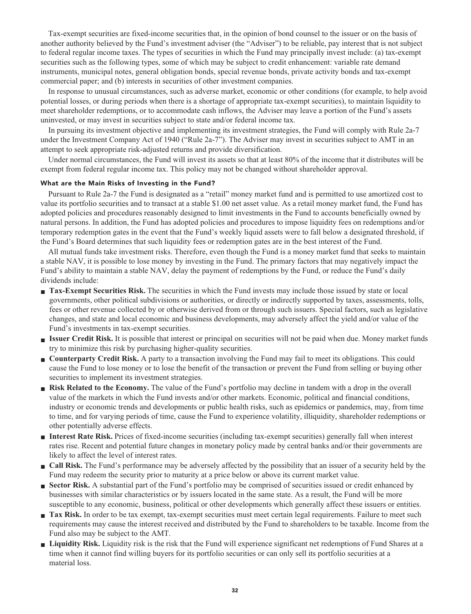**Tax-exempt securities are fixed-income securities that, in the opinion of bond counsel to the issuer or on the basis of another authority believed by the Fund's investment adviser (the "Adviser") to be reliable, pay interest that is not subject to federal regular income taxes. The types of securities in which the Fund may principally invest include: (a) tax-exempt securities such as the following types, some of which may be subject to credit enhancement: variable rate demand instruments, municipal notes, general obligation bonds, special revenue bonds, private activity bonds and tax-exempt commercial paper; and (b) interests in securities of other investment companies.**

**In response to unusual circumstances, such as adverse market, economic or other conditions (for example, to help avoid potential losses, or during periods when there is a shortage of appropriate tax-exempt securities), to maintain liquidity to meet shareholder redemptions, or to accommodate cash inflows, the Adviser may leave a portion of the Fund's assets uninvested, or may invest in securities subject to state and/or federal income tax.**

**In pursuing its investment objective and implementing its investment strategies, the Fund will comply with Rule 2a-7 under the Investment Company Act of 1940 ("Rule 2a-7"). The Adviser may invest in securities subject to AMT in an attempt to seek appropriate risk-adjusted returns and provide diversification.**

**Under normal circumstances, the Fund will invest its assets so that at least 80% of the income that it distributes will be exempt from federal regular income tax. This policy may not be changed without shareholder approval.**

#### **What are the Main Risks of Investing in the Fund?**

**Pursuant to Rule 2a-7 the Fund is designated as a "retail" money market fund and is permitted to use amortized cost to value its portfolio securities and to transact at a stable \$1.00 net asset value. As a retail money market fund, the Fund has adopted policies and procedures reasonably designed to limit investments in the Fund to accounts beneficially owned by natural persons. In addition, the Fund has adopted policies and procedures to impose liquidity fees on redemptions and/or temporary redemption gates in the event that the Fund's weekly liquid assets were to fall below a designated threshold, if the Fund's Board determines that such liquidity fees or redemption gates are in the best interest of the Fund.**

**All mutual funds take investment risks. Therefore, even though the Fund is a money market fund that seeks to maintain a stable NAV, it is possible to lose money by investing in the Fund. The primary factors that may negatively impact the Fund's ability to maintain a stable NAV, delay the payment of redemptions by the Fund, or reduce the Fund's daily dividends include:**

- **Tax-Exempt Securities Risk.** The securities in which the Fund invests may include those issued by state or local **governments, other political subdivisions or authorities, or directly or indirectly supported by taxes, assessments, tolls, fees or other revenue collected by or otherwise derived from or through such issuers. Special factors, such as legislative changes, and state and local economic and business developments, may adversely affect the yield and/or value of the Fund's investments in tax-exempt securities.**
- **■ Issuer Credit Risk. It is possible that interest or principal on securities will not be paid when due. Money market funds try to minimize this risk by purchasing higher-quality securities.**
- **Counterparty Credit Risk.** A party to a transaction involving the Fund may fail to meet its obligations. This could **cause the Fund to lose money or to lose the benefit of the transaction or prevent the Fund from selling or buying other securities to implement its investment strategies.**
- **Risk Related to the Economy.** The value of the Fund's portfolio may decline in tandem with a drop in the overall **value of the markets in which the Fund invests and/or other markets. Economic, political and financial conditions, industry or economic trends and developments or public health risks, such as epidemics or pandemics, may, from time to time, and for varying periods of time, cause the Fund to experience volatility, illiquidity, shareholder redemptions or other potentially adverse effects.**
- **■ Interest Rate Risk. Prices of fixed-income securities (including tax-exempt securities) generally fall when interest rates rise. Recent and potential future changes in monetary policy made by central banks and/or their governments are likely to affect the level of interest rates.**
- **■ Call Risk. The Fund's performance may be adversely affected by the possibility that an issuer of a security held by the Fund may redeem the security prior to maturity at a price below or above its current market value.**
- **Sector Risk.** A substantial part of the Fund's portfolio may be comprised of securities issued or credit enhanced by **businesses with similar characteristics or by issuers located in the same state. As a result, the Fund will be more susceptible to any economic, business, political or other developments which generally affect these issuers or entities.**
- **Tax Risk.** In order to be tax exempt, tax-exempt securities must meet certain legal requirements. Failure to meet such **requirements may cause the interest received and distributed by the Fund to shareholders to be taxable. Income from the Fund also may be subject to the AMT.**
- **■ Liquidity Risk. Liquidity risk is the risk that the Fund will experience significant net redemptions of Fund Shares at a time when it cannot find willing buyers for its portfolio securities or can only sell its portfolio securities at a material loss.**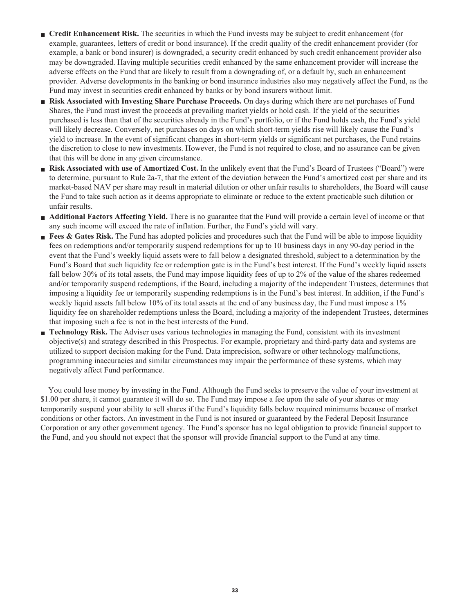- **Credit Enhancement Risk.** The securities in which the Fund invests may be subject to credit enhancement (for **example, guarantees, letters of credit or bond insurance). If the credit quality of the credit enhancement provider (for example, a bank or bond insurer) is downgraded, a security credit enhanced by such credit enhancement provider also may be downgraded. Having multiple securities credit enhanced by the same enhancement provider will increase the adverse effects on the Fund that are likely to result from a downgrading of, or a default by, such an enhancement provider. Adverse developments in the banking or bond insurance industries also may negatively affect the Fund, as the Fund may invest in securities credit enhanced by banks or by bond insurers without limit.**
- **■ Risk Associated with Investing Share Purchase Proceeds. On days during which there are net purchases of Fund Shares, the Fund must invest the proceeds at prevailing market yields or hold cash. If the yield of the securities purchased is less than that of the securities already in the Fund's portfolio, or if the Fund holds cash, the Fund's yield will likely decrease. Conversely, net purchases on days on which short-term yields rise will likely cause the Fund's yield to increase. In the event of significant changes in short-term yields or significant net purchases, the Fund retains the discretion to close to new investments. However, the Fund is not required to close, and no assurance can be given that this will be done in any given circumstance.**
- **Risk Associated with use of Amortized Cost.** In the unlikely event that the Fund's Board of Trustees ("Board") were **to determine, pursuant to Rule 2a-7, that the extent of the deviation between the Fund's amortized cost per share and its market-based NAV per share may result in material dilution or other unfair results to shareholders, the Board will cause the Fund to take such action as it deems appropriate to eliminate or reduce to the extent practicable such dilution or unfair results.**
- **Additional Factors Affecting Yield.** There is no guarantee that the Fund will provide a certain level of income or that **any such income will exceed the rate of inflation. Further, the Fund's yield will vary.**
- **Fees & Gates Risk.** The Fund has adopted policies and procedures such that the Fund will be able to impose liquidity **fees on redemptions and/or temporarily suspend redemptions for up to 10 business days in any 90-day period in the event that the Fund's weekly liquid assets were to fall below a designated threshold, subject to a determination by the Fund's Board that such liquidity fee or redemption gate is in the Fund's best interest. If the Fund's weekly liquid assets fall below 30% of its total assets, the Fund may impose liquidity fees of up to 2% of the value of the shares redeemed and/or temporarily suspend redemptions, if the Board, including a majority of the independent Trustees, determines that imposing a liquidity fee or temporarily suspending redemptions is in the Fund's best interest. In addition, if the Fund's weekly liquid assets fall below 10% of its total assets at the end of any business day, the Fund must impose a 1% liquidity fee on shareholder redemptions unless the Board, including a majority of the independent Trustees, determines that imposing such a fee is not in the best interests of the Fund.**
- **■ Technology Risk. The Adviser uses various technologies in managing the Fund, consistent with its investment objective(s) and strategy described in this Prospectus. For example, proprietary and third-party data and systems are utilized to support decision making for the Fund. Data imprecision, software or other technology malfunctions, programming inaccuracies and similar circumstances may impair the performance of these systems, which may negatively affect Fund performance.**

**You could lose money by investing in the Fund. Although the Fund seeks to preserve the value of your investment at \$1.00 per share, it cannot guarantee it will do so. The Fund may impose a fee upon the sale of your shares or may temporarily suspend your ability to sell shares if the Fund's liquidity falls below required minimums because of market conditions or other factors. An investment in the Fund is not insured or guaranteed by the Federal Deposit Insurance Corporation or any other government agency. The Fund's sponsor has no legal obligation to provide financial support to the Fund, and you should not expect that the sponsor will provide financial support to the Fund at any time.**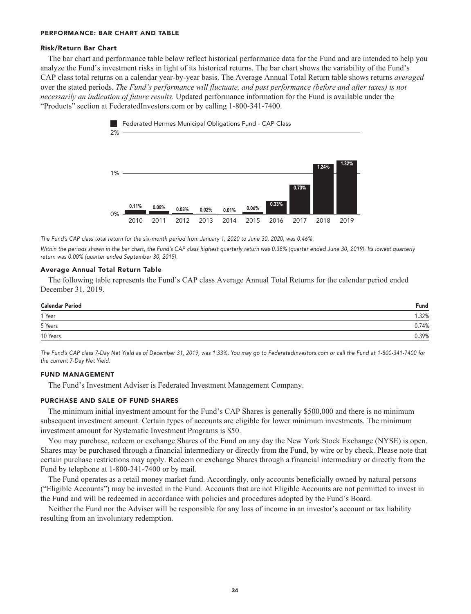#### **PERFORMANCE: BAR CHART AND TABLE**

#### **Risk/Return Bar Chart**

**The bar chart and performance table below reflect historical performance data for the Fund and are intended to help you analyze the Fund's investment risks in light of its historical returns. The bar chart shows the variability of the Fund's CAP class total returns on a calendar year-by-year basis. The Average Annual Total Return table shows returns** *averaged* **over the stated periods.** *The Fund's performance will fluctuate, and past performance (before and after taxes) is not necessarily an indication of future results.* **Updated performance information for the Fund is available under the "Products" section a[t FederatedInvestors.com](https://www.federatedinvestors.com/home.do) or by calling 1-800-341-7400.**



**The Fund's CAP class total return for the six-month period from January 1, 2020 to June 30, 2020, was 0.46%.**

**Within the periods shown in the bar chart, the Fund's CAP class highest quarterly return was 0.38% (quarter ended June 30, 2019). Its lowest quarterly return was 0.00% (quarter ended September 30, 2015).**

#### **Average Annual Total Return Table**

**The following table represents the Fund's CAP class Average Annual Total Returns for the calendar period ended December 31, 2019.**

| <b>Calendar Period</b> | Fund  |
|------------------------|-------|
| 1 Year                 | .32%  |
| 5 Years                | 0.74% |
| 10 Years               | 0.39% |

**The Fund's CAP class 7-Day Net Yield as of December 31, 2019, was 1.33%. You may go to [FederatedInvestors.com](https://www.federatedinvestors.com/home.do) or call the Fund at 1-800-341-7400 for the current 7-Day Net Yield.**

#### **FUND MANAGEMENT**

**The Fund's Investment Adviser is Federated Investment Management Company.**

#### **PURCHASE AND SALE OF FUND SHARES**

**The minimum initial investment amount for the Fund's CAP Shares is generally \$500,000 and there is no minimum subsequent investment amount. Certain types of accounts are eligible for lower minimum investments. The minimum investment amount for Systematic Investment Programs is \$50.**

**You may purchase, redeem or exchange Shares of the Fund on any day the New York Stock Exchange (NYSE) is open. Shares may be purchased through a financial intermediary or directly from the Fund, by wire or by check. Please note that certain purchase restrictions may apply. Redeem or exchange Shares through a financial intermediary or directly from the Fund by telephone at 1-800-341-7400 or by mail.**

**The Fund operates as a retail money market fund. Accordingly, only accounts beneficially owned by natural persons ("Eligible Accounts") may be invested in the Fund. Accounts that are not Eligible Accounts are not permitted to invest in the Fund and will be redeemed in accordance with policies and procedures adopted by the Fund's Board.**

**Neither the Fund nor the Adviser will be responsible for any loss of income in an investor's account or tax liability resulting from an involuntary redemption.**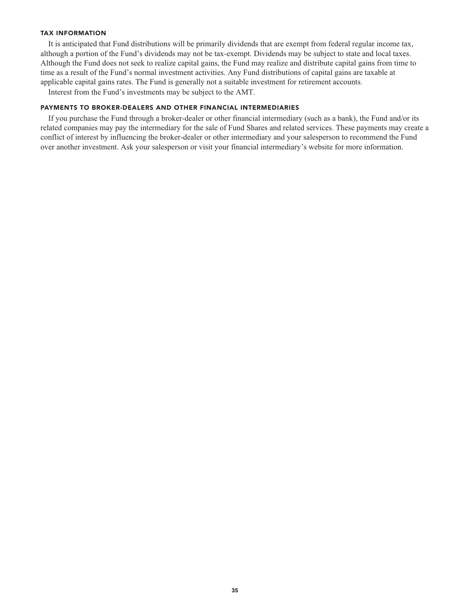#### **TAX INFORMATION**

**It is anticipated that Fund distributions will be primarily dividends that are exempt from federal regular income tax, although a portion of the Fund's dividends may not be tax-exempt. Dividends may be subject to state and local taxes. Although the Fund does not seek to realize capital gains, the Fund may realize and distribute capital gains from time to time as a result of the Fund's normal investment activities. Any Fund distributions of capital gains are taxable at applicable capital gains rates. The Fund is generally not a suitable investment for retirement accounts.**

**Interest from the Fund's investments may be subject to the AMT.**

#### **PAYMENTS TO BROKER-DEALERS AND OTHER FINANCIAL INTERMEDIARIES**

**If you purchase the Fund through a broker-dealer or other financial intermediary (such as a bank), the Fund and/or its related companies may pay the intermediary for the sale of Fund Shares and related services. These payments may create a conflict of interest by influencing the broker-dealer or other intermediary and your salesperson to recommend the Fund over another investment. Ask your salesperson or visit your financial intermediary's website for more information.**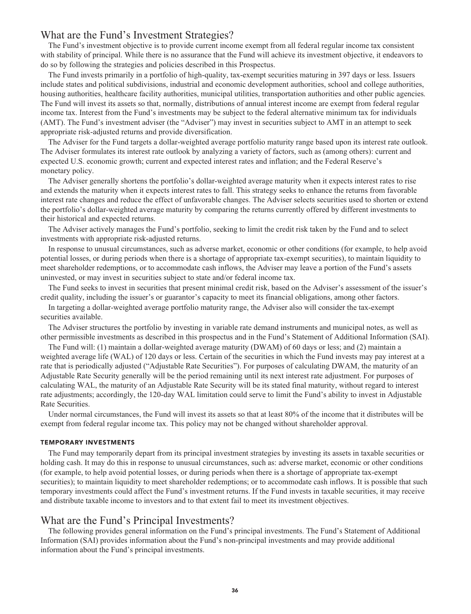#### **What are the Fund's Investment Strategies?**

**The Fund's investment objective is to provide current income exempt from all federal regular income tax consistent with stability of principal. While there is no assurance that the Fund will achieve its investment objective, it endeavors to do so by following the strategies and policies described in this Prospectus.**

**The Fund invests primarily in a portfolio of high-quality, tax-exempt securities maturing in 397 days or less. Issuers include states and political subdivisions, industrial and economic development authorities, school and college authorities, housing authorities, healthcare facility authorities, municipal utilities, transportation authorities and other public agencies. The Fund will invest its assets so that, normally, distributions of annual interest income are exempt from federal regular income tax. Interest from the Fund's investments may be subject to the federal alternative minimum tax for individuals (AMT). The Fund's investment adviser (the "Adviser") may invest in securities subject to AMT in an attempt to seek appropriate risk-adjusted returns and provide diversification.**

**The Adviser for the Fund targets a dollar-weighted average portfolio maturity range based upon its interest rate outlook. The Adviser formulates its interest rate outlook by analyzing a variety of factors, such as (among others): current and expected U.S. economic growth; current and expected interest rates and inflation; and the Federal Reserve's monetary policy.**

**The Adviser generally shortens the portfolio's dollar-weighted average maturity when it expects interest rates to rise and extends the maturity when it expects interest rates to fall. This strategy seeks to enhance the returns from favorable interest rate changes and reduce the effect of unfavorable changes. The Adviser selects securities used to shorten or extend the portfolio's dollar-weighted average maturity by comparing the returns currently offered by different investments to their historical and expected returns.**

**The Adviser actively manages the Fund's portfolio, seeking to limit the credit risk taken by the Fund and to select investments with appropriate risk-adjusted returns.**

**In response to unusual circumstances, such as adverse market, economic or other conditions (for example, to help avoid potential losses, or during periods when there is a shortage of appropriate tax-exempt securities), to maintain liquidity to meet shareholder redemptions, or to accommodate cash inflows, the Adviser may leave a portion of the Fund's assets uninvested, or may invest in securities subject to state and/or federal income tax.**

**The Fund seeks to invest in securities that present minimal credit risk, based on the Adviser's assessment of the issuer's credit quality, including the issuer's or guarantor's capacity to meet its financial obligations, among other factors.**

**In targeting a dollar-weighted average portfolio maturity range, the Adviser also will consider the tax-exempt securities available.**

**The Adviser structures the portfolio by investing in variable rate demand instruments and municipal notes, as well as other permissible investments as described in this prospectus and in the Fund's Statement of Additional Information (SAI).**

**The Fund will: (1) maintain a dollar-weighted average maturity (DWAM) of 60 days or less; and (2) maintain a weighted average life (WAL) of 120 days or less. Certain of the securities in which the Fund invests may pay interest at a rate that is periodically adjusted ("Adjustable Rate Securities"). For purposes of calculating DWAM, the maturity of an Adjustable Rate Security generally will be the period remaining until its next interest rate adjustment. For purposes of calculating WAL, the maturity of an Adjustable Rate Security will be its stated final maturity, without regard to interest rate adjustments; accordingly, the 120-day WAL limitation could serve to limit the Fund's ability to invest in Adjustable Rate Securities.**

**Under normal circumstances, the Fund will invest its assets so that at least 80% of the income that it distributes will be exempt from federal regular income tax. This policy may not be changed without shareholder approval.**

#### **TEMPORARY INVESTMENTS**

**The Fund may temporarily depart from its principal investment strategies by investing its assets in taxable securities or holding cash. It may do this in response to unusual circumstances, such as: adverse market, economic or other conditions (for example, to help avoid potential losses, or during periods when there is a shortage of appropriate tax-exempt securities); to maintain liquidity to meet shareholder redemptions; or to accommodate cash inflows. It is possible that such temporary investments could affect the Fund's investment returns. If the Fund invests in taxable securities, it may receive and distribute taxable income to investors and to that extent fail to meet its investment objectives.**

### **What are the Fund's Principal Investments?**

**The following provides general information on the Fund's principal investments. The Fund's Statement of Additional Information (SAI) provides information about the Fund's non-principal investments and may provide additional information about the Fund's principal investments.**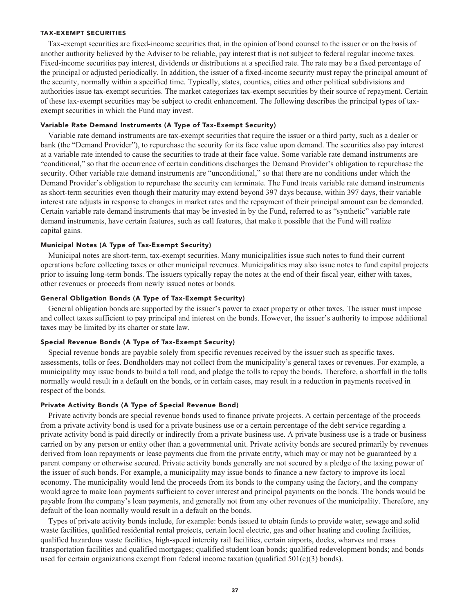#### **TAX-EXEMPT SECURITIES**

**Tax-exempt securities are fixed-income securities that, in the opinion of bond counsel to the issuer or on the basis of another authority believed by the Adviser to be reliable, pay interest that is not subject to federal regular income taxes. Fixed-income securities pay interest, dividends or distributions at a specified rate. The rate may be a fixed percentage of the principal or adjusted periodically. In addition, the issuer of a fixed-income security must repay the principal amount of the security, normally within a specified time. Typically, states, counties, cities and other political subdivisions and authorities issue tax-exempt securities. The market categorizes tax-exempt securities by their source of repayment. Certain of these tax-exempt securities may be subject to credit enhancement. The following describes the principal types of taxexempt securities in which the Fund may invest.**

#### **Variable Rate Demand Instruments (A Type of Tax-Exempt Security)**

**Variable rate demand instruments are tax-exempt securities that require the issuer or a third party, such as a dealer or bank (the "Demand Provider"), to repurchase the security for its face value upon demand. The securities also pay interest at a variable rate intended to cause the securities to trade at their face value. Some variable rate demand instruments are "conditional," so that the occurrence of certain conditions discharges the Demand Provider's obligation to repurchase the security. Other variable rate demand instruments are "unconditional," so that there are no conditions under which the Demand Provider's obligation to repurchase the security can terminate. The Fund treats variable rate demand instruments as short-term securities even though their maturity may extend beyond 397 days because, within 397 days, their variable interest rate adjusts in response to changes in market rates and the repayment of their principal amount can be demanded. Certain variable rate demand instruments that may be invested in by the Fund, referred to as "synthetic" variable rate demand instruments, have certain features, such as call features, that make it possible that the Fund will realize capital gains.**

#### **Municipal Notes (A Type of Tax-Exempt Security)**

**Municipal notes are short-term, tax-exempt securities. Many municipalities issue such notes to fund their current operations before collecting taxes or other municipal revenues. Municipalities may also issue notes to fund capital projects prior to issuing long-term bonds. The issuers typically repay the notes at the end of their fiscal year, either with taxes, other revenues or proceeds from newly issued notes or bonds.**

#### **General Obligation Bonds (A Type of Tax-Exempt Security)**

**General obligation bonds are supported by the issuer's power to exact property or other taxes. The issuer must impose and collect taxes sufficient to pay principal and interest on the bonds. However, the issuer's authority to impose additional taxes may be limited by its charter or state law.**

#### **Special Revenue Bonds (A Type of Tax-Exempt Security)**

**Special revenue bonds are payable solely from specific revenues received by the issuer such as specific taxes, assessments, tolls or fees. Bondholders may not collect from the municipality's general taxes or revenues. For example, a municipality may issue bonds to build a toll road, and pledge the tolls to repay the bonds. Therefore, a shortfall in the tolls normally would result in a default on the bonds, or in certain cases, may result in a reduction in payments received in respect of the bonds.**

#### **Private Activity Bonds (A Type of Special Revenue Bond)**

**Private activity bonds are special revenue bonds used to finance private projects. A certain percentage of the proceeds from a private activity bond is used for a private business use or a certain percentage of the debt service regarding a private activity bond is paid directly or indirectly from a private business use. A private business use is a trade or business carried on by any person or entity other than a governmental unit. Private activity bonds are secured primarily by revenues derived from loan repayments or lease payments due from the private entity, which may or may not be guaranteed by a parent company or otherwise secured. Private activity bonds generally are not secured by a pledge of the taxing power of the issuer of such bonds. For example, a municipality may issue bonds to finance a new factory to improve its local economy. The municipality would lend the proceeds from its bonds to the company using the factory, and the company would agree to make loan payments sufficient to cover interest and principal payments on the bonds. The bonds would be payable from the company's loan payments, and generally not from any other revenues of the municipality. Therefore, any default of the loan normally would result in a default on the bonds.**

**Types of private activity bonds include, for example: bonds issued to obtain funds to provide water, sewage and solid waste facilities, qualified residential rental projects, certain local electric, gas and other heating and cooling facilities, qualified hazardous waste facilities, high-speed intercity rail facilities, certain airports, docks, wharves and mass transportation facilities and qualified mortgages; qualified student loan bonds; qualified redevelopment bonds; and bonds used for certain organizations exempt from federal income taxation (qualified 501(c)(3) bonds).**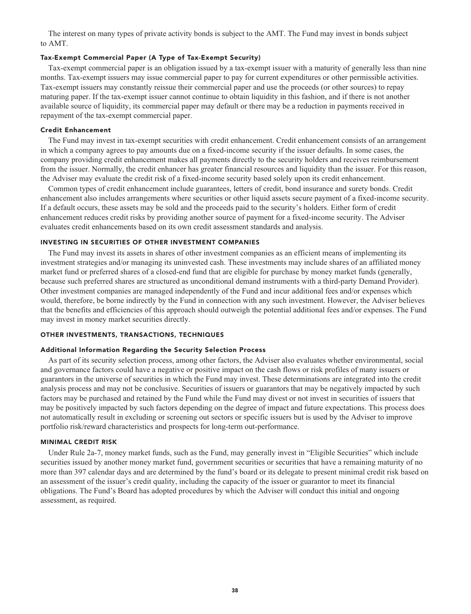**The interest on many types of private activity bonds is subject to the AMT. The Fund may invest in bonds subject to AMT.**

#### **Tax-Exempt Commercial Paper (A Type of Tax-Exempt Security)**

**Tax-exempt commercial paper is an obligation issued by a tax-exempt issuer with a maturity of generally less than nine months. Tax-exempt issuers may issue commercial paper to pay for current expenditures or other permissible activities. Tax-exempt issuers may constantly reissue their commercial paper and use the proceeds (or other sources) to repay maturing paper. If the tax-exempt issuer cannot continue to obtain liquidity in this fashion, and if there is not another available source of liquidity, its commercial paper may default or there may be a reduction in payments received in repayment of the tax-exempt commercial paper.**

#### **Credit Enhancement**

**The Fund may invest in tax-exempt securities with credit enhancement. Credit enhancement consists of an arrangement in which a company agrees to pay amounts due on a fixed-income security if the issuer defaults. In some cases, the company providing credit enhancement makes all payments directly to the security holders and receives reimbursement from the issuer. Normally, the credit enhancer has greater financial resources and liquidity than the issuer. For this reason, the Adviser may evaluate the credit risk of a fixed-income security based solely upon its credit enhancement.**

**Common types of credit enhancement include guarantees, letters of credit, bond insurance and surety bonds. Credit enhancement also includes arrangements where securities or other liquid assets secure payment of a fixed-income security. If a default occurs, these assets may be sold and the proceeds paid to the security's holders. Either form of credit enhancement reduces credit risks by providing another source of payment for a fixed-income security. The Adviser evaluates credit enhancements based on its own credit assessment standards and analysis.**

#### **INVESTING IN SECURITIES OF OTHER INVESTMENT COMPANIES**

**The Fund may invest its assets in shares of other investment companies as an efficient means of implementing its investment strategies and/or managing its uninvested cash. These investments may include shares of an affiliated money market fund or preferred shares of a closed-end fund that are eligible for purchase by money market funds (generally, because such preferred shares are structured as unconditional demand instruments with a third-party Demand Provider). Other investment companies are managed independently of the Fund and incur additional fees and/or expenses which would, therefore, be borne indirectly by the Fund in connection with any such investment. However, the Adviser believes that the benefits and efficiencies of this approach should outweigh the potential additional fees and/or expenses. The Fund may invest in money market securities directly.**

#### **OTHER INVESTMENTS, TRANSACTIONS, TECHNIQUES**

#### **Additional Information Regarding the Security Selection Process**

**As part of its security selection process, among other factors, the Adviser also evaluates whether environmental, social and governance factors could have a negative or positive impact on the cash flows or risk profiles of many issuers or guarantors in the universe of securities in which the Fund may invest. These determinations are integrated into the credit analysis process and may not be conclusive. Securities of issuers or guarantors that may be negatively impacted by such factors may be purchased and retained by the Fund while the Fund may divest or not invest in securities of issuers that may be positively impacted by such factors depending on the degree of impact and future expectations. This process does not automatically result in excluding or screening out sectors or specific issuers but is used by the Adviser to improve portfolio risk/reward characteristics and prospects for long-term out-performance.**

#### **MINIMAL CREDIT RISK**

**Under Rule 2a-7, money market funds, such as the Fund, may generally invest in "Eligible Securities" which include securities issued by another money market fund, government securities or securities that have a remaining maturity of no more than 397 calendar days and are determined by the fund's board or its delegate to present minimal credit risk based on an assessment of the issuer's credit quality, including the capacity of the issuer or guarantor to meet its financial obligations. The Fund's Board has adopted procedures by which the Adviser will conduct this initial and ongoing assessment, as required.**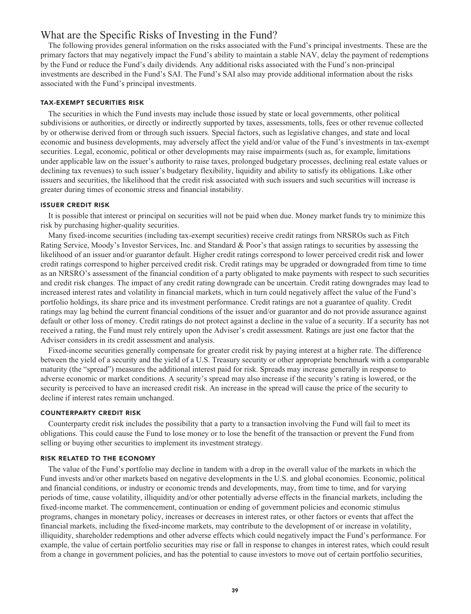#### **What are the Specific Risks of Investing in the Fund?**

**The following provides general information on the risks associated with the Fund's principal investments. These are the primary factors that may negatively impact the Fund's ability to maintain a stable NAV, delay the payment of redemptions by the Fund or reduce the Fund's daily dividends. Any additional risks associated with the Fund's non-principal investments are described in the Fund's SAI. The Fund's SAI also may provide additional information about the risks associated with the Fund's principal investments.**

#### **TAX-EXEMPT SECURITIES RISK**

**The securities in which the Fund invests may include those issued by state or local governments, other political subdivisions or authorities, or directly or indirectly supported by taxes, assessments, tolls, fees or other revenue collected by or otherwise derived from or through such issuers. Special factors, such as legislative changes, and state and local economic and business developments, may adversely affect the yield and/or value of the Fund's investments in tax-exempt securities. Legal, economic, political or other developments may raise impairments (such as, for example, limitations under applicable law on the issuer's authority to raise taxes, prolonged budgetary processes, declining real estate values or declining tax revenues) to such issuer's budgetary flexibility, liquidity and ability to satisfy its obligations. Like other issuers and securities, the likelihood that the credit risk associated with such issuers and such securities will increase is greater during times of economic stress and financial instability.**

#### **ISSUER CREDIT RISK**

**It is possible that interest or principal on securities will not be paid when due. Money market funds try to minimize this risk by purchasing higher-quality securities.**

**Many fixed-income securities (including tax-exempt securities) receive credit ratings from NRSROs such as Fitch Rating Service, Moody's Investor Services, Inc. and Standard & Poor's that assign ratings to securities by assessing the likelihood of an issuer and/or guarantor default. Higher credit ratings correspond to lower perceived credit risk and lower credit ratings correspond to higher perceived credit risk. Credit ratings may be upgraded or downgraded from time to time as an NRSRO's assessment of the financial condition of a party obligated to make payments with respect to such securities and credit risk changes. The impact of any credit rating downgrade can be uncertain. Credit rating downgrades may lead to increased interest rates and volatility in financial markets, which in turn could negatively affect the value of the Fund's portfolio holdings, its share price and its investment performance. Credit ratings are not a guarantee of quality. Credit ratings may lag behind the current financial conditions of the issuer and/or guarantor and do not provide assurance against default or other loss of money. Credit ratings do not protect against a decline in the value of a security. If a security has not received a rating, the Fund must rely entirely upon the Adviser's credit assessment. Ratings are just one factor that the Adviser considers in its credit assessment and analysis.**

**Fixed-income securities generally compensate for greater credit risk by paying interest at a higher rate. The difference between the yield of a security and the yield of a U.S. Treasury security or other appropriate benchmark with a comparable maturity (the "spread") measures the additional interest paid for risk. Spreads may increase generally in response to adverse economic or market conditions. A security's spread may also increase if the security's rating is lowered, or the security is perceived to have an increased credit risk. An increase in the spread will cause the price of the security to decline if interest rates remain unchanged.**

#### **COUNTERPARTY CREDIT RISK**

**Counterparty credit risk includes the possibility that a party to a transaction involving the Fund will fail to meet its obligations. This could cause the Fund to lose money or to lose the benefit of the transaction or prevent the Fund from selling or buying other securities to implement its investment strategy.**

#### **RISK RELATED TO THE ECONOMY**

**The value of the Fund's portfolio may decline in tandem with a drop in the overall value of the markets in which the Fund invests and/or other markets based on negative developments in the U.S. and global economies. Economic, political and financial conditions, or industry or economic trends and developments, may, from time to time, and for varying periods of time, cause volatility, illiquidity and/or other potentially adverse effects in the financial markets, including the fixed-income market. The commencement, continuation or ending of government policies and economic stimulus programs, changes in monetary policy, increases or decreases in interest rates, or other factors or events that affect the financial markets, including the fixed-income markets, may contribute to the development of or increase in volatility, illiquidity, shareholder redemptions and other adverse effects which could negatively impact the Fund's performance. For example, the value of certain portfolio securities may rise or fall in response to changes in interest rates, which could result from a change in government policies, and has the potential to cause investors to move out of certain portfolio securities,**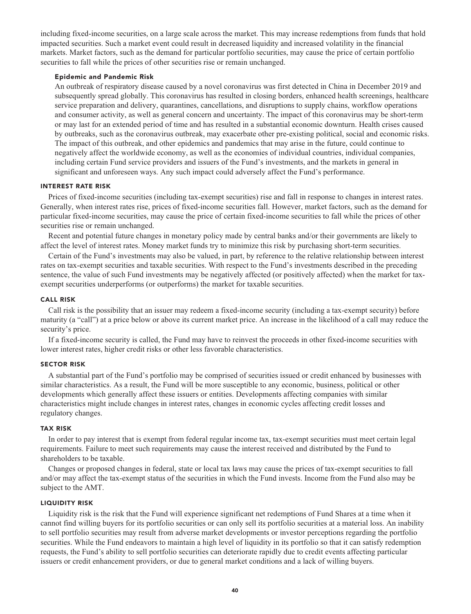**including fixed-income securities, on a large scale across the market. This may increase redemptions from funds that hold impacted securities. Such a market event could result in decreased liquidity and increased volatility in the financial markets. Market factors, such as the demand for particular portfolio securities, may cause the price of certain portfolio securities to fall while the prices of other securities rise or remain unchanged.**

#### **Epidemic and Pandemic Risk**

**An outbreak of respiratory disease caused by a novel coronavirus was first detected in China in December 2019 and subsequently spread globally. This coronavirus has resulted in closing borders, enhanced health screenings, healthcare service preparation and delivery, quarantines, cancellations, and disruptions to supply chains, workflow operations and consumer activity, as well as general concern and uncertainty. The impact of this coronavirus may be short-term or may last for an extended period of time and has resulted in a substantial economic downturn. Health crises caused by outbreaks, such as the coronavirus outbreak, may exacerbate other pre-existing political, social and economic risks. The impact of this outbreak, and other epidemics and pandemics that may arise in the future, could continue to negatively affect the worldwide economy, as well as the economies of individual countries, individual companies, including certain Fund service providers and issuers of the Fund's investments, and the markets in general in significant and unforeseen ways. Any such impact could adversely affect the Fund's performance.**

#### **INTEREST RATE RISK**

**Prices of fixed-income securities (including tax-exempt securities) rise and fall in response to changes in interest rates. Generally, when interest rates rise, prices of fixed-income securities fall. However, market factors, such as the demand for particular fixed-income securities, may cause the price of certain fixed-income securities to fall while the prices of other securities rise or remain unchanged.**

**Recent and potential future changes in monetary policy made by central banks and/or their governments are likely to affect the level of interest rates. Money market funds try to minimize this risk by purchasing short-term securities.**

**Certain of the Fund's investments may also be valued, in part, by reference to the relative relationship between interest rates on tax-exempt securities and taxable securities. With respect to the Fund's investments described in the preceding sentence, the value of such Fund investments may be negatively affected (or positively affected) when the market for taxexempt securities underperforms (or outperforms) the market for taxable securities.**

#### **CALL RISK**

**Call risk is the possibility that an issuer may redeem a fixed-income security (including a tax-exempt security) before maturity (a "call") at a price below or above its current market price. An increase in the likelihood of a call may reduce the security's price.**

**If a fixed-income security is called, the Fund may have to reinvest the proceeds in other fixed-income securities with lower interest rates, higher credit risks or other less favorable characteristics.**

#### **SECTOR RISK**

**A substantial part of the Fund's portfolio may be comprised of securities issued or credit enhanced by businesses with similar characteristics. As a result, the Fund will be more susceptible to any economic, business, political or other developments which generally affect these issuers or entities. Developments affecting companies with similar characteristics might include changes in interest rates, changes in economic cycles affecting credit losses and regulatory changes.**

#### **TAX RISK**

**In order to pay interest that is exempt from federal regular income tax, tax-exempt securities must meet certain legal requirements. Failure to meet such requirements may cause the interest received and distributed by the Fund to shareholders to be taxable.**

**Changes or proposed changes in federal, state or local tax laws may cause the prices of tax-exempt securities to fall and/or may affect the tax-exempt status of the securities in which the Fund invests. Income from the Fund also may be subject to the AMT.**

#### **LIQUIDITY RISK**

**Liquidity risk is the risk that the Fund will experience significant net redemptions of Fund Shares at a time when it cannot find willing buyers for its portfolio securities or can only sell its portfolio securities at a material loss. An inability to sell portfolio securities may result from adverse market developments or investor perceptions regarding the portfolio securities. While the Fund endeavors to maintain a high level of liquidity in its portfolio so that it can satisfy redemption requests, the Fund's ability to sell portfolio securities can deteriorate rapidly due to credit events affecting particular issuers or credit enhancement providers, or due to general market conditions and a lack of willing buyers.**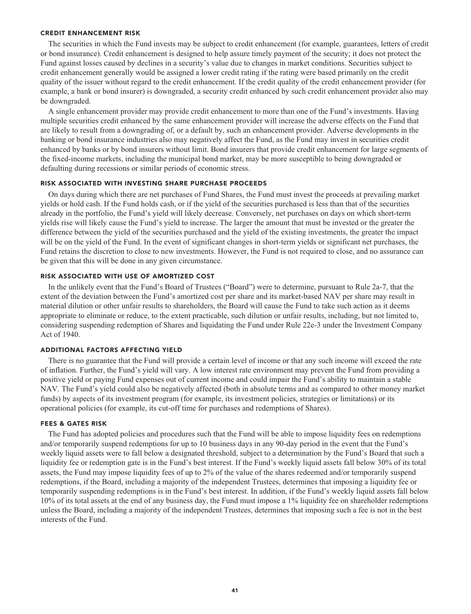#### **CREDIT ENHANCEMENT RISK**

**The securities in which the Fund invests may be subject to credit enhancement (for example, guarantees, letters of credit or bond insurance). Credit enhancement is designed to help assure timely payment of the security; it does not protect the Fund against losses caused by declines in a security's value due to changes in market conditions. Securities subject to credit enhancement generally would be assigned a lower credit rating if the rating were based primarily on the credit quality of the issuer without regard to the credit enhancement. If the credit quality of the credit enhancement provider (for example, a bank or bond insurer) is downgraded, a security credit enhanced by such credit enhancement provider also may be downgraded.**

**A single enhancement provider may provide credit enhancement to more than one of the Fund's investments. Having multiple securities credit enhanced by the same enhancement provider will increase the adverse effects on the Fund that are likely to result from a downgrading of, or a default by, such an enhancement provider. Adverse developments in the banking or bond insurance industries also may negatively affect the Fund, as the Fund may invest in securities credit enhanced by banks or by bond insurers without limit. Bond insurers that provide credit enhancement for large segments of the fixed-income markets, including the municipal bond market, may be more susceptible to being downgraded or defaulting during recessions or similar periods of economic stress.**

#### **RISK ASSOCIATED WITH INVESTING SHARE PURCHASE PROCEEDS**

**On days during which there are net purchases of Fund Shares, the Fund must invest the proceeds at prevailing market yields or hold cash. If the Fund holds cash, or if the yield of the securities purchased is less than that of the securities already in the portfolio, the Fund's yield will likely decrease. Conversely, net purchases on days on which short-term yields rise will likely cause the Fund's yield to increase. The larger the amount that must be invested or the greater the difference between the yield of the securities purchased and the yield of the existing investments, the greater the impact will be on the yield of the Fund. In the event of significant changes in short-term yields or significant net purchases, the Fund retains the discretion to close to new investments. However, the Fund is not required to close, and no assurance can be given that this will be done in any given circumstance.**

#### **RISK ASSOCIATED WITH USE OF AMORTIZED COST**

**In the unlikely event that the Fund's Board of Trustees ("Board") were to determine, pursuant to Rule 2a-7, that the extent of the deviation between the Fund's amortized cost per share and its market-based NAV per share may result in material dilution or other unfair results to shareholders, the Board will cause the Fund to take such action as it deems appropriate to eliminate or reduce, to the extent practicable, such dilution or unfair results, including, but not limited to, considering suspending redemption of Shares and liquidating the Fund under Rule 22e-3 under the Investment Company Act of 1940.**

#### **ADDITIONAL FACTORS AFFECTING YIELD**

**There is no guarantee that the Fund will provide a certain level of income or that any such income will exceed the rate of inflation. Further, the Fund's yield will vary. A low interest rate environment may prevent the Fund from providing a positive yield or paying Fund expenses out of current income and could impair the Fund's ability to maintain a stable NAV. The Fund's yield could also be negatively affected (both in absolute terms and as compared to other money market funds) by aspects of its investment program (for example, its investment policies, strategies or limitations) or its operational policies (for example, its cut-off time for purchases and redemptions of Shares).**

#### **FEES & GATES RISK**

**The Fund has adopted policies and procedures such that the Fund will be able to impose liquidity fees on redemptions and/or temporarily suspend redemptions for up to 10 business days in any 90-day period in the event that the Fund's weekly liquid assets were to fall below a designated threshold, subject to a determination by the Fund's Board that such a liquidity fee or redemption gate is in the Fund's best interest. If the Fund's weekly liquid assets fall below 30% of its total assets, the Fund may impose liquidity fees of up to 2% of the value of the shares redeemed and/or temporarily suspend redemptions, if the Board, including a majority of the independent Trustees, determines that imposing a liquidity fee or temporarily suspending redemptions is in the Fund's best interest. In addition, if the Fund's weekly liquid assets fall below 10% of its total assets at the end of any business day, the Fund must impose a 1% liquidity fee on shareholder redemptions unless the Board, including a majority of the independent Trustees, determines that imposing such a fee is not in the best interests of the Fund.**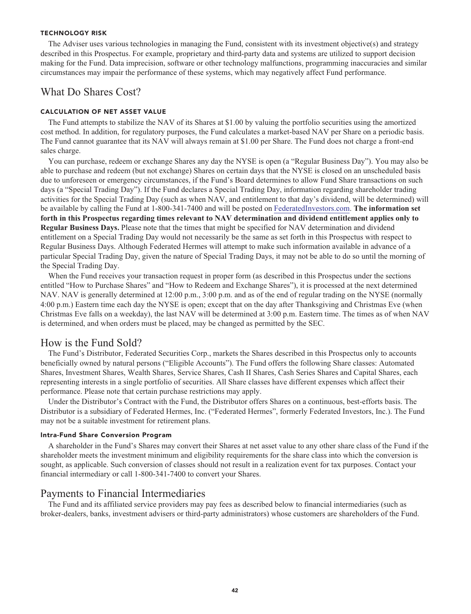#### **TECHNOLOGY RISK**

**The Adviser uses various technologies in managing the Fund, consistent with its investment objective(s) and strategy described in this Prospectus. For example, proprietary and third-party data and systems are utilized to support decision making for the Fund. Data imprecision, software or other technology malfunctions, programming inaccuracies and similar circumstances may impair the performance of these systems, which may negatively affect Fund performance.**

### **What Do Shares Cost?**

#### **CALCULATION OF NET ASSET VALUE**

**The Fund attempts to stabilize the NAV of its Shares at \$1.00 by valuing the portfolio securities using the amortized cost method. In addition, for regulatory purposes, the Fund calculates a market-based NAV per Share on a periodic basis. The Fund cannot guarantee that its NAV will always remain at \$1.00 per Share. The Fund does not charge a front-end sales charge.**

**You can purchase, redeem or exchange Shares any day the NYSE is open (a "Regular Business Day"). You may also be able to purchase and redeem (but not exchange) Shares on certain days that the NYSE is closed on an unscheduled basis due to unforeseen or emergency circumstances, if the Fund's Board determines to allow Fund Share transactions on such days (a "Special Trading Day"). If the Fund declares a Special Trading Day, information regarding shareholder trading activities for the Special Trading Day (such as when NAV, and entitlement to that day's dividend, will be determined) will be available by calling the Fund at 1-800-341-7400 and will be posted on [FederatedInvestors.com.](https://www.federatedinvestors.com/home.do) The information set forth in this Prospectus regarding times relevant to NAV determination and dividend entitlement applies only to Regular Business Days. Please note that the times that might be specified for NAV determination and dividend entitlement on a Special Trading Day would not necessarily be the same as set forth in this Prospectus with respect to Regular Business Days. Although Federated Hermes will attempt to make such information available in advance of a particular Special Trading Day, given the nature of Special Trading Days, it may not be able to do so until the morning of the Special Trading Day.**

**When the Fund receives your transaction request in proper form (as described in this Prospectus under the sections entitled "How to Purchase Shares" and "How to Redeem and Exchange Shares"), it is processed at the next determined NAV. NAV is generally determined at 12:00 p.m., 3:00 p.m. and as of the end of regular trading on the NYSE (normally 4:00 p.m.) Eastern time each day the NYSE is open; except that on the day after Thanksgiving and Christmas Eve (when Christmas Eve falls on a weekday), the last NAV will be determined at 3:00 p.m. Eastern time. The times as of when NAV is determined, and when orders must be placed, may be changed as permitted by the SEC.**

#### **How is the Fund Sold?**

**The Fund's Distributor, Federated Securities Corp., markets the Shares described in this Prospectus only to accounts beneficially owned by natural persons ("Eligible Accounts"). The Fund offers the following Share classes: Automated Shares, Investment Shares, Wealth Shares, Service Shares, Cash II Shares, Cash Series Shares and Capital Shares, each representing interests in a single portfolio of securities. All Share classes have different expenses which affect their performance. Please note that certain purchase restrictions may apply.**

**Under the Distributor's Contract with the Fund, the Distributor offers Shares on a continuous, best-efforts basis. The Distributor is a subsidiary of Federated Hermes, Inc. ("Federated Hermes", formerly Federated Investors, Inc.). The Fund may not be a suitable investment for retirement plans.**

#### **Intra-Fund Share Conversion Program**

**A shareholder in the Fund's Shares may convert their Shares at net asset value to any other share class of the Fund if the shareholder meets the investment minimum and eligibility requirements for the share class into which the conversion is sought, as applicable. Such conversion of classes should not result in a realization event for tax purposes. Contact your financial intermediary or call 1-800-341-7400 to convert your Shares.**

#### **Payments to Financial Intermediaries**

**The Fund and its affiliated service providers may pay fees as described below to financial intermediaries (such as broker-dealers, banks, investment advisers or third-party administrators) whose customers are shareholders of the Fund.**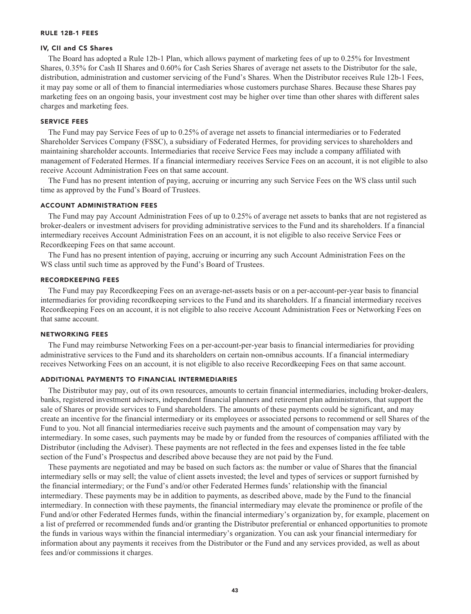#### **RULE 12B-1 FEES**

#### **IV, CII and CS Shares**

**The Board has adopted a Rule 12b-1 Plan, which allows payment of marketing fees of up to 0.25% for Investment Shares, 0.35% for Cash II Shares and 0.60% for Cash Series Shares of average net assets to the Distributor for the sale, distribution, administration and customer servicing of the Fund's Shares. When the Distributor receives Rule 12b-1 Fees, it may pay some or all of them to financial intermediaries whose customers purchase Shares. Because these Shares pay marketing fees on an ongoing basis, your investment cost may be higher over time than other shares with different sales charges and marketing fees.**

#### **SERVICE FEES**

**The Fund may pay Service Fees of up to 0.25% of average net assets to financial intermediaries or to Federated Shareholder Services Company (FSSC), a subsidiary of Federated Hermes, for providing services to shareholders and maintaining shareholder accounts. Intermediaries that receive Service Fees may include a company affiliated with management of Federated Hermes. If a financial intermediary receives Service Fees on an account, it is not eligible to also receive Account Administration Fees on that same account.**

**The Fund has no present intention of paying, accruing or incurring any such Service Fees on the WS class until such time as approved by the Fund's Board of Trustees.**

#### **ACCOUNT ADMINISTRATION FEES**

**The Fund may pay Account Administration Fees of up to 0.25% of average net assets to banks that are not registered as broker-dealers or investment advisers for providing administrative services to the Fund and its shareholders. If a financial intermediary receives Account Administration Fees on an account, it is not eligible to also receive Service Fees or Recordkeeping Fees on that same account.**

**The Fund has no present intention of paying, accruing or incurring any such Account Administration Fees on the WS class until such time as approved by the Fund's Board of Trustees.**

#### **RECORDKEEPING FEES**

**The Fund may pay Recordkeeping Fees on an average-net-assets basis or on a per-account-per-year basis to financial intermediaries for providing recordkeeping services to the Fund and its shareholders. If a financial intermediary receives Recordkeeping Fees on an account, it is not eligible to also receive Account Administration Fees or Networking Fees on that same account.**

#### **NETWORKING FEES**

**The Fund may reimburse Networking Fees on a per-account-per-year basis to financial intermediaries for providing administrative services to the Fund and its shareholders on certain non-omnibus accounts. If a financial intermediary receives Networking Fees on an account, it is not eligible to also receive Recordkeeping Fees on that same account.**

#### **ADDITIONAL PAYMENTS TO FINANCIAL INTERMEDIARIES**

**The Distributor may pay, out of its own resources, amounts to certain financial intermediaries, including broker-dealers, banks, registered investment advisers, independent financial planners and retirement plan administrators, that support the sale of Shares or provide services to Fund shareholders. The amounts of these payments could be significant, and may create an incentive for the financial intermediary or its employees or associated persons to recommend or sell Shares of the Fund to you. Not all financial intermediaries receive such payments and the amount of compensation may vary by intermediary. In some cases, such payments may be made by or funded from the resources of companies affiliated with the Distributor (including the Adviser). These payments are not reflected in the fees and expenses listed in the fee table section of the Fund's Prospectus and described above because they are not paid by the Fund.**

**These payments are negotiated and may be based on such factors as: the number or value of Shares that the financial intermediary sells or may sell; the value of client assets invested; the level and types of services or support furnished by the financial intermediary; or the Fund's and/or other Federated Hermes funds' relationship with the financial intermediary. These payments may be in addition to payments, as described above, made by the Fund to the financial intermediary. In connection with these payments, the financial intermediary may elevate the prominence or profile of the Fund and/or other Federated Hermes funds, within the financial intermediary's organization by, for example, placement on a list of preferred or recommended funds and/or granting the Distributor preferential or enhanced opportunities to promote the funds in various ways within the financial intermediary's organization. You can ask your financial intermediary for information about any payments it receives from the Distributor or the Fund and any services provided, as well as about fees and/or commissions it charges.**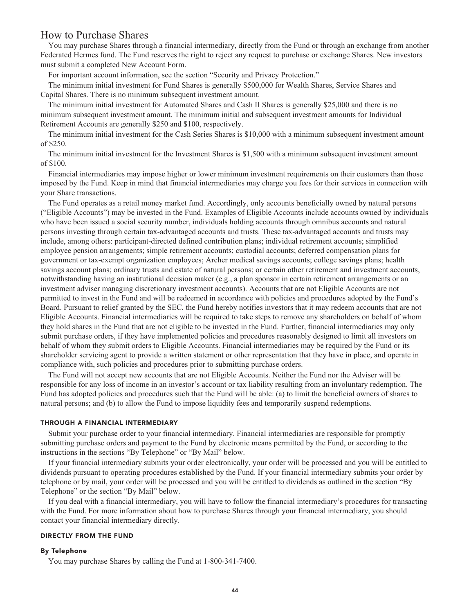#### **How to Purchase Shares**

**You may purchase Shares through a financial intermediary, directly from the Fund or through an exchange from another Federated Hermes fund. The Fund reserves the right to reject any request to purchase or exchange Shares. New investors must submit a completed New Account Form.**

**For important account information, see the section "Security and Privacy Protection."**

**The minimum initial investment for Fund Shares is generally \$500,000 for Wealth Shares, Service Shares and Capital Shares. There is no minimum subsequent investment amount.**

**The minimum initial investment for Automated Shares and Cash II Shares is generally \$25,000 and there is no minimum subsequent investment amount. The minimum initial and subsequent investment amounts for Individual Retirement Accounts are generally \$250 and \$100, respectively.**

**The minimum initial investment for the Cash Series Shares is \$10,000 with a minimum subsequent investment amount of \$250.**

**The minimum initial investment for the Investment Shares is \$1,500 with a minimum subsequent investment amount of \$100.**

**Financial intermediaries may impose higher or lower minimum investment requirements on their customers than those imposed by the Fund. Keep in mind that financial intermediaries may charge you fees for their services in connection with your Share transactions.**

**The Fund operates as a retail money market fund. Accordingly, only accounts beneficially owned by natural persons ("Eligible Accounts") may be invested in the Fund. Examples of Eligible Accounts include accounts owned by individuals who have been issued a social security number, individuals holding accounts through omnibus accounts and natural persons investing through certain tax-advantaged accounts and trusts. These tax-advantaged accounts and trusts may include, among others: participant-directed defined contribution plans; individual retirement accounts; simplified employee pension arrangements; simple retirement accounts; custodial accounts; deferred compensation plans for government or tax-exempt organization employees; Archer medical savings accounts; college savings plans; health savings account plans; ordinary trusts and estate of natural persons; or certain other retirement and investment accounts, notwithstanding having an institutional decision maker (e.g., a plan sponsor in certain retirement arrangements or an investment adviser managing discretionary investment accounts). Accounts that are not Eligible Accounts are not permitted to invest in the Fund and will be redeemed in accordance with policies and procedures adopted by the Fund's Board. Pursuant to relief granted by the SEC, the Fund hereby notifies investors that it may redeem accounts that are not Eligible Accounts. Financial intermediaries will be required to take steps to remove any shareholders on behalf of whom they hold shares in the Fund that are not eligible to be invested in the Fund. Further, financial intermediaries may only submit purchase orders, if they have implemented policies and procedures reasonably designed to limit all investors on behalf of whom they submit orders to Eligible Accounts. Financial intermediaries may be required by the Fund or its shareholder servicing agent to provide a written statement or other representation that they have in place, and operate in compliance with, such policies and procedures prior to submitting purchase orders.**

**The Fund will not accept new accounts that are not Eligible Accounts. Neither the Fund nor the Adviser will be responsible for any loss of income in an investor's account or tax liability resulting from an involuntary redemption. The Fund has adopted policies and procedures such that the Fund will be able: (a) to limit the beneficial owners of shares to natural persons; and (b) to allow the Fund to impose liquidity fees and temporarily suspend redemptions.**

#### **THROUGH A FINANCIAL INTERMEDIARY**

**Submit your purchase order to your financial intermediary. Financial intermediaries are responsible for promptly submitting purchase orders and payment to the Fund by electronic means permitted by the Fund, or according to the instructions in the sections "By Telephone" or "By Mail" below.**

**If your financial intermediary submits your order electronically, your order will be processed and you will be entitled to dividends pursuant to operating procedures established by the Fund. If your financial intermediary submits your order by telephone or by mail, your order will be processed and you will be entitled to dividends as outlined in the section "By Telephone" or the section "By Mail" below.**

**If you deal with a financial intermediary, you will have to follow the financial intermediary's procedures for transacting with the Fund. For more information about how to purchase Shares through your financial intermediary, you should contact your financial intermediary directly.**

#### **DIRECTLY FROM THE FUND**

#### **By Telephone**

**You may purchase Shares by calling the Fund at 1-800-341-7400.**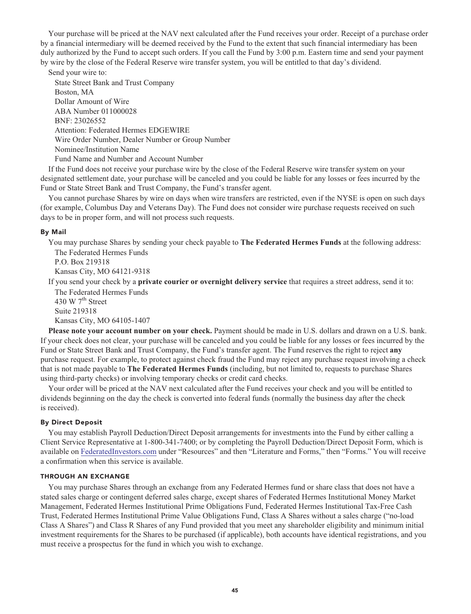**Your purchase will be priced at the NAV next calculated after the Fund receives your order. Receipt of a purchase order by a financial intermediary will be deemed received by the Fund to the extent that such financial intermediary has been duly authorized by the Fund to accept such orders. If you call the Fund by 3:00 p.m. Eastern time and send your payment by wire by the close of the Federal Reserve wire transfer system, you will be entitled to that day's dividend.**

**Send your wire to: State Street Bank and Trust Company Boston, MA Dollar Amount of Wire ABA Number 011000028 BNF: 23026552 Attention: Federated Hermes EDGEWIRE Wire Order Number, Dealer Number or Group Number Nominee/Institution Name Fund Name and Number and Account Number**

**If the Fund does not receive your purchase wire by the close of the Federal Reserve wire transfer system on your designated settlement date, your purchase will be canceled and you could be liable for any losses or fees incurred by the Fund or State Street Bank and Trust Company, the Fund's transfer agent.**

**You cannot purchase Shares by wire on days when wire transfers are restricted, even if the NYSE is open on such days (for example, Columbus Day and Veterans Day). The Fund does not consider wire purchase requests received on such days to be in proper form, and will not process such requests.**

#### **By Mail**

**You may purchase Shares by sending your check payable to The Federated Hermes Funds at the following address: The Federated Hermes Funds**

**P.O. Box 219318 Kansas City, MO 64121-9318**

**If you send your check by a private courier or overnight delivery service that requires a street address, send it to: The Federated Hermes Funds**

**th 430 W 7 Street Suite 219318 Kansas City, MO 64105-1407**

**Please note your account number on your check. Payment should be made in U.S. dollars and drawn on a U.S. bank. If your check does not clear, your purchase will be canceled and you could be liable for any losses or fees incurred by the Fund or State Street Bank and Trust Company, the Fund's transfer agent. The Fund reserves the right to reject any purchase request. For example, to protect against check fraud the Fund may reject any purchase request involving a check that is not made payable to The Federated Hermes Funds (including, but not limited to, requests to purchase Shares using third-party checks) or involving temporary checks or credit card checks.**

**Your order will be priced at the NAV next calculated after the Fund receives your check and you will be entitled to dividends beginning on the day the check is converted into federal funds (normally the business day after the check is received).**

#### **By Direct Deposit**

**You may establish Payroll Deduction/Direct Deposit arrangements for investments into the Fund by either calling a Client Service Representative at 1-800-341-7400; or by completing the Payroll Deduction/Direct Deposit Form, which is available on [FederatedInvestors.com](https://www.federatedinvestors.com/home.do) under "Resources" and then "Literature and Forms," then "Forms." You will receive a confirmation when this service is available.**

#### **THROUGH AN EXCHANGE**

**You may purchase Shares through an exchange from any Federated Hermes fund or share class that does not have a stated sales charge or contingent deferred sales charge, except shares of Federated Hermes Institutional Money Market Management, Federated Hermes Institutional Prime Obligations Fund, Federated Hermes Institutional Tax-Free Cash Trust, Federated Hermes Institutional Prime Value Obligations Fund, Class A Shares without a sales charge ("no-load Class A Shares") and Class R Shares of any Fund provided that you meet any shareholder eligibility and minimum initial investment requirements for the Shares to be purchased (if applicable), both accounts have identical registrations, and you must receive a prospectus for the fund in which you wish to exchange.**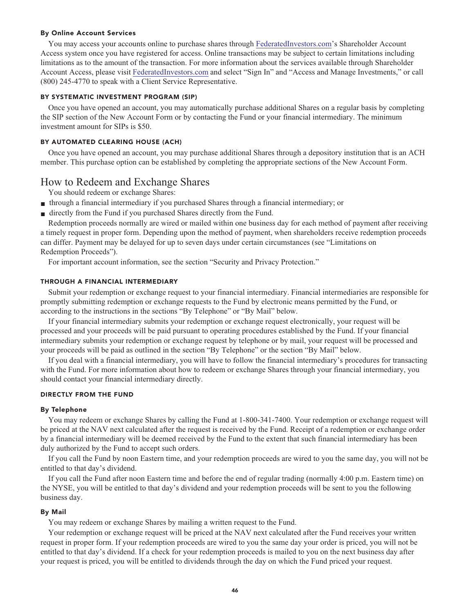#### **By Online Account Services**

**You may access your accounts online to purchase shares through [FederatedInvestors.com's](https://www.federatedinvestors.com/home.do) Shareholder Account Access system once you have registered for access. Online transactions may be subject to certain limitations including limitations as to the amount of the transaction. For more information about the services available through Shareholder Account Access, please visit [FederatedInvestors.com](https://www.federatedinvestors.com/home.do) and select "Sign In" and "Access and Manage Investments," or call (800) 245-4770 to speak with a Client Service Representative.**

#### **BY SYSTEMATIC INVESTMENT PROGRAM (SIP)**

**Once you have opened an account, you may automatically purchase additional Shares on a regular basis by completing the SIP section of the New Account Form or by contacting the Fund or your financial intermediary. The minimum investment amount for SIPs is \$50.**

#### **BY AUTOMATED CLEARING HOUSE (ACH)**

**Once you have opened an account, you may purchase additional Shares through a depository institution that is an ACH member. This purchase option can be established by completing the appropriate sections of the New Account Form.**

#### **How to Redeem and Exchange Shares**

**You should redeem or exchange Shares:**

- **■ through a financial intermediary if you purchased Shares through a financial intermediary; or**
- **■ directly from the Fund if you purchased Shares directly from the Fund.**

**Redemption proceeds normally are wired or mailed within one business day for each method of payment after receiving a timely request in proper form. Depending upon the method of payment, when shareholders receive redemption proceeds can differ. Payment may be delayed for up to seven days under certain circumstances (see "Limitations on Redemption Proceeds").**

**For important account information, see the section "Security and Privacy Protection."**

#### **THROUGH A FINANCIAL INTERMEDIARY**

**Submit your redemption or exchange request to your financial intermediary. Financial intermediaries are responsible for promptly submitting redemption or exchange requests to the Fund by electronic means permitted by the Fund, or according to the instructions in the sections "By Telephone" or "By Mail" below.**

**If your financial intermediary submits your redemption or exchange request electronically, your request will be processed and your proceeds will be paid pursuant to operating procedures established by the Fund. If your financial intermediary submits your redemption or exchange request by telephone or by mail, your request will be processed and your proceeds will be paid as outlined in the section "By Telephone" or the section "By Mail" below.**

**If you deal with a financial intermediary, you will have to follow the financial intermediary's procedures for transacting with the Fund. For more information about how to redeem or exchange Shares through your financial intermediary, you should contact your financial intermediary directly.**

#### **DIRECTLY FROM THE FUND**

#### **By Telephone**

**You may redeem or exchange Shares by calling the Fund at 1-800-341-7400. Your redemption or exchange request will be priced at the NAV next calculated after the request is received by the Fund. Receipt of a redemption or exchange order by a financial intermediary will be deemed received by the Fund to the extent that such financial intermediary has been duly authorized by the Fund to accept such orders.**

**If you call the Fund by noon Eastern time, and your redemption proceeds are wired to you the same day, you will not be entitled to that day's dividend.**

**If you call the Fund after noon Eastern time and before the end of regular trading (normally 4:00 p.m. Eastern time) on the NYSE, you will be entitled to that day's dividend and your redemption proceeds will be sent to you the following business day.**

#### **By Mail**

**You may redeem or exchange Shares by mailing a written request to the Fund.**

**Your redemption or exchange request will be priced at the NAV next calculated after the Fund receives your written request in proper form. If your redemption proceeds are wired to you the same day your order is priced, you will not be entitled to that day's dividend. If a check for your redemption proceeds is mailed to you on the next business day after your request is priced, you will be entitled to dividends through the day on which the Fund priced your request.**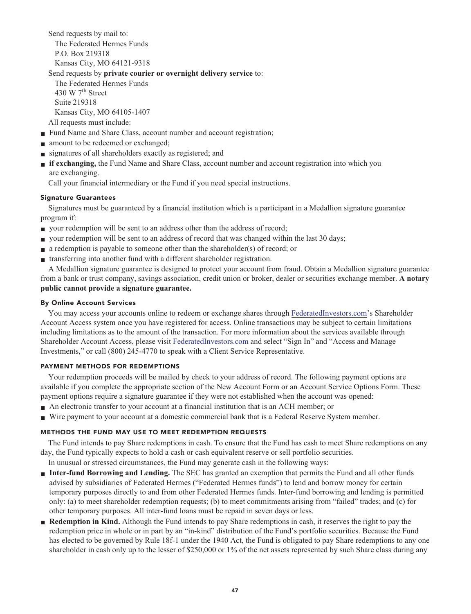**Send requests by mail to: The Federated Hermes Funds P.O. Box 219318 Kansas City, MO 64121-9318**

#### **Send requests by private courier or overnight delivery service to:**

**The Federated Hermes Funds th 430 W 7 Street Suite 219318 Kansas City, MO 64105-1407 All requests must include:**

- **Fund Name and Share Class, account number and account registration;**
- **■ amount to be redeemed or exchanged;**
- **■ signatures of all shareholders exactly as registered; and**
- **■ if exchanging, the Fund Name and Share Class, account number and account registration into which you are exchanging.**

**Call your financial intermediary or the Fund if you need special instructions.**

#### **Signature Guarantees**

**Signatures must be guaranteed by a financial institution which is a participant in a Medallion signature guarantee program if:**

- **your redemption will be sent to an address other than the address of record;**
- **■ your redemption will be sent to an address of record that was changed within the last 30 days;**
- **■ a redemption is payable to someone other than the shareholder(s) of record; or**
- **■ transferring into another fund with a different shareholder registration.**

**A Medallion signature guarantee is designed to protect your account from fraud. Obtain a Medallion signature guarantee from a bank or trust company, savings association, credit union or broker, dealer or securities exchange member. A notary public cannot provide a signature guarantee.**

#### **By Online Account Services**

**You may access your accounts online to redeem or exchange shares through [FederatedInvestors.com'](https://www.federatedinvestors.com/home.do)s Shareholder Account Access system once you have registered for access. Online transactions may be subject to certain limitations including limitations as to the amount of the transaction. For more information about the services available through Shareholder Account Access, please visit [FederatedInvestors.com](https://www.federatedinvestors.com/home.do) and select "Sign In" and "Access and Manage Investments," or call (800) 245-4770 to speak with a Client Service Representative.**

#### **PAYMENT METHODS FOR REDEMPTIONS**

**Your redemption proceeds will be mailed by check to your address of record. The following payment options are available if you complete the appropriate section of the New Account Form or an Account Service Options Form. These payment options require a signature guarantee if they were not established when the account was opened:**

- **■ An electronic transfer to your account at a financial institution that is an ACH member; or**
- **■ Wire payment to your account at a domestic commercial bank that is a Federal Reserve System member.**

#### **METHODS THE FUND MAY USE TO MEET REDEMPTION REQUESTS**

**The Fund intends to pay Share redemptions in cash. To ensure that the Fund has cash to meet Share redemptions on any day, the Fund typically expects to hold a cash or cash equivalent reserve or sell portfolio securities.**

**In unusual or stressed circumstances, the Fund may generate cash in the following ways:**

- **■ Inter-fund Borrowing and Lending.** The SEC has granted an exemption that permits the Fund and all other funds **advised by subsidiaries of Federated Hermes ("Federated Hermes funds") to lend and borrow money for certain temporary purposes directly to and from other Federated Hermes funds. Inter-fund borrowing and lending is permitted only: (a) to meet shareholder redemption requests; (b) to meet commitments arising from "failed" trades; and (c) for other temporary purposes. All inter-fund loans must be repaid in seven days or less.**
- **Redemption in Kind.** Although the Fund intends to pay Share redemptions in cash, it reserves the right to pay the **redemption price in whole or in part by an "in-kind" distribution of the Fund's portfolio securities. Because the Fund has elected to be governed by Rule 18f-1 under the 1940 Act, the Fund is obligated to pay Share redemptions to any one shareholder in cash only up to the lesser of \$250,000 or 1% of the net assets represented by such Share class during any**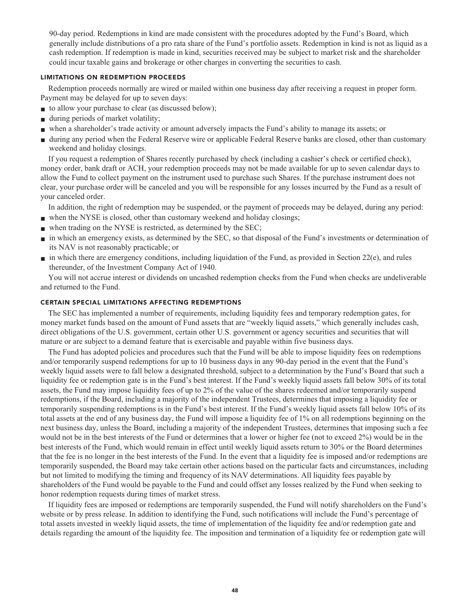**90-day period. Redemptions in kind are made consistent with the procedures adopted by the Fund's Board, which generally include distributions of a pro rata share of the Fund's portfolio assets. Redemption in kind is not as liquid as a cash redemption. If redemption is made in kind, securities received may be subject to market risk and the shareholder could incur taxable gains and brokerage or other charges in converting the securities to cash.**

#### **LIMITATIONS ON REDEMPTION PROCEEDS**

**Redemption proceeds normally are wired or mailed within one business day after receiving a request in proper form. Payment may be delayed for up to seven days:**

- **to allow your purchase to clear (as discussed below);**
- **■ during periods of market volatility;**
- **■ when a shareholder's trade activity or amount adversely impacts the Fund's ability to manage its assets; or**
- **■ during any period when the Federal Reserve wire or applicable Federal Reserve banks are closed, other than customary weekend and holiday closings.**

**If you request a redemption of Shares recently purchased by check (including a cashier's check or certified check), money order, bank draft or ACH, your redemption proceeds may not be made available for up to seven calendar days to allow the Fund to collect payment on the instrument used to purchase such Shares. If the purchase instrument does not clear, your purchase order will be canceled and you will be responsible for any losses incurred by the Fund as a result of your canceled order.**

**In addition, the right of redemption may be suspended, or the payment of proceeds may be delayed, during any period:**

- **■ when the NYSE is closed, other than customary weekend and holiday closings;**
- **■ when trading on the NYSE is restricted, as determined by the SEC;**
- **■ in which an emergency exists, as determined by the SEC, so that disposal of the Fund's investments or determination of its NAV is not reasonably practicable; or**
- **■ in which there are emergency conditions, including liquidation of the Fund, as provided in Section 22(e), and rules thereunder, of the Investment Company Act of 1940.**

**You will not accrue interest or dividends on uncashed redemption checks from the Fund when checks are undeliverable and returned to the Fund.**

#### **CERTAIN SPECIAL LIMITATIONS AFFECTING REDEMPTIONS**

**The SEC has implemented a number of requirements, including liquidity fees and temporary redemption gates, for money market funds based on the amount of Fund assets that are "weekly liquid assets," which generally includes cash, direct obligations of the U.S. government, certain other U.S. government or agency securities and securities that will mature or are subject to a demand feature that is exercisable and payable within five business days.**

**The Fund has adopted policies and procedures such that the Fund will be able to impose liquidity fees on redemptions and/or temporarily suspend redemptions for up to 10 business days in any 90-day period in the event that the Fund's weekly liquid assets were to fall below a designated threshold, subject to a determination by the Fund's Board that such a liquidity fee or redemption gate is in the Fund's best interest. If the Fund's weekly liquid assets fall below 30% of its total assets, the Fund may impose liquidity fees of up to 2% of the value of the shares redeemed and/or temporarily suspend redemptions, if the Board, including a majority of the independent Trustees, determines that imposing a liquidity fee or temporarily suspending redemptions is in the Fund's best interest. If the Fund's weekly liquid assets fall below 10% of its total assets at the end of any business day, the Fund will impose a liquidity fee of 1% on all redemptions beginning on the next business day, unless the Board, including a majority of the independent Trustees, determines that imposing such a fee would not be in the best interests of the Fund or determines that a lower or higher fee (not to exceed 2%) would be in the best interests of the Fund, which would remain in effect until weekly liquid assets return to 30% or the Board determines that the fee is no longer in the best interests of the Fund. In the event that a liquidity fee is imposed and/or redemptions are temporarily suspended, the Board may take certain other actions based on the particular facts and circumstances, including but not limited to modifying the timing and frequency of its NAV determinations. All liquidity fees payable by shareholders of the Fund would be payable to the Fund and could offset any losses realized by the Fund when seeking to honor redemption requests during times of market stress.**

**If liquidity fees are imposed or redemptions are temporarily suspended, the Fund will notify shareholders on the Fund's website or by press release. In addition to identifying the Fund, such notifications will include the Fund's percentage of total assets invested in weekly liquid assets, the time of implementation of the liquidity fee and/or redemption gate and details regarding the amount of the liquidity fee. The imposition and termination of a liquidity fee or redemption gate will**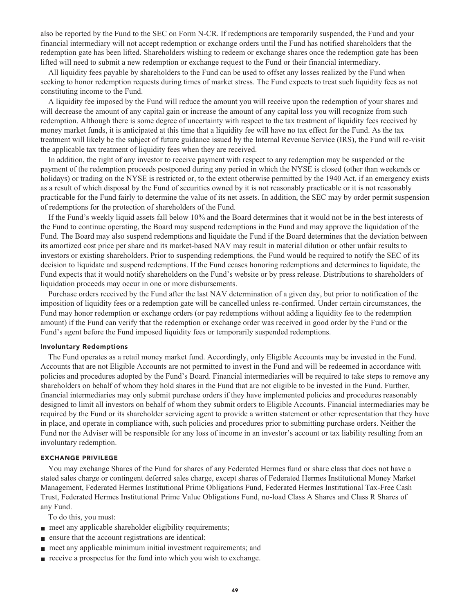**also be reported by the Fund to the SEC on Form N-CR. If redemptions are temporarily suspended, the Fund and your financial intermediary will not accept redemption or exchange orders until the Fund has notified shareholders that the redemption gate has been lifted. Shareholders wishing to redeem or exchange shares once the redemption gate has been lifted will need to submit a new redemption or exchange request to the Fund or their financial intermediary.**

**All liquidity fees payable by shareholders to the Fund can be used to offset any losses realized by the Fund when seeking to honor redemption requests during times of market stress. The Fund expects to treat such liquidity fees as not constituting income to the Fund.**

**A liquidity fee imposed by the Fund will reduce the amount you will receive upon the redemption of your shares and will decrease the amount of any capital gain or increase the amount of any capital loss you will recognize from such redemption. Although there is some degree of uncertainty with respect to the tax treatment of liquidity fees received by money market funds, it is anticipated at this time that a liquidity fee will have no tax effect for the Fund. As the tax treatment will likely be the subject of future guidance issued by the Internal Revenue Service (IRS), the Fund will re-visit the applicable tax treatment of liquidity fees when they are received.**

**In addition, the right of any investor to receive payment with respect to any redemption may be suspended or the payment of the redemption proceeds postponed during any period in which the NYSE is closed (other than weekends or holidays) or trading on the NYSE is restricted or, to the extent otherwise permitted by the 1940 Act, if an emergency exists as a result of which disposal by the Fund of securities owned by it is not reasonably practicable or it is not reasonably practicable for the Fund fairly to determine the value of its net assets. In addition, the SEC may by order permit suspension of redemptions for the protection of shareholders of the Fund.**

**If the Fund's weekly liquid assets fall below 10% and the Board determines that it would not be in the best interests of the Fund to continue operating, the Board may suspend redemptions in the Fund and may approve the liquidation of the Fund. The Board may also suspend redemptions and liquidate the Fund if the Board determines that the deviation between its amortized cost price per share and its market-based NAV may result in material dilution or other unfair results to investors or existing shareholders. Prior to suspending redemptions, the Fund would be required to notify the SEC of its decision to liquidate and suspend redemptions. If the Fund ceases honoring redemptions and determines to liquidate, the Fund expects that it would notify shareholders on the Fund's website or by press release. Distributions to shareholders of liquidation proceeds may occur in one or more disbursements.**

**Purchase orders received by the Fund after the last NAV determination of a given day, but prior to notification of the imposition of liquidity fees or a redemption gate will be cancelled unless re-confirmed. Under certain circumstances, the Fund may honor redemption or exchange orders (or pay redemptions without adding a liquidity fee to the redemption amount) if the Fund can verify that the redemption or exchange order was received in good order by the Fund or the Fund's agent before the Fund imposed liquidity fees or temporarily suspended redemptions.**

#### **Involuntary Redemptions**

**The Fund operates as a retail money market fund. Accordingly, only Eligible Accounts may be invested in the Fund. Accounts that are not Eligible Accounts are not permitted to invest in the Fund and will be redeemed in accordance with policies and procedures adopted by the Fund's Board. Financial intermediaries will be required to take steps to remove any shareholders on behalf of whom they hold shares in the Fund that are not eligible to be invested in the Fund. Further, financial intermediaries may only submit purchase orders if they have implemented policies and procedures reasonably designed to limit all investors on behalf of whom they submit orders to Eligible Accounts. Financial intermediaries may be required by the Fund or its shareholder servicing agent to provide a written statement or other representation that they have in place, and operate in compliance with, such policies and procedures prior to submitting purchase orders. Neither the Fund nor the Adviser will be responsible for any loss of income in an investor's account or tax liability resulting from an involuntary redemption.**

#### **EXCHANGE PRIVILEGE**

**You may exchange Shares of the Fund for shares of any Federated Hermes fund or share class that does not have a stated sales charge or contingent deferred sales charge, except shares of Federated Hermes Institutional Money Market Management, Federated Hermes Institutional Prime Obligations Fund, Federated Hermes Institutional Tax-Free Cash Trust, Federated Hermes Institutional Prime Value Obligations Fund, no-load Class A Shares and Class R Shares of any Fund.**

**To do this, you must:**

- **meet any applicable shareholder eligibility requirements;**
- **■ ensure that the account registrations are identical;**
- **meet any applicable minimum initial investment requirements; and**
- **receive a prospectus for the fund into which you wish to exchange.**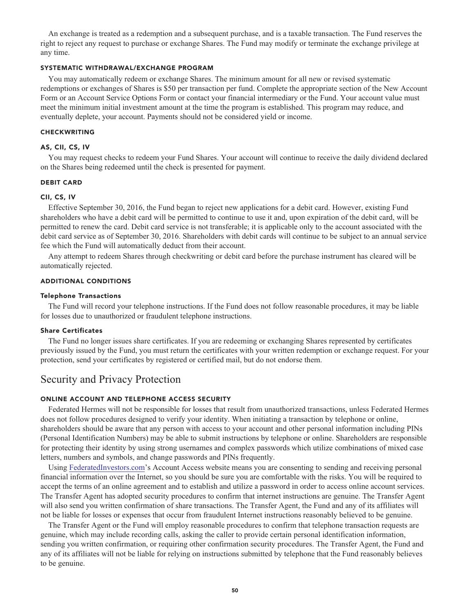**An exchange is treated as a redemption and a subsequent purchase, and is a taxable transaction. The Fund reserves the right to reject any request to purchase or exchange Shares. The Fund may modify or terminate the exchange privilege at any time.**

#### **SYSTEMATIC WITHDRAWAL/EXCHANGE PROGRAM**

**You may automatically redeem or exchange Shares. The minimum amount for all new or revised systematic redemptions or exchanges of Shares is \$50 per transaction per fund. Complete the appropriate section of the New Account Form or an Account Service Options Form or contact your financial intermediary or the Fund. Your account value must meet the minimum initial investment amount at the time the program is established. This program may reduce, and eventually deplete, your account. Payments should not be considered yield or income.**

#### **CHECKWRITING**

#### **AS, CII, CS, IV**

**You may request checks to redeem your Fund Shares. Your account will continue to receive the daily dividend declared on the Shares being redeemed until the check is presented for payment.**

#### **DEBIT CARD**

#### **CII, CS, IV**

**Effective September 30, 2016, the Fund began to reject new applications for a debit card. However, existing Fund shareholders who have a debit card will be permitted to continue to use it and, upon expiration of the debit card, will be permitted to renew the card. Debit card service is not transferable; it is applicable only to the account associated with the debit card service as of September 30, 2016. Shareholders with debit cards will continue to be subject to an annual service fee which the Fund will automatically deduct from their account.**

**Any attempt to redeem Shares through checkwriting or debit card before the purchase instrument has cleared will be automatically rejected.**

#### **ADDITIONAL CONDITIONS**

#### **Telephone Transactions**

**The Fund will record your telephone instructions. If the Fund does not follow reasonable procedures, it may be liable for losses due to unauthorized or fraudulent telephone instructions.**

#### **Share Certificates**

**The Fund no longer issues share certificates. If you are redeeming or exchanging Shares represented by certificates previously issued by the Fund, you must return the certificates with your written redemption or exchange request. For your protection, send your certificates by registered or certified mail, but do not endorse them.**

### **Security and Privacy Protection**

#### **ONLINE ACCOUNT AND TELEPHONE ACCESS SECURITY**

**Federated Hermes will not be responsible for losses that result from unauthorized transactions, unless Federated Hermes does not follow procedures designed to verify your identity. When initiating a transaction by telephone or online, shareholders should be aware that any person with access to your account and other personal information including PINs (Personal Identification Numbers) may be able to submit instructions by telephone or online. Shareholders are responsible for protecting their identity by using strong usernames and complex passwords which utilize combinations of mixed case letters, numbers and symbols, and change passwords and PINs frequently.**

**Using [FederatedInvestors.com'](https://www.federatedinvestors.com/home.do)s Account Access website means you are consenting to sending and receiving personal financial information over the Internet, so you should be sure you are comfortable with the risks. You will be required to accept the terms of an online agreement and to establish and utilize a password in order to access online account services. The Transfer Agent has adopted security procedures to confirm that internet instructions are genuine. The Transfer Agent will also send you written confirmation of share transactions. The Transfer Agent, the Fund and any of its affiliates will not be liable for losses or expenses that occur from fraudulent Internet instructions reasonably believed to be genuine.**

**The Transfer Agent or the Fund will employ reasonable procedures to confirm that telephone transaction requests are genuine, which may include recording calls, asking the caller to provide certain personal identification information, sending you written confirmation, or requiring other confirmation security procedures. The Transfer Agent, the Fund and any of its affiliates will not be liable for relying on instructions submitted by telephone that the Fund reasonably believes to be genuine.**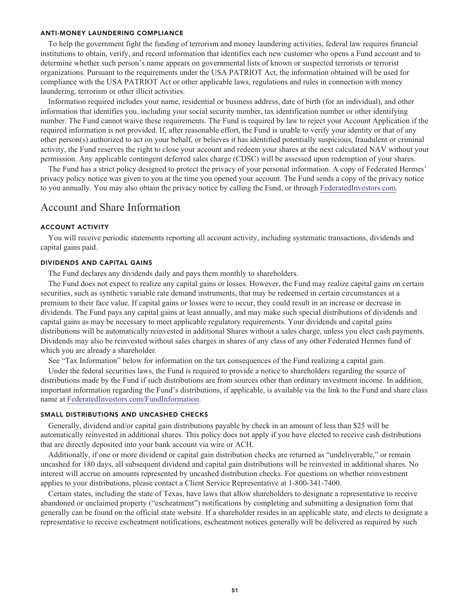#### **ANTI-MONEY LAUNDERING COMPLIANCE**

**To help the government fight the funding of terrorism and money laundering activities, federal law requires financial institutions to obtain, verify, and record information that identifies each new customer who opens a Fund account and to determine whether such person's name appears on governmental lists of known or suspected terrorists or terrorist organizations. Pursuant to the requirements under the USA PATRIOT Act, the information obtained will be used for compliance with the USA PATRIOT Act or other applicable laws, regulations and rules in connection with money laundering, terrorism or other illicit activities.**

**Information required includes your name, residential or business address, date of birth (for an individual), and other information that identifies you, including your social security number, tax identification number or other identifying number. The Fund cannot waive these requirements. The Fund is required by law to reject your Account Application if the required information is not provided. If, after reasonable effort, the Fund is unable to verify your identity or that of any other person(s) authorized to act on your behalf, or believes it has identified potentially suspicious, fraudulent or criminal activity, the Fund reserves the right to close your account and redeem your shares at the next calculated NAV without your permission. Any applicable contingent deferred sales charge (CDSC) will be assessed upon redemption of your shares.**

**The Fund has a strict policy designed to protect the privacy of your personal information. A copy of Federated Hermes' privacy policy notice was given to you at the time you opened your account. The Fund sends a copy of the privacy notice to you annually. You may also obtain the privacy notice by calling the Fund, or through [FederatedInvestors.com.](https://www.federatedinvestors.com/home.do)**

#### **Account and Share Information**

#### **ACCOUNT ACTIVITY**

**You will receive periodic statements reporting all account activity, including systematic transactions, dividends and capital gains paid.**

#### **DIVIDENDS AND CAPITAL GAINS**

**The Fund declares any dividends daily and pays them monthly to shareholders.**

**The Fund does not expect to realize any capital gains or losses. However, the Fund may realize capital gains on certain securities, such as synthetic variable rate demand instruments, that may be redeemed in certain circumstances at a premium to their face value. If capital gains or losses were to occur, they could result in an increase or decrease in dividends. The Fund pays any capital gains at least annually, and may make such special distributions of dividends and capital gains as may be necessary to meet applicable regulatory requirements. Your dividends and capital gains distributions will be automatically reinvested in additional Shares without a sales charge, unless you elect cash payments. Dividends may also be reinvested without sales charges in shares of any class of any other Federated Hermes fund of which you are already a shareholder.**

**See "Tax Information" below for information on the tax consequences of the Fund realizing a capital gain.**

**Under the federal securities laws, the Fund is required to provide a notice to shareholders regarding the source of distributions made by the Fund if such distributions are from sources other than ordinary investment income. In addition, important information regarding the Fund's distributions, if applicable, is available via the link to the Fund and share class name at [FederatedInvestors.com/FundInformation.](https://www.federatedinvestors.com/product-info/prospectuses-and-regulatory-reports.do)**

#### **SMALL DISTRIBUTIONS AND UNCASHED CHECKS**

**Generally, dividend and/or capital gain distributions payable by check in an amount of less than \$25 will be automatically reinvested in additional shares. This policy does not apply if you have elected to receive cash distributions that are directly deposited into your bank account via wire or ACH.**

**Additionally, if one or more dividend or capital gain distribution checks are returned as "undeliverable," or remain uncashed for 180 days, all subsequent dividend and capital gain distributions will be reinvested in additional shares. No interest will accrue on amounts represented by uncashed distribution checks. For questions on whether reinvestment applies to your distributions, please contact a Client Service Representative at 1-800-341-7400.**

**Certain states, including the state of Texas, have laws that allow shareholders to designate a representative to receive abandoned or unclaimed property ("escheatment") notifications by completing and submitting a designation form that generally can be found on the official state website. If a shareholder resides in an applicable state, and elects to designate a representative to receive escheatment notifications, escheatment notices generally will be delivered as required by such**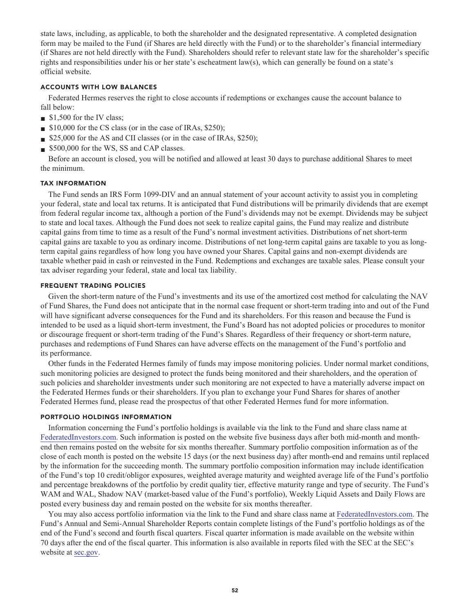**state laws, including, as applicable, to both the shareholder and the designated representative. A completed designation form may be mailed to the Fund (if Shares are held directly with the Fund) or to the shareholder's financial intermediary (if Shares are not held directly with the Fund). Shareholders should refer to relevant state law for the shareholder's specific rights and responsibilities under his or her state's escheatment law(s), which can generally be found on a state's official website.**

#### **ACCOUNTS WITH LOW BALANCES**

**Federated Hermes reserves the right to close accounts if redemptions or exchanges cause the account balance to fall below:**

- **■ \$1,500 for the IV class;**
- **■ \$10,000 for the CS class (or in the case of IRAs, \$250);**
- \$25,000 for the AS and CII classes (or in the case of IRAs, \$250);
- **■ \$500,000 for the WS, SS and CAP classes.**

**Before an account is closed, you will be notified and allowed at least 30 days to purchase additional Shares to meet the minimum.**

#### **TAX INFORMATION**

**The Fund sends an IRS Form 1099-DIV and an annual statement of your account activity to assist you in completing your federal, state and local tax returns. It is anticipated that Fund distributions will be primarily dividends that are exempt from federal regular income tax, although a portion of the Fund's dividends may not be exempt. Dividends may be subject to state and local taxes. Although the Fund does not seek to realize capital gains, the Fund may realize and distribute capital gains from time to time as a result of the Fund's normal investment activities. Distributions of net short-term capital gains are taxable to you as ordinary income. Distributions of net long-term capital gains are taxable to you as longterm capital gains regardless of how long you have owned your Shares. Capital gains and non-exempt dividends are taxable whether paid in cash or reinvested in the Fund. Redemptions and exchanges are taxable sales. Please consult your tax adviser regarding your federal, state and local tax liability.**

#### **FREQUENT TRADING POLICIES**

**Given the short-term nature of the Fund's investments and its use of the amortized cost method for calculating the NAV of Fund Shares, the Fund does not anticipate that in the normal case frequent or short-term trading into and out of the Fund will have significant adverse consequences for the Fund and its shareholders. For this reason and because the Fund is intended to be used as a liquid short-term investment, the Fund's Board has not adopted policies or procedures to monitor or discourage frequent or short-term trading of the Fund's Shares. Regardless of their frequency or short-term nature, purchases and redemptions of Fund Shares can have adverse effects on the management of the Fund's portfolio and its performance.**

**Other funds in the Federated Hermes family of funds may impose monitoring policies. Under normal market conditions, such monitoring policies are designed to protect the funds being monitored and their shareholders, and the operation of such policies and shareholder investments under such monitoring are not expected to have a materially adverse impact on the Federated Hermes funds or their shareholders. If you plan to exchange your Fund Shares for shares of another Federated Hermes fund, please read the prospectus of that other Federated Hermes fund for more information.**

#### **PORTFOLIO HOLDINGS INFORMATION**

**Information concerning the Fund's portfolio holdings is available via the link to the Fund and share class name at [FederatedInvestors.com.](https://www.federatedinvestors.com/home.do) Such information is posted on the website five business days after both mid-month and monthend then remains posted on the website for six months thereafter. Summary portfolio composition information as of the close of each month is posted on the website 15 days (or the next business day) after month-end and remains until replaced by the information for the succeeding month. The summary portfolio composition information may include identification of the Fund's top 10 credit/obligor exposures, weighted average maturity and weighted average life of the Fund's portfolio and percentage breakdowns of the portfolio by credit quality tier, effective maturity range and type of security. The Fund's WAM and WAL, Shadow NAV (market-based value of the Fund's portfolio), Weekly Liquid Assets and Daily Flows are posted every business day and remain posted on the website for six months thereafter.**

**You may also access portfolio information via the link to the Fund and share class name at [FederatedInvestors.com.](https://www.federatedinvestors.com/home.do) The Fund's Annual and Semi-Annual Shareholder Reports contain complete listings of the Fund's portfolio holdings as of the end of the Fund's second and fourth fiscal quarters. Fiscal quarter information is made available on the website within 70 days after the end of the fiscal quarter. This information is also available in reports filed with the SEC at the SEC's website at [sec.gov.](https://www.sec.gov/)**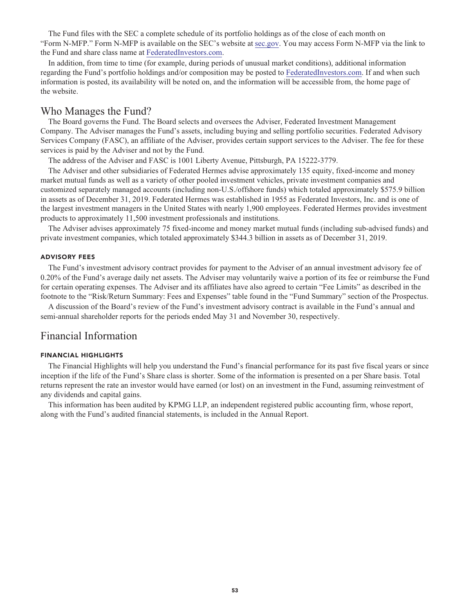**The Fund files with the SEC a complete schedule of its portfolio holdings as of the close of each month on "Form N-MFP." Form N-MFP is available on the SEC's website at [sec.gov.](https://www.sec.gov/) You may access Form N-MFP via the link to the Fund and share class name at [FederatedInvestors.com.](https://www.federatedinvestors.com/home.do)**

**In addition, from time to time (for example, during periods of unusual market conditions), additional information regarding the Fund's portfolio holdings and/or composition may be posted to [FederatedInvestors.com.](https://www.federatedinvestors.com/home.do) If and when such information is posted, its availability will be noted on, and the information will be accessible from, the home page of the website.**

### **Who Manages the Fund?**

**The Board governs the Fund. The Board selects and oversees the Adviser, Federated Investment Management Company. The Adviser manages the Fund's assets, including buying and selling portfolio securities. Federated Advisory Services Company (FASC), an affiliate of the Adviser, provides certain support services to the Adviser. The fee for these services is paid by the Adviser and not by the Fund.**

**The address of the Adviser and FASC is 1001 Liberty Avenue, Pittsburgh, PA 15222-3779.**

**The Adviser and other subsidiaries of Federated Hermes advise approximately 135 equity, fixed-income and money market mutual funds as well as a variety of other pooled investment vehicles, private investment companies and customized separately managed accounts (including non-U.S./offshore funds) which totaled approximately \$575.9 billion in assets as of December 31, 2019. Federated Hermes was established in 1955 as Federated Investors, Inc. and is one of the largest investment managers in the United States with nearly 1,900 employees. Federated Hermes provides investment products to approximately 11,500 investment professionals and institutions.**

**The Adviser advises approximately 75 fixed-income and money market mutual funds (including sub-advised funds) and private investment companies, which totaled approximately \$344.3 billion in assets as of December 31, 2019.**

#### **ADVISORY FEES**

**The Fund's investment advisory contract provides for payment to the Adviser of an annual investment advisory fee of 0.20% of the Fund's average daily net assets. The Adviser may voluntarily waive a portion of its fee or reimburse the Fund for certain operating expenses. The Adviser and its affiliates have also agreed to certain "Fee Limits" as described in the footnote to the "Risk/Return Summary: Fees and Expenses" table found in the "Fund Summary" section of the Prospectus.**

**A discussion of the Board's review of the Fund's investment advisory contract is available in the Fund's annual and semi-annual shareholder reports for the periods ended May 31 and November 30, respectively.**

### **Financial Information**

#### **FINANCIAL HIGHLIGHTS**

**The Financial Highlights will help you understand the Fund's financial performance for its past five fiscal years or since inception if the life of the Fund's Share class is shorter. Some of the information is presented on a per Share basis. Total returns represent the rate an investor would have earned (or lost) on an investment in the Fund, assuming reinvestment of any dividends and capital gains.**

**This information has been audited by KPMG LLP, an independent registered public accounting firm, whose report, along with the Fund's audited financial statements, is included in the Annual Report.**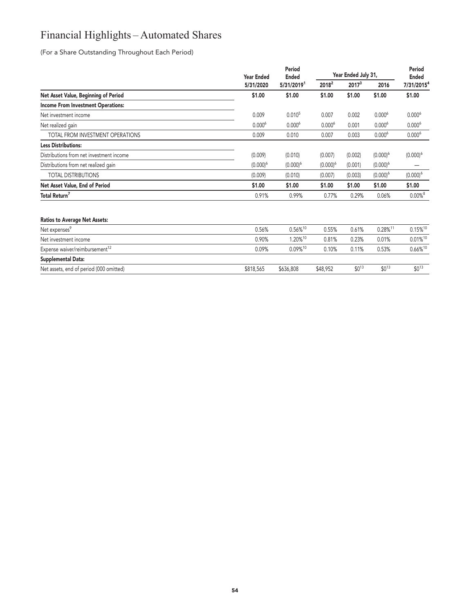## **Financial Highlights – Automated Shares**

**(For a Share Outstanding Throughout Each Period)**

**Supplemental Data:**

|                                            | <b>Year Ended</b>  | Period<br><b>Ended</b> |                   | Year Ended July 31, |                        | Period<br><b>Ended</b> |
|--------------------------------------------|--------------------|------------------------|-------------------|---------------------|------------------------|------------------------|
|                                            | 5/31/2020          | 5/31/2019 <sup>1</sup> | 2018 <sup>2</sup> | 2017 <sup>3</sup>   | 2016                   | 7/31/2015 <sup>4</sup> |
| Net Asset Value, Beginning of Period       | \$1.00             | \$1.00                 | \$1.00            | \$1.00              | \$1.00                 | \$1.00                 |
| <b>Income From Investment Operations:</b>  |                    |                        |                   |                     |                        |                        |
| Net investment income                      | 0.009              | 0.010 <sup>5</sup>     | 0.007             | 0.002               | $0.000^6$              | $0.000^6$              |
| Net realized gain                          | 0.000 <sup>6</sup> | $0.000^6$              | $0.000^6$         | 0.001               | $0.000^6$              | $0.000^6$              |
| TOTAL FROM INVESTMENT OPERATIONS           | 0.009              | 0.010                  | 0.007             | 0.003               | $0.000^6$              | $0.000^6$              |
| <b>Less Distributions:</b>                 |                    |                        |                   |                     |                        |                        |
| Distributions from net investment income   | (0.009)            | (0.010)                | (0.007)           | (0.002)             | $(0.000)^6$            | $(0.000)^6$            |
| Distributions from net realized gain       | $(0.000)^6$        | $(0.000)^6$            | $(0.000)^6$       | (0.001)             | $(0.000)^6$            |                        |
| <b>TOTAL DISTRIBUTIONS</b>                 | (0.009)            | (0.010)                | (0.007)           | (0.003)             | $(0.000)^6$            | $(0.000)^6$            |
| Net Asset Value, End of Period             | \$1.00             | \$1.00                 | \$1.00            | \$1.00              | \$1.00                 | \$1.00                 |
| Total Return <sup>7</sup>                  | 0.91%              | 0.99%                  | 0.77%             | 0.29%               | 0.06%                  | $0.00\%$ <sup>8</sup>  |
| <b>Ratios to Average Net Assets:</b>       |                    |                        |                   |                     |                        |                        |
| Net expenses <sup>9</sup>                  | 0.56%              | $0.56\%^{10}$          | 0.55%             | 0.61%               | $0.28\%$ <sup>11</sup> | $0.15\%$ <sup>10</sup> |
| Net investment income                      | 0.90%              | 1.20%10                | 0.81%             | 0.23%               | 0.01%                  | $0.01\%$ <sup>10</sup> |
| Expense waiver/reimbursement <sup>12</sup> | 0.09%              | 0.09%10                | 0.10%             | 0.11%               | 0.53%                  | 0.66%10                |

**Net assets, end of period (000 omitted) \$818,565 \$636,808 \$48,952 \$0<sup>13</sup> \$0<sup>13</sup> \$0<sup>13</sup>**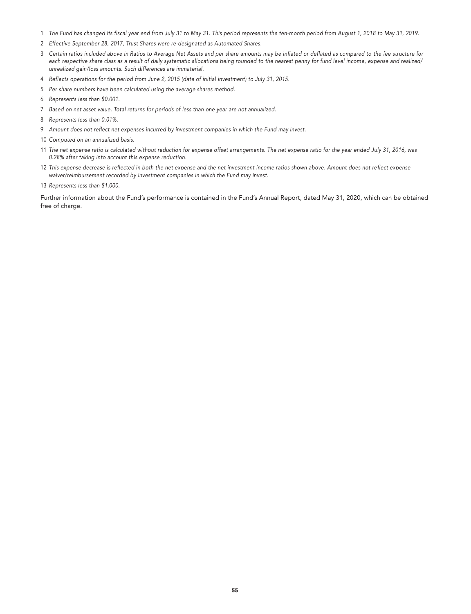- **The Fund has changed its fiscal year end from July 31 to May 31. This period represents the ten-month period from August 1, 2018 to May 31, 2019.**
- **Effective September 28, 2017, Trust Shares were re-designated as Automated Shares.**
- **Certain ratios included above in Ratios to Average Net Assets and per share amounts may be inflated or deflated as compared to the fee structure for each respective share class as a result of daily systematic allocations being rounded to the nearest penny for fund level income, expense and realized/ unrealized gain/loss amounts. Such differences are immaterial.**
- **Reflects operations for the period from June 2, 2015 (date of initial investment) to July 31, 2015.**
- **Per share numbers have been calculated using the average shares method.**
- **Represents less than \$0.001.**
- **Based on net asset value. Total returns for periods of less than one year are not annualized.**
- **Represents less than 0.01%.**
- **Amount does not reflect net expenses incurred by investment companies in which the Fund may invest.**
- **Computed on an annualized basis.**
- **The net expense ratio is calculated without reduction for expense offset arrangements. The net expense ratio for the year ended July 31, 2016, was 0.28% after taking into account this expense reduction.**
- **This expense decrease is reflected in both the net expense and the net investment income ratios shown above. Amount does not reflect expense waiver/reimbursement recorded by investment companies in which the Fund may invest.**
- **Represents less than \$1,000.**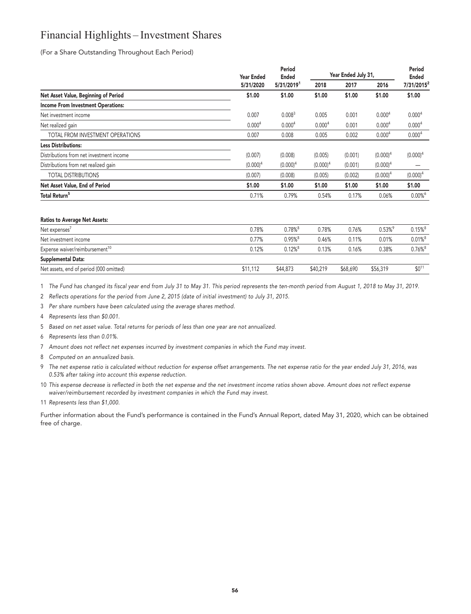## **Financial Highlights – Investment Shares**

**(For a Share Outstanding Throughout Each Period)**

|                                           | <b>Year Ended</b>  |                    |                    | Period<br><b>Ended</b> |                    | Year Ended July 31,    |  | Period<br><b>Ended</b> |
|-------------------------------------------|--------------------|--------------------|--------------------|------------------------|--------------------|------------------------|--|------------------------|
|                                           | 5/31/2020          | 5/31/20191         | 2018               | 2017                   | 2016               | 7/31/2015 <sup>2</sup> |  |                        |
| Net Asset Value, Beginning of Period      | \$1.00             | \$1.00             | \$1.00             | \$1.00                 | \$1.00             | \$1.00                 |  |                        |
| <b>Income From Investment Operations:</b> |                    |                    |                    |                        |                    |                        |  |                        |
| Net investment income                     | 0.007              | 0.008 <sup>3</sup> | 0.005              | 0.001                  | 0.000 <sup>4</sup> | 0.000 <sup>4</sup>     |  |                        |
| Net realized gain                         | 0.000 <sup>4</sup> | 0.000 <sup>4</sup> | 0.000 <sup>4</sup> | 0.001                  | 0.000 <sup>4</sup> | 0.000 <sup>4</sup>     |  |                        |
| TOTAL FROM INVESTMENT OPERATIONS          | 0.007              | 0.008              | 0.005              | 0.002                  | 0.000 <sup>4</sup> | 0.000 <sup>4</sup>     |  |                        |
| <b>Less Distributions:</b>                |                    |                    |                    |                        |                    |                        |  |                        |
| Distributions from net investment income  | (0.007)            | (0.008)            | (0.005)            | (0.001)                | $(0.000)^4$        | $(0.000)^4$            |  |                        |
| Distributions from net realized gain      | $(0.000)^4$        | $(0.000)^4$        | $(0.000)^4$        | (0.001)                | $(0.000)^4$        |                        |  |                        |
| <b>TOTAL DISTRIBUTIONS</b>                | (0.007)            | (0.008)            | (0.005)            | (0.002)                | $(0.000)^4$        | $(0.000)^4$            |  |                        |
| Net Asset Value, End of Period            | \$1.00             | \$1.00             | \$1.00             | \$1.00                 | \$1.00             | \$1.00                 |  |                        |
| Total Return <sup>5</sup>                 | 0.71%              | 0.79%              | 0.54%              | 0.17%                  | 0.06%              | $0.00\%$ <sup>6</sup>  |  |                        |

#### **Ratios to Average Net Assets:**

| Net expenses'                              | 0.78%    | $0.78\%$ <sup>8</sup> | 0.78%    | 0.76%    | $0.53\%$ <sup>9</sup> | $0.15\%$ <sup>8</sup> |
|--------------------------------------------|----------|-----------------------|----------|----------|-----------------------|-----------------------|
| Net investment income                      | 0.77%    | $0.95\%$ <sup>8</sup> | 0.46%    | 0.11%    | 0.01%                 | $0.01\%$ <sup>8</sup> |
| Expense waiver/reimbursement <sup>10</sup> | 0.12%    | $0.12\%$ <sup>8</sup> | 0.13%    | 0.16%    | 0.38%                 | $0.76\%$ <sup>8</sup> |
| Supplemental Data:                         |          |                       |          |          |                       |                       |
| Net assets, end of period (000 omitted)    | \$11.112 | \$44,873              | \$40.219 | \$68,690 | \$56,319              | \$0 <sup>1</sup>      |

**1 The Fund has changed its fiscal year end from July 31 to May 31. This period represents the ten-month period from August 1, 2018 to May 31, 2019.**

**2 Reflects operations for the period from June 2, 2015 (date of initial investment) to July 31, 2015.**

- **3 Per share numbers have been calculated using the average shares method.**
- **4 Represents less than \$0.001.**
- **5 Based on net asset value. Total returns for periods of less than one year are not annualized.**
- **6 Represents less than 0.01%.**
- **7 Amount does not reflect net expenses incurred by investment companies in which the Fund may invest.**
- **8 Computed on an annualized basis.**
- **9 The net expense ratio is calculated without reduction for expense offset arrangements. The net expense ratio for the year ended July 31, 2016, was 0.53% after taking into account this expense reduction.**
- **10 This expense decrease is reflected in both the net expense and the net investment income ratios shown above. Amount does not reflect expense waiver/reimbursement recorded by investment companies in which the Fund may invest.**

**11 Represents less than \$1,000.**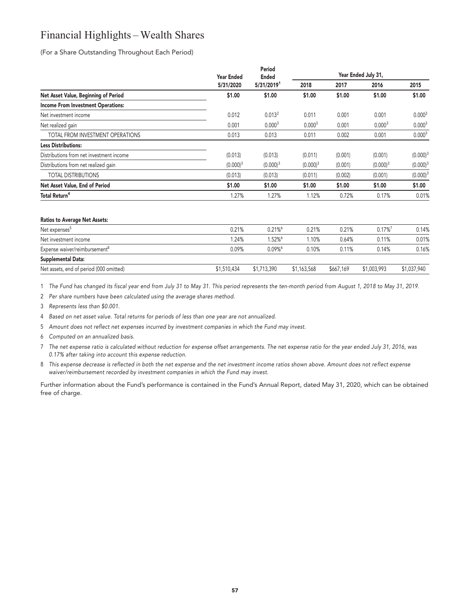## **Financial Highlights – Wealth Shares**

**(For a Share Outstanding Throughout Each Period)**

|                                           | <b>Year Ended</b> | Period<br><b>Ended</b> |                    | Year Ended July 31, |                    |                    |
|-------------------------------------------|-------------------|------------------------|--------------------|---------------------|--------------------|--------------------|
|                                           | 5/31/2020         | 5/31/20191             | 2018               | 2017                | 2016               | 2015               |
| Net Asset Value, Beginning of Period      | \$1.00            | \$1.00                 | \$1.00             | \$1.00              | \$1.00             | \$1.00             |
| <b>Income From Investment Operations:</b> |                   |                        |                    |                     |                    |                    |
| Net investment income                     | 0.012             | 0.013 <sup>2</sup>     | 0.011              | 0.001               | 0.001              | 0.000 <sup>3</sup> |
| Net realized gain                         | 0.001             | 0.000 <sup>3</sup>     | 0.000 <sup>3</sup> | 0.001               | 0.000 <sup>3</sup> | 0.000 <sup>3</sup> |
| TOTAL FROM INVESTMENT OPERATIONS          | 0.013             | 0.013                  | 0.011              | 0.002               | 0.001              | 0.000 <sup>3</sup> |
| <b>Less Distributions:</b>                |                   |                        |                    |                     |                    |                    |
| Distributions from net investment income  | (0.013)           | (0.013)                | (0.011)            | (0.001)             | (0.001)            | $(0.000)^3$        |
| Distributions from net realized gain      | $(0.000)^3$       | $(0.000)^3$            | $(0.000)^3$        | (0.001)             | $(0.000)^3$        | $(0.000)^3$        |
| <b>TOTAL DISTRIBUTIONS</b>                | (0.013)           | (0.013)                | (0.011)            | (0.002)             | (0.001)            | $(0.000)^3$        |
| Net Asset Value, End of Period            | \$1.00            | \$1.00                 | \$1.00             | \$1.00              | \$1.00             | \$1.00             |
| <b>Total Return<sup>4</sup></b>           | 1.27%             | 1.27%                  | 1.12%              | 0.72%               | 0.17%              | 0.01%              |
|                                           |                   |                        |                    |                     |                    |                    |

#### **Ratios to Average Net Assets:**

| Net expenses <sup>5</sup>                 | 0.21%       | $0.21\%$    | 0.21%       | 0.21%     | $0.17\%$ <sup>7</sup> | 0.14%       |
|-------------------------------------------|-------------|-------------|-------------|-----------|-----------------------|-------------|
| Net investment income                     | .24%        | $1.52\%$    | $1.10\%$    | 0.64%     | 0.11%                 | 0.01%       |
| Expense waiver/reimbursement <sup>8</sup> | 0.09%       | 0.09%       | 0.10%       | 0.11%     | 0.14%                 | 0.16%       |
| <b>Supplemental Data:</b>                 |             |             |             |           |                       |             |
| Net assets, end of period (000 omitted)   | \$1,510,434 | \$1,713,390 | \$1,163,568 | \$667,169 | \$1,003,993           | \$1,037,940 |

**1 The Fund has changed its fiscal year end from July 31 to May 31. This period represents the ten-month period from August 1, 2018 to May 31, 2019.**

**2 Per share numbers have been calculated using the average shares method.**

**3 Represents less than \$0.001.**

**4 Based on net asset value. Total returns for periods of less than one year are not annualized.**

- **5 Amount does not reflect net expenses incurred by investment companies in which the Fund may invest.**
- **6 Computed on an annualized basis.**
- **7 The net expense ratio is calculated without reduction for expense offset arrangements. The net expense ratio for the year ended July 31, 2016, was 0.17% after taking into account this expense reduction.**
- **8 This expense decrease is reflected in both the net expense and the net investment income ratios shown above. Amount does not reflect expense waiver/reimbursement recorded by investment companies in which the Fund may invest.**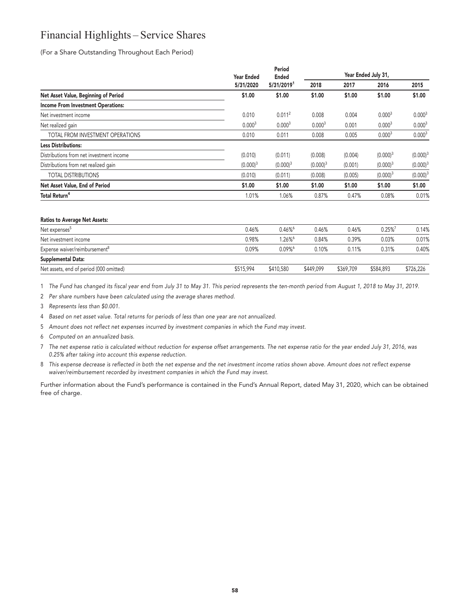### **Financial Highlights – Service Shares**

**(For a Share Outstanding Throughout Each Period)**

|                                           | <b>Year Ended</b>  | Period<br><b>Ended</b> |                    | Year Ended July 31, |                    |                    |
|-------------------------------------------|--------------------|------------------------|--------------------|---------------------|--------------------|--------------------|
|                                           | 5/31/2020          | 5/31/20191             | 2018               | 2017                | 2016               | 2015               |
| Net Asset Value, Beginning of Period      | \$1.00             | \$1.00                 | \$1.00             | \$1.00              | \$1.00             | \$1.00             |
| <b>Income From Investment Operations:</b> |                    |                        |                    |                     |                    |                    |
| Net investment income                     | 0.010              | $0.011^2$              | 0.008              | 0.004               | 0.000 <sup>3</sup> | 0.000 <sup>3</sup> |
| Net realized gain                         | 0.000 <sup>3</sup> | 0.000 <sup>3</sup>     | 0.000 <sup>3</sup> | 0.001               | 0.000 <sup>3</sup> | 0.000 <sup>3</sup> |
| TOTAL FROM INVESTMENT OPERATIONS          | 0.010              | 0.011                  | 0.008              | 0.005               | 0.000 <sup>3</sup> | 0.000 <sup>3</sup> |
| <b>Less Distributions:</b>                |                    |                        |                    |                     |                    |                    |
| Distributions from net investment income  | (0.010)            | (0.011)                | (0.008)            | (0.004)             | $(0.000)^3$        | $(0.000)^3$        |
| Distributions from net realized gain      | $(0.000)^3$        | $(0.000)^3$            | $(0.000)^3$        | (0.001)             | $(0.000)^3$        | $(0.000)^3$        |
| <b>TOTAL DISTRIBUTIONS</b>                | (0.010)            | (0.011)                | (0.008)            | (0.005)             | $(0.000)^3$        | $(0.000)^3$        |
| Net Asset Value, End of Period            | \$1.00             | \$1.00                 | \$1.00             | \$1.00              | \$1.00             | \$1.00             |
| <b>Total Return<sup>4</sup></b>           | 1.01%              | 1.06%                  | 0.87%              | 0.47%               | 0.08%              | 0.01%              |
|                                           |                    |                        |                    |                     |                    |                    |

#### **Ratios to Average Net Assets:**

| Net expenses <sup>5</sup>                 | 0.46%     | $0.46\%$              | 0.46%     | 0.46%     | $0.25\%$  | 0.14%     |
|-------------------------------------------|-----------|-----------------------|-----------|-----------|-----------|-----------|
| Net investment income                     | 0.98%     | $1.26\%$ <sup>6</sup> | 0.84%     | 0.39%     | 0.03%     | 0.01%     |
| Expense waiver/reimbursement <sup>8</sup> | 0.09%     | $0.09\%$ <sup>6</sup> | 0.10%     | 0.11%     | 0.31%     | 0.40%     |
| Supplemental Data:                        |           |                       |           |           |           |           |
| Net assets, end of period (000 omitted)   | \$515,994 | \$410,580             | \$449,099 | \$369,709 | \$584,893 | \$726,226 |

**1 The Fund has changed its fiscal year end from July 31 to May 31. This period represents the ten-month period from August 1, 2018 to May 31, 2019.**

**2 Per share numbers have been calculated using the average shares method.**

**3 Represents less than \$0.001.**

**4 Based on net asset value. Total returns for periods of less than one year are not annualized.**

- **5 Amount does not reflect net expenses incurred by investment companies in which the Fund may invest.**
- **6 Computed on an annualized basis.**
- **7 The net expense ratio is calculated without reduction for expense offset arrangements. The net expense ratio for the year ended July 31, 2016, was 0.25% after taking into account this expense reduction.**
- **8 This expense decrease is reflected in both the net expense and the net investment income ratios shown above. Amount does not reflect expense waiver/reimbursement recorded by investment companies in which the Fund may invest.**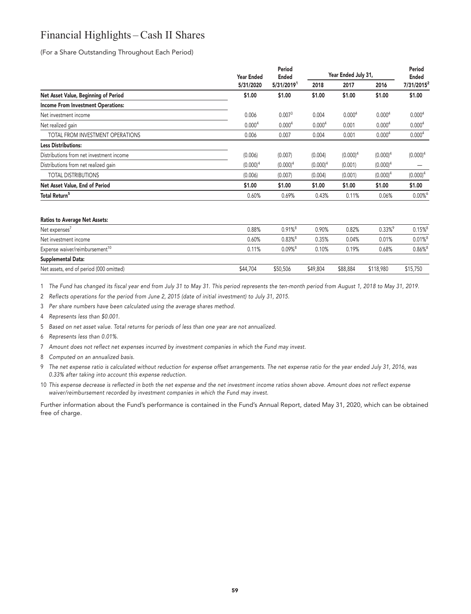## **Financial Highlights – Cash II Shares**

**(For a Share Outstanding Throughout Each Period)**

|                                           | <b>Year Ended</b>  | Period<br><b>Ended</b><br>5/31/20191 | Year Ended July 31, |                    |                    | Period<br><b>Ended</b> |
|-------------------------------------------|--------------------|--------------------------------------|---------------------|--------------------|--------------------|------------------------|
|                                           | 5/31/2020          |                                      | 2018                | 2017               | 2016               | 7/31/2015 <sup>2</sup> |
| Net Asset Value, Beginning of Period      | \$1.00             | \$1.00                               | \$1.00              | \$1.00             | \$1.00             | \$1.00                 |
| <b>Income From Investment Operations:</b> |                    |                                      |                     |                    |                    |                        |
| Net investment income                     | 0.006              | 0.007 <sup>3</sup>                   | 0.004               | 0.000 <sup>4</sup> | 0.000 <sup>4</sup> | 0.000 <sup>4</sup>     |
| Net realized gain                         | 0.000 <sup>4</sup> | 0.000 <sup>4</sup>                   | 0.000 <sup>4</sup>  | 0.001              | 0.000 <sup>4</sup> | 0.000 <sup>4</sup>     |
| TOTAL FROM INVESTMENT OPERATIONS          | 0.006              | 0.007                                | 0.004               | 0.001              | 0.000 <sup>4</sup> | 0.000 <sup>4</sup>     |
| <b>Less Distributions:</b>                |                    |                                      |                     |                    |                    |                        |
| Distributions from net investment income  | (0.006)            | (0.007)                              | (0.004)             | $(0.000)^4$        | $(0.000)^4$        | $(0.000)^4$            |
| Distributions from net realized gain      | $(0.000)^4$        | $(0.000)^4$                          | $(0.000)^4$         | (0.001)            | $(0.000)^4$        |                        |
| <b>TOTAL DISTRIBUTIONS</b>                | (0.006)            | (0.007)                              | (0.004)             | (0.001)            | $(0.000)^4$        | $(0.000)^4$            |
| Net Asset Value, End of Period            | \$1.00             | \$1.00                               | \$1.00              | \$1.00             | \$1.00             | \$1.00                 |
| Total Return <sup>5</sup>                 | 0.60%              | 0.69%                                | 0.43%               | 0.11%              | 0.06%              | $0.00\%$ <sup>6</sup>  |

#### **Ratios to Average Net Assets:**

| Net expenses'                              | 0.88%    | $0.91\%$ <sup>8</sup> | 0.90%    | 0.82%    | $0.33\%$ <sup>9</sup> | $0.15\%$ <sup>8</sup> |
|--------------------------------------------|----------|-----------------------|----------|----------|-----------------------|-----------------------|
| Net investment income                      | 0.60%    | $0.83\%$ <sup>8</sup> | 0.35%    | 0.04%    | 0.01%                 | $0.01\%$ <sup>8</sup> |
| Expense waiver/reimbursement <sup>10</sup> | 0.11%    | $0.09%$ <sup>8</sup>  | 0.10%    | 0.19%    | 0.68%                 | $0.86\%$ <sup>8</sup> |
| Supplemental Data:                         |          |                       |          |          |                       |                       |
| Net assets, end of period (000 omitted)    | \$44,704 | \$50,506              | \$49,804 | \$88,884 | \$118,980             | \$15,750              |

**1 The Fund has changed its fiscal year end from July 31 to May 31. This period represents the ten-month period from August 1, 2018 to May 31, 2019.**

**2 Reflects operations for the period from June 2, 2015 (date of initial investment) to July 31, 2015.**

- **3 Per share numbers have been calculated using the average shares method.**
- **4 Represents less than \$0.001.**
- **5 Based on net asset value. Total returns for periods of less than one year are not annualized.**
- **6 Represents less than 0.01%.**
- **7 Amount does not reflect net expenses incurred by investment companies in which the Fund may invest.**
- **8 Computed on an annualized basis.**
- **9 The net expense ratio is calculated without reduction for expense offset arrangements. The net expense ratio for the year ended July 31, 2016, was 0.33% after taking into account this expense reduction.**
- **10 This expense decrease is reflected in both the net expense and the net investment income ratios shown above. Amount does not reflect expense waiver/reimbursement recorded by investment companies in which the Fund may invest.**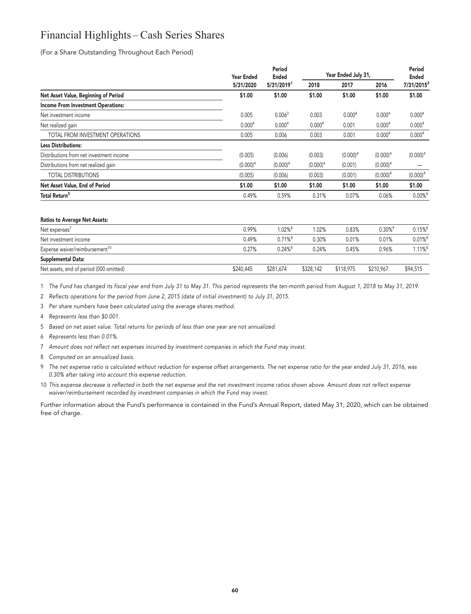## **Financial Highlights – Cash Series Shares**

**(For a Share Outstanding Throughout Each Period)**

|                                           | <b>Year Ended</b>  | Period<br><b>Ended</b> | Year Ended July 31, |                    |                    | Period<br><b>Ended</b> |
|-------------------------------------------|--------------------|------------------------|---------------------|--------------------|--------------------|------------------------|
|                                           | 5/31/2020          | 5/31/20191             | 2018                | 2017               | 2016               | 7/31/2015 <sup>2</sup> |
| Net Asset Value, Beginning of Period      | \$1.00             | \$1.00                 | \$1.00              | \$1.00             | \$1.00             | \$1.00                 |
| <b>Income From Investment Operations:</b> |                    |                        |                     |                    |                    |                        |
| Net investment income                     | 0.005              | 0.006 <sup>3</sup>     | 0.003               | 0.000 <sup>4</sup> | 0.000 <sup>4</sup> | 0.000 <sup>4</sup>     |
| Net realized gain                         | 0.000 <sup>4</sup> | 0.000 <sup>4</sup>     | 0.000 <sup>4</sup>  | 0.001              | 0.000 <sup>4</sup> | 0.000 <sup>4</sup>     |
| TOTAL FROM INVESTMENT OPERATIONS          | 0.005              | 0.006                  | 0.003               | 0.001              | 0.000 <sup>4</sup> | 0.000 <sup>4</sup>     |
| <b>Less Distributions:</b>                |                    |                        |                     |                    |                    |                        |
| Distributions from net investment income  | (0.005)            | (0.006)                | (0.003)             | $(0.000)^4$        | $(0.000)^4$        | $(0.000)^4$            |
| Distributions from net realized gain      | $(0.000)^4$        | $(0.000)^4$            | $(0.000)^4$         | (0.001)            | $(0.000)^4$        |                        |
| <b>TOTAL DISTRIBUTIONS</b>                | (0.005)            | (0.006)                | (0.003)             | (0.001)            | $(0.000)^4$        | $(0.000)^4$            |
| Net Asset Value, End of Period            | \$1.00             | \$1.00                 | \$1.00              | \$1.00             | \$1.00             | \$1.00                 |
| Total Return <sup>5</sup>                 | 0.49%              | 0.59%                  | 0.31%               | 0.07%              | 0.06%              | $0.00\%$ <sup>6</sup>  |
|                                           |                    |                        |                     |                    |                    |                        |

#### **Ratios to Average Net Assets:**

| Net expenses'                              | 0.99%     | $1.02\%$ <sup>8</sup> | 1.02%     | 0.83%     | $0.30\%$ <sup>9</sup> | $0.15\%$ <sup>8</sup> |
|--------------------------------------------|-----------|-----------------------|-----------|-----------|-----------------------|-----------------------|
| Net investment income                      | 0.49%     | $0.71\%$ <sup>8</sup> | 0.30%     | 0.01%     | 0.01%                 | $0.01\%$ <sup>8</sup> |
| Expense waiver/reimbursement <sup>10</sup> | 0.27%     | $0.24\%$ <sup>8</sup> | 0.24%     | 0.45%     | 0.96%                 | $1.11\%$ <sup>8</sup> |
| Supplemental Data:                         |           |                       |           |           |                       |                       |
| Net assets, end of period (000 omitted)    | \$240.445 | \$281,674             | \$328,142 | \$118,975 | \$210,967             | \$94,515              |
|                                            |           |                       |           |           |                       |                       |

**1 The Fund has changed its fiscal year end from July 31 to May 31. This period represents the ten-month period from August 1, 2018 to May 31, 2019.**

**2 Reflects operations for the period from June 2, 2015 (date of initial investment) to July 31, 2015.**

- **3 Per share numbers have been calculated using the average shares method.**
- **4 Represents less than \$0.001.**
- **5 Based on net asset value. Total returns for periods of less than one year are not annualized.**
- **6 Represents less than 0.01%.**
- **7 Amount does not reflect net expenses incurred by investment companies in which the Fund may invest.**
- **8 Computed on an annualized basis.**
- **9 The net expense ratio is calculated without reduction for expense offset arrangements. The net expense ratio for the year ended July 31, 2016, was 0.30% after taking into account this expense reduction.**
- **10 This expense decrease is reflected in both the net expense and the net investment income ratios shown above. Amount does not reflect expense waiver/reimbursement recorded by investment companies in which the Fund may invest.**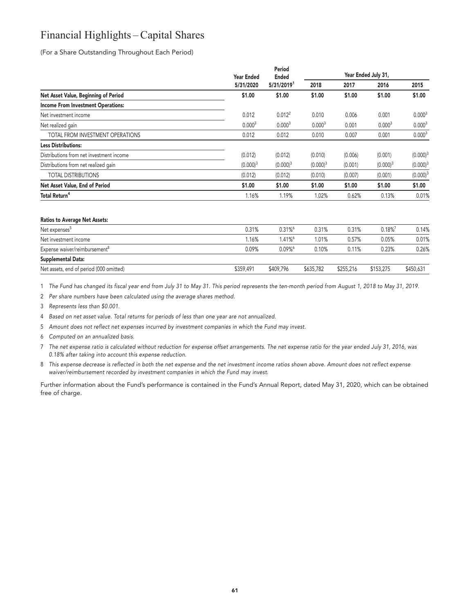## **Financial Highlights – Capital Shares**

**(For a Share Outstanding Throughout Each Period)**

|                                           | <b>Year Ended</b>  | Period<br><b>Ended</b> |                    | Year Ended July 31, |                    |                    |  |
|-------------------------------------------|--------------------|------------------------|--------------------|---------------------|--------------------|--------------------|--|
|                                           | 5/31/2020          | 5/31/20191             | 2018               | 2017                | 2016               | 2015               |  |
| Net Asset Value, Beginning of Period      | \$1.00             | \$1.00                 | \$1.00             | \$1.00              | \$1.00             | \$1.00             |  |
| <b>Income From Investment Operations:</b> |                    |                        |                    |                     |                    |                    |  |
| Net investment income                     | 0.012              | 0.012 <sup>2</sup>     | 0.010              | 0.006               | 0.001              | 0.000 <sup>3</sup> |  |
| Net realized gain                         | 0.000 <sup>3</sup> | 0.000 <sup>3</sup>     | 0.000 <sup>3</sup> | 0.001               | 0.000 <sup>3</sup> | 0.000 <sup>3</sup> |  |
| TOTAL FROM INVESTMENT OPERATIONS          | 0.012              | 0.012                  | 0.010              | 0.007               | 0.001              | 0.000 <sup>3</sup> |  |
| <b>Less Distributions:</b>                |                    |                        |                    |                     |                    |                    |  |
| Distributions from net investment income  | (0.012)            | (0.012)                | (0.010)            | (0.006)             | (0.001)            | $(0.000)^3$        |  |
| Distributions from net realized gain      | $(0.000)^3$        | $(0.000)^3$            | $(0.000)^3$        | (0.001)             | $(0.000)^3$        | $(0.000)^3$        |  |
| <b>TOTAL DISTRIBUTIONS</b>                | (0.012)            | (0.012)                | (0.010)            | (0.007)             | (0.001)            | $(0.000)^3$        |  |
| Net Asset Value, End of Period            | \$1.00             | \$1.00                 | \$1.00             | \$1.00              | \$1.00             | \$1.00             |  |
| <b>Total Return<sup>4</sup></b>           | 1.16%              | 1.19%                  | 1.02%              | 0.62%               | 0.13%              | 0.01%              |  |
|                                           |                    |                        |                    |                     |                    |                    |  |

#### **Ratios to Average Net Assets:**

| Net expenses <sup>5</sup>                 | 0.31%     | $0.31\%$ <sup>6</sup> | 0.31%     | 0.31%     | $0.18\%$  | 0.14%     |
|-------------------------------------------|-----------|-----------------------|-----------|-----------|-----------|-----------|
| Net investment income                     | 1.16%     | 1.41%                 | 1.01%     | 0.57%     | 0.05%     | 0.01%     |
| Expense waiver/reimbursement <sup>8</sup> | 0.09%     | $0.09\%$ <sup>6</sup> | 0.10%     | 0.11%     | 0.23%     | 0.26%     |
| Supplemental Data:                        |           |                       |           |           |           |           |
| Net assets, end of period (000 omitted)   | \$359,491 | \$409,796             | \$635,782 | \$255,216 | \$153,275 | \$450,631 |

**1 The Fund has changed its fiscal year end from July 31 to May 31. This period represents the ten-month period from August 1, 2018 to May 31, 2019.**

**2 Per share numbers have been calculated using the average shares method.**

**3 Represents less than \$0.001.**

**4 Based on net asset value. Total returns for periods of less than one year are not annualized.**

- **5 Amount does not reflect net expenses incurred by investment companies in which the Fund may invest.**
- **6 Computed on an annualized basis.**
- **7 The net expense ratio is calculated without reduction for expense offset arrangements. The net expense ratio for the year ended July 31, 2016, was 0.18% after taking into account this expense reduction.**
- **8 This expense decrease is reflected in both the net expense and the net investment income ratios shown above. Amount does not reflect expense waiver/reimbursement recorded by investment companies in which the Fund may invest.**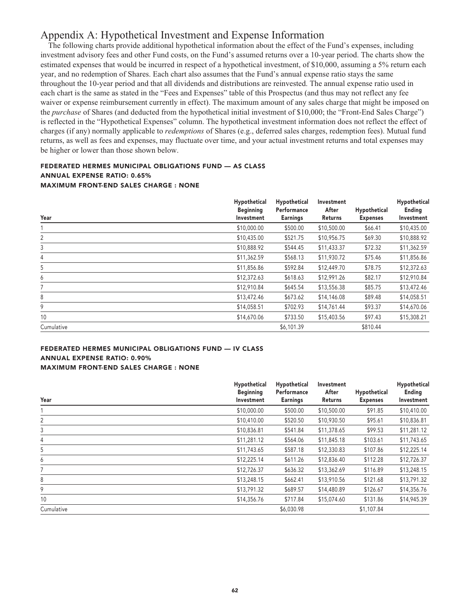### **Appendix A: Hypothetical Investment and Expense Information**

**The following charts provide additional hypothetical information about the effect of the Fund's expenses, including investment advisory fees and other Fund costs, on the Fund's assumed returns over a 10-year period. The charts show the estimated expenses that would be incurred in respect of a hypothetical investment, of \$10,000, assuming a 5% return each year, and no redemption of Shares. Each chart also assumes that the Fund's annual expense ratio stays the same throughout the 10-year period and that all dividends and distributions are reinvested. The annual expense ratio used in each chart is the same as stated in the "Fees and Expenses" table of this Prospectus (and thus may not reflect any fee waiver or expense reimbursement currently in effect). The maximum amount of any sales charge that might be imposed on the** *purchase* **of Shares (and deducted from the hypothetical initial investment of \$10,000; the "Front-End Sales Charge") is reflected in the "Hypothetical Expenses" column. The hypothetical investment information does not reflect the effect of charges (if any) normally applicable to** *redemptions* **of Shares (e.g., deferred sales charges, redemption fees). Mutual fund returns, as well as fees and expenses, may fluctuate over time, and your actual investment returns and total expenses may be higher or lower than those shown below.**

#### **FEDERATED HERMES MUNICIPAL OBLIGATIONS FUND — AS CLASS ANNUAL EXPENSE RATIO: 0.65% MAXIMUM FRONT-END SALES CHARGE : NONE**

| Year       | Hypothetical<br><b>Beginning</b><br>Investment | Hypothetical<br>Performance<br><b>Earnings</b> | Investment<br>After<br>Returns | Hypothetical<br><b>Expenses</b> | Hypothetical<br>Ending<br>Investment |
|------------|------------------------------------------------|------------------------------------------------|--------------------------------|---------------------------------|--------------------------------------|
|            | \$10,000.00                                    | \$500.00                                       | \$10,500.00                    | \$66.41                         | \$10,435.00                          |
| 2          | \$10,435.00                                    | \$521.75                                       | \$10,956.75                    | \$69.30                         | \$10,888.92                          |
| 3          | \$10,888.92                                    | \$544.45                                       | \$11,433.37                    | \$72.32                         | \$11,362.59                          |
| 4          | \$11,362.59                                    | \$568.13                                       | \$11,930.72                    | \$75.46                         | \$11,856.86                          |
| 5          | \$11,856.86                                    | \$592.84                                       | \$12,449.70                    | \$78.75                         | \$12,372.63                          |
| 6          | \$12,372.63                                    | \$618.63                                       | \$12,991.26                    | \$82.17                         | \$12,910.84                          |
| 7          | \$12,910.84                                    | \$645.54                                       | \$13,556.38                    | \$85.75                         | \$13,472.46                          |
| 8          | \$13,472.46                                    | \$673.62                                       | \$14,146.08                    | \$89.48                         | \$14,058.51                          |
| 9          | \$14,058.51                                    | \$702.93                                       | \$14,761.44                    | \$93.37                         | \$14,670.06                          |
| 10         | \$14,670.06                                    | \$733.50                                       | \$15,403.56                    | \$97.43                         | \$15,308.21                          |
| Cumulative |                                                | \$6,101.39                                     |                                | \$810.44                        |                                      |

#### **FEDERATED HERMES MUNICIPAL OBLIGATIONS FUND — IV CLASS ANNUAL EXPENSE RATIO: 0.90% MAXIMUM FRONT-END SALES CHARGE : NONE**

| Year       | Hypothetical<br><b>Beginning</b><br>Investment | Hypothetical<br>Performance<br><b>Earnings</b> | Investment<br>After<br>Returns | Hypothetical<br><b>Expenses</b> | Hypothetical<br>Ending<br>Investment |
|------------|------------------------------------------------|------------------------------------------------|--------------------------------|---------------------------------|--------------------------------------|
|            | \$10,000.00                                    | \$500.00                                       | \$10,500.00                    | \$91.85                         | \$10,410.00                          |
| 2          | \$10,410.00                                    | \$520.50                                       | \$10,930.50                    | \$95.61                         | \$10,836.81                          |
| 3          | \$10,836.81                                    | \$541.84                                       | \$11,378.65                    | \$99.53                         | \$11,281.12                          |
| 4          | \$11,281.12                                    | \$564.06                                       | \$11,845.18                    | \$103.61                        | \$11,743.65                          |
| 5          | \$11,743.65                                    | \$587.18                                       | \$12,330.83                    | \$107.86                        | \$12,225.14                          |
| 6          | \$12,225.14                                    | \$611.26                                       | \$12,836.40                    | \$112.28                        | \$12,726.37                          |
| 7          | \$12,726.37                                    | \$636.32                                       | \$13,362.69                    | \$116.89                        | \$13,248.15                          |
| 8          | \$13,248.15                                    | \$662.41                                       | \$13,910.56                    | \$121.68                        | \$13,791.32                          |
| 9          | \$13,791.32                                    | \$689.57                                       | \$14,480.89                    | \$126.67                        | \$14,356.76                          |
| 10         | \$14,356.76                                    | \$717.84                                       | \$15,074.60                    | \$131.86                        | \$14,945.39                          |
| Cumulative |                                                | \$6,030.98                                     |                                | \$1,107.84                      |                                      |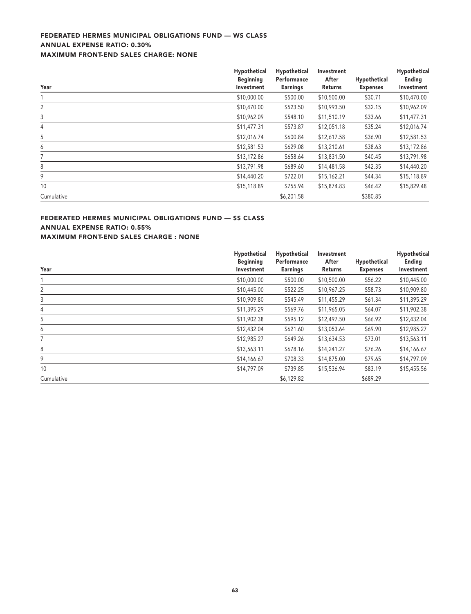#### **FEDERATED HERMES MUNICIPAL OBLIGATIONS FUND — WS CLASS ANNUAL EXPENSE RATIO: 0.30% MAXIMUM FRONT-END SALES CHARGE: NONE**

| Year       | Hypothetical<br><b>Beginning</b><br>Investment | Hypothetical<br>Performance<br><b>Earnings</b> | Investment<br>After<br>Returns | Hypothetical<br><b>Expenses</b> | Hypothetical<br>Ending<br>Investment |
|------------|------------------------------------------------|------------------------------------------------|--------------------------------|---------------------------------|--------------------------------------|
|            | \$10,000.00                                    | \$500.00                                       | \$10,500.00                    | \$30.71                         | \$10,470.00                          |
| 2          | \$10,470.00                                    | \$523.50                                       | \$10,993.50                    | \$32.15                         | \$10,962.09                          |
| 3          | \$10,962.09                                    | \$548.10                                       | \$11,510.19                    | \$33.66                         | \$11,477.31                          |
| 4          | \$11,477.31                                    | \$573.87                                       | \$12,051.18                    | \$35.24                         | \$12,016.74                          |
| 5          | \$12,016.74                                    | \$600.84                                       | \$12,617.58                    | \$36.90                         | \$12,581.53                          |
| 6          | \$12,581.53                                    | \$629.08                                       | \$13,210.61                    | \$38.63                         | \$13,172.86                          |
|            | \$13,172.86                                    | \$658.64                                       | \$13,831.50                    | \$40.45                         | \$13,791.98                          |
| 8          | \$13,791.98                                    | \$689.60                                       | \$14,481.58                    | \$42.35                         | \$14,440.20                          |
| 9          | \$14,440.20                                    | \$722.01                                       | \$15,162.21                    | \$44.34                         | \$15,118.89                          |
| 10         | \$15,118.89                                    | \$755.94                                       | \$15,874.83                    | \$46.42                         | \$15,829.48                          |
| Cumulative |                                                | \$6,201.58                                     |                                | \$380.85                        |                                      |

#### **FEDERATED HERMES MUNICIPAL OBLIGATIONS FUND — SS CLASS ANNUAL EXPENSE RATIO: 0.55% MAXIMUM FRONT-END SALES CHARGE : NONE**

| Year       | Hypothetical<br><b>Beginning</b><br>Investment | Hypothetical<br>Performance<br><b>Earnings</b> | Investment<br>After<br>Returns | Hypothetical<br><b>Expenses</b> | Hypothetical<br><b>Ending</b><br>Investment |
|------------|------------------------------------------------|------------------------------------------------|--------------------------------|---------------------------------|---------------------------------------------|
|            | \$10,000.00                                    | \$500.00                                       | \$10,500.00                    | \$56.22                         | \$10,445.00                                 |
| 2          | \$10,445.00                                    | \$522.25                                       | \$10,967.25                    | \$58.73                         | \$10,909.80                                 |
| 3          | \$10,909.80                                    | \$545.49                                       | \$11,455.29                    | \$61.34                         | \$11,395.29                                 |
| 4          | \$11,395.29                                    | \$569.76                                       | \$11,965.05                    | \$64.07                         | \$11,902.38                                 |
| 5          | \$11,902.38                                    | \$595.12                                       | \$12,497.50                    | \$66.92                         | \$12,432.04                                 |
| 6          | \$12,432.04                                    | \$621.60                                       | \$13,053.64                    | \$69.90                         | \$12,985.27                                 |
|            | \$12,985.27                                    | \$649.26                                       | \$13,634.53                    | \$73.01                         | \$13,563.11                                 |
| 8          | \$13,563.11                                    | \$678.16                                       | \$14,241.27                    | \$76.26                         | \$14,166.67                                 |
| 9          | \$14,166.67                                    | \$708.33                                       | \$14,875.00                    | \$79.65                         | \$14,797.09                                 |
| 10         | \$14,797.09                                    | \$739.85                                       | \$15,536.94                    | \$83.19                         | \$15,455.56                                 |
| Cumulative |                                                | \$6,129.82                                     |                                | \$689.29                        |                                             |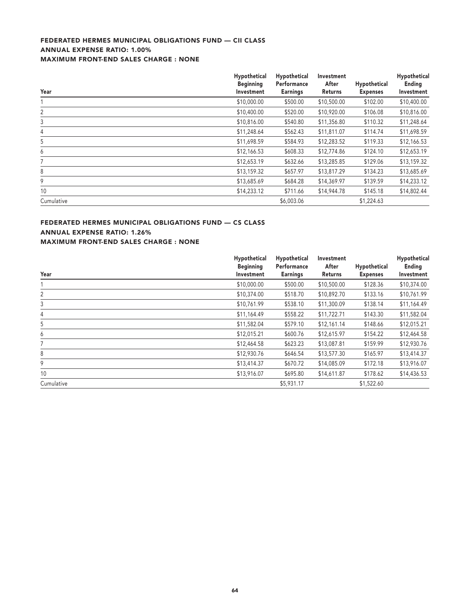#### **FEDERATED HERMES MUNICIPAL OBLIGATIONS FUND — CII CLASS ANNUAL EXPENSE RATIO: 1.00% MAXIMUM FRONT-END SALES CHARGE : NONE**

|                | Hypothetical<br><b>Beginning</b> | Hypothetical<br>Performance | Investment<br>After | Hypothetical    | Hypothetical<br>Ending |
|----------------|----------------------------------|-----------------------------|---------------------|-----------------|------------------------|
| Year           | Investment                       | <b>Earnings</b>             | Returns             | <b>Expenses</b> | Investment             |
|                | \$10,000.00                      | \$500.00                    | \$10,500.00         | \$102.00        | \$10,400.00            |
| $\overline{2}$ | \$10,400.00                      | \$520.00                    | \$10,920.00         | \$106.08        | \$10,816.00            |
| 3              | \$10,816.00                      | \$540.80                    | \$11,356.80         | \$110.32        | \$11,248.64            |
| $\overline{4}$ | \$11,248.64                      | \$562.43                    | \$11,811.07         | \$114.74        | \$11,698.59            |
| 5              | \$11,698.59                      | \$584.93                    | \$12,283.52         | \$119.33        | \$12,166.53            |
| 6              | \$12,166.53                      | \$608.33                    | \$12,774.86         | \$124.10        | \$12,653.19            |
|                | \$12,653.19                      | \$632.66                    | \$13,285.85         | \$129.06        | \$13,159.32            |
| 8              | \$13,159.32                      | \$657.97                    | \$13,817.29         | \$134.23        | \$13,685.69            |
| 9              | \$13,685.69                      | \$684.28                    | \$14,369.97         | \$139.59        | \$14,233.12            |
| 10             | \$14,233.12                      | \$711.66                    | \$14,944.78         | \$145.18        | \$14,802.44            |
| Cumulative     |                                  | \$6,003.06                  |                     | \$1,224.63      |                        |

#### **FEDERATED HERMES MUNICIPAL OBLIGATIONS FUND — CS CLASS ANNUAL EXPENSE RATIO: 1.26% MAXIMUM FRONT-END SALES CHARGE : NONE**

| Year       | Hypothetical<br><b>Beginning</b><br>Investment | Hypothetical<br>Performance<br><b>Earnings</b> | Investment<br>After<br>Returns | Hypothetical<br><b>Expenses</b> | Hypothetical<br>Ending<br>Investment |
|------------|------------------------------------------------|------------------------------------------------|--------------------------------|---------------------------------|--------------------------------------|
|            | \$10,000.00                                    | \$500.00                                       | \$10,500.00                    | \$128.36                        | \$10,374.00                          |
| 2          | \$10,374.00                                    | \$518.70                                       | \$10,892.70                    | \$133.16                        | \$10,761.99                          |
| 3          | \$10,761.99                                    | \$538.10                                       | \$11,300.09                    | \$138.14                        | \$11,164.49                          |
| 4          | \$11,164.49                                    | \$558.22                                       | \$11,722.71                    | \$143.30                        | \$11,582.04                          |
| 5          | \$11,582.04                                    | \$579.10                                       | \$12,161.14                    | \$148.66                        | \$12,015.21                          |
| 6          | \$12,015.21                                    | \$600.76                                       | \$12,615.97                    | \$154.22                        | \$12,464.58                          |
| 7          | \$12,464.58                                    | \$623.23                                       | \$13,087.81                    | \$159.99                        | \$12,930.76                          |
| 8          | \$12,930.76                                    | \$646.54                                       | \$13,577.30                    | \$165.97                        | \$13,414.37                          |
| 9          | \$13,414.37                                    | \$670.72                                       | \$14,085.09                    | \$172.18                        | \$13,916.07                          |
| 10         | \$13,916.07                                    | \$695.80                                       | \$14,611.87                    | \$178.62                        | \$14,436.53                          |
| Cumulative |                                                | \$5,931.17                                     |                                | \$1,522.60                      |                                      |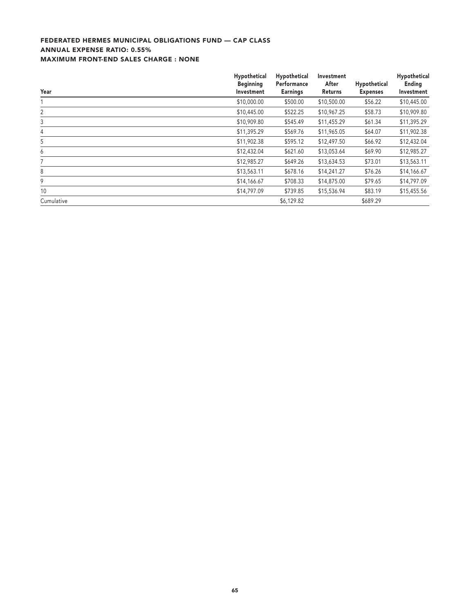#### **FEDERATED HERMES MUNICIPAL OBLIGATIONS FUND — CAP CLASS ANNUAL EXPENSE RATIO: 0.55% MAXIMUM FRONT-END SALES CHARGE : NONE**

| Year       | Hypothetical<br><b>Beginning</b><br>Investment | Hypothetical<br>Performance<br><b>Earnings</b> | Investment<br>After<br>Returns | Hypothetical<br><b>Expenses</b> | Hypothetical<br>Ending<br>Investment |
|------------|------------------------------------------------|------------------------------------------------|--------------------------------|---------------------------------|--------------------------------------|
|            | \$10,000.00                                    | \$500.00                                       | \$10,500.00                    | \$56.22                         | \$10,445.00                          |
| 2          | \$10,445.00                                    | \$522.25                                       | \$10,967.25                    | \$58.73                         | \$10,909.80                          |
| 3          | \$10,909.80                                    | \$545.49                                       | \$11,455.29                    | \$61.34                         | \$11,395.29                          |
| 4          | \$11,395.29                                    | \$569.76                                       | \$11,965.05                    | \$64.07                         | \$11,902.38                          |
| 5          | \$11,902.38                                    | \$595.12                                       | \$12,497.50                    | \$66.92                         | \$12,432.04                          |
| 6          | \$12,432.04                                    | \$621.60                                       | \$13,053.64                    | \$69.90                         | \$12,985.27                          |
|            | \$12,985.27                                    | \$649.26                                       | \$13,634.53                    | \$73.01                         | \$13,563.11                          |
| 8          | \$13,563.11                                    | \$678.16                                       | \$14,241.27                    | \$76.26                         | \$14,166.67                          |
| 9          | \$14,166.67                                    | \$708.33                                       | \$14,875.00                    | \$79.65                         | \$14,797.09                          |
| 10         | \$14,797.09                                    | \$739.85                                       | \$15,536.94                    | \$83.19                         | \$15,455.56                          |
| Cumulative |                                                | \$6,129.82                                     |                                | \$689.29                        |                                      |